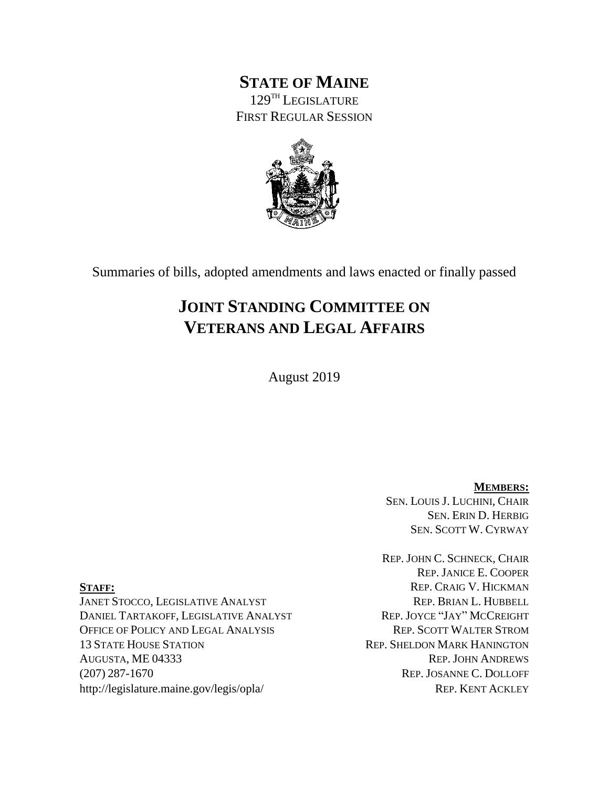## **STATE OF MAINE** 129 TH LEGISLATURE FIRST REGULAR SESSION



Summaries of bills, adopted amendments and laws enacted or finally passed

# **JOINT STANDING COMMITTEE ON VETERANS AND LEGAL AFFAIRS**

August 2019

**MEMBERS:** SEN. LOUIS J. LUCHINI, CHAIR SEN. ERIN D. HERBIG SEN. SCOTT W. CYRWAY

REP. JOHN C. SCHNECK, CHAIR REP. JANICE E. COOPER **STAFF:** REP. CRAIG V. HICKMAN

JANET STOCCO, LEGISLATIVE ANALYST REP. BRIAN L. HUBBELL DANIEL TARTAKOFF, LEGISLATIVE ANALYST OFFICE OF POLICY AND LEGAL ANALYSIS REP. SCOTT WALTER STROM 13 STATE HOUSE STATION REP. SHELDON MARK HANINGTON AUGUSTA, ME 04333 REP. JOHN ANDREWS (207) 287-1670 REP. JOSANNE C. DOLLOFF http://legislature.maine.gov/legis/opla/ REP. KENT ACKLEY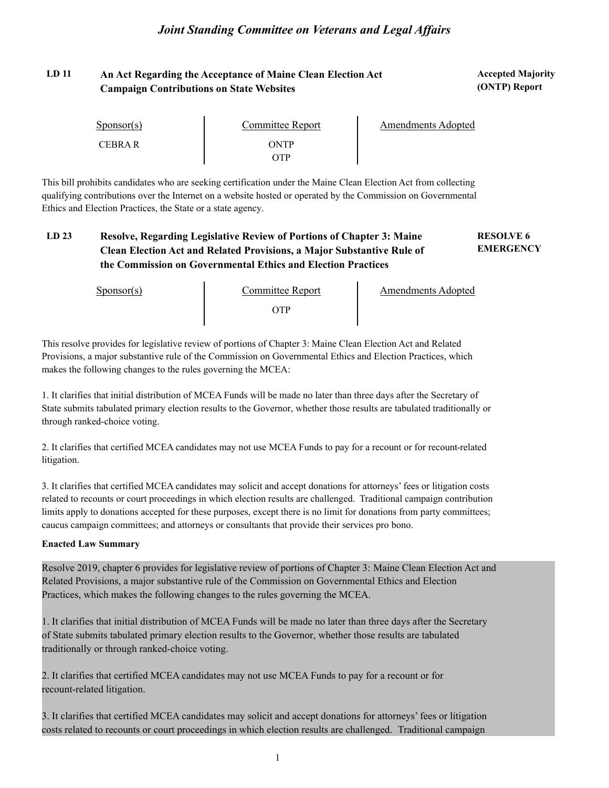## LD 11 **An Act Regarding the Acceptance of Maine Clean Election Act <b>Accepted Majority** Accepted Majority **Campaign Contributions on State Websites**

**(ONTP) Report**

| $S_{\text{DONSOT}}(s)$ | Committee Report | <b>Amendments Adopted</b> |
|------------------------|------------------|---------------------------|
| <b>CEBRAR</b>          | ONTP<br>)TP      |                           |

This bill prohibits candidates who are seeking certification under the Maine Clean Election Act from collecting qualifying contributions over the Internet on a website hosted or operated by the Commission on Governmental Ethics and Election Practices, the State or a state agency.

#### **LD 23 RESOLVE 6 Resolve, Regarding Legislative Review of Portions of Chapter 3: Maine EMERGENCY Clean Election Act and Related Provisions, a Major Substantive Rule of the Commission on Governmental Ethics and Election Practices**

Sponsor(s)

Committee Report<br>OTP

Amendments Adopted

This resolve provides for legislative review of portions of Chapter 3: Maine Clean Election Act and Related Provisions, a major substantive rule of the Commission on Governmental Ethics and Election Practices, which makes the following changes to the rules governing the MCEA:

1. It clarifies that initial distribution of MCEA Funds will be made no later than three days after the Secretary of State submits tabulated primary election results to the Governor, whether those results are tabulated traditionally or through ranked-choice voting.

2. It clarifies that certified MCEA candidates may not use MCEA Funds to pay for a recount or for recount-related litigation.

3. It clarifies that certified MCEA candidates may solicit and accept donations for attorneys' fees or litigation costs related to recounts or court proceedings in which election results are challenged. Traditional campaign contribution limits apply to donations accepted for these purposes, except there is no limit for donations from party committees; caucus campaign committees; and attorneys or consultants that provide their services pro bono.

#### **Enacted Law Summary**

Resolve 2019, chapter 6 provides for legislative review of portions of Chapter 3: Maine Clean Election Act and Related Provisions, a major substantive rule of the Commission on Governmental Ethics and Election Practices, which makes the following changes to the rules governing the MCEA.

1. It clarifies that initial distribution of MCEA Funds will be made no later than three days after the Secretary of State submits tabulated primary election results to the Governor, whether those results are tabulated traditionally or through ranked-choice voting.

2. It clarifies that certified MCEA candidates may not use MCEA Funds to pay for a recount or for recount-related litigation.

3. It clarifies that certified MCEA candidates may solicit and accept donations for attorneys' fees or litigation costs related to recounts or court proceedings in which election results are challenged. Traditional campaign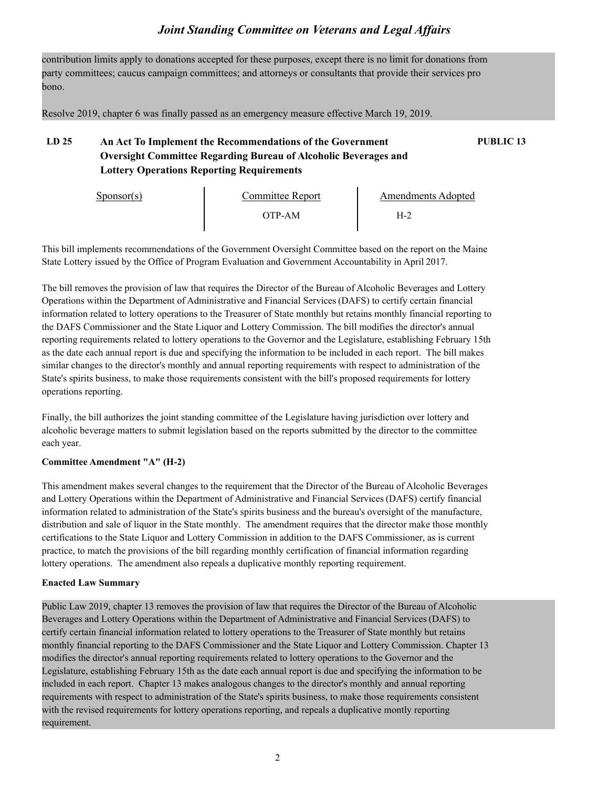contribution limits apply to donations accepted for these purposes, except there is no limit for donations from party committees; caucus campaign committees; and attorneys or consultants that provide their services pro bono.

Resolve 2019, chapter 6 was finally passed as an emergency measure effective March 19, 2019.

## **LD 25 An Act To Implement the Recommendations of the Government PUBLIC 13 Oversight Committee Regarding Bureau of Alcoholic Beverages and Lottery Operations Reporting Requirements**

| Sponsor(s) | Committee Report | Amendments Adopted |  |
|------------|------------------|--------------------|--|
|            | )TP-AM           | H-2                |  |

This bill implements recommendations of the Government Oversight Committee based on the report on the Maine State Lottery issued by the Office of Program Evaluation and Government Accountability in April 2017.

The bill removes the provision of law that requires the Director of the Bureau of Alcoholic Beverages and Lottery Operations within the Department of Administrative and Financial Services (DAFS) to certify certain financial information related to lottery operations to the Treasurer of State monthly but retains monthly financial reporting to the DAFS Commissioner and the State Liquor and Lottery Commission. The bill modifies the director's annual reporting requirements related to lottery operations to the Governor and the Legislature, establishing February 15th as the date each annual report is due and specifying the information to be included in each report. The bill makes similar changes to the director's monthly and annual reporting requirements with respect to administration of the State's spirits business, to make those requirements consistent with the bill's proposed requirements for lottery operations reporting.

Finally, the bill authorizes the joint standing committee of the Legislature having jurisdiction over lottery and alcoholic beverage matters to submit legislation based on the reports submitted by the director to the committee each year.

#### **Committee Amendment "A" (H-2)**

This amendment makes several changes to the requirement that the Director of the Bureau of Alcoholic Beverages and Lottery Operations within the Department of Administrative and Financial Services (DAFS) certify financial information related to administration of the State's spirits business and the bureau's oversight of the manufacture, distribution and sale of liquor in the State monthly. The amendment requires that the director make those monthly certifications to the State Liquor and Lottery Commission in addition to the DAFS Commissioner, as is current practice, to match the provisions of the bill regarding monthly certification of financial information regarding lottery operations. The amendment also repeals a duplicative monthly reporting requirement.

#### **Enacted Law Summary**

Public Law 2019, chapter 13 removes the provision of law that requires the Director of the Bureau of Alcoholic Beverages and Lottery Operations within the Department of Administrative and Financial Services (DAFS) to certify certain financial information related to lottery operations to the Treasurer of State monthly but retains monthly financial reporting to the DAFS Commissioner and the State Liquor and Lottery Commission. Chapter 13 modifies the director's annual reporting requirements related to lottery operations to the Governor and the Legislature, establishing February 15th as the date each annual report is due and specifying the information to be included in each report. Chapter 13 makes analogous changes to the director's monthly and annual reporting requirements with respect to administration of the State's spirits business, to make those requirements consistent with the revised requirements for lottery operations reporting, and repeals a duplicative montly reporting requirement.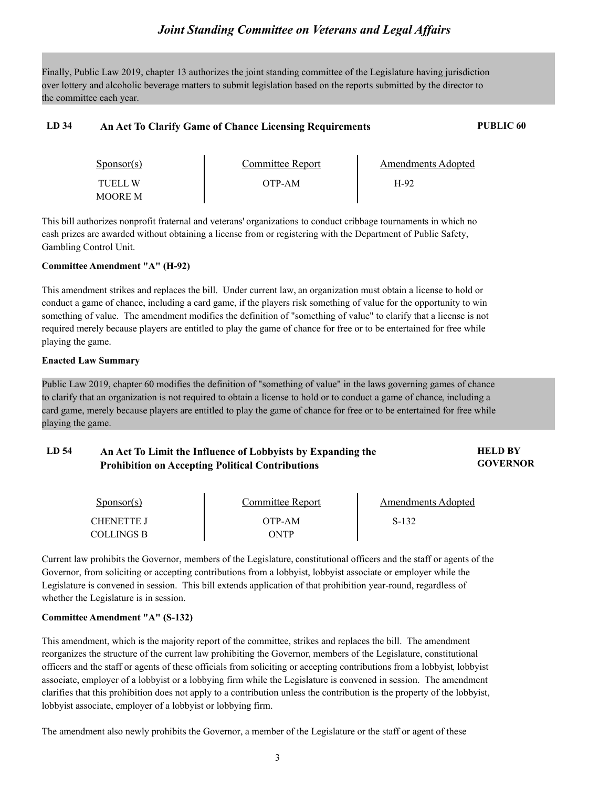Finally, Public Law 2019, chapter 13 authorizes the joint standing committee of the Legislature having jurisdiction over lottery and alcoholic beverage matters to submit legislation based on the reports submitted by the director to the committee each year.

### **LD 34 An Act To Clarify Game of Chance Licensing Requirements PUBLIC 60**

| Sponsor(s)                       | Committee Report | Amendments Adopted |  |
|----------------------------------|------------------|--------------------|--|
| <b>TUELL W</b><br><b>MOORE M</b> | OTP-AM           | H-92               |  |

This bill authorizes nonprofit fraternal and veterans' organizations to conduct cribbage tournaments in which no cash prizes are awarded without obtaining a license from or registering with the Department of Public Safety, Gambling Control Unit.

#### **Committee Amendment "A" (H-92)**

This amendment strikes and replaces the bill. Under current law, an organization must obtain a license to hold or conduct a game of chance, including a card game, if the players risk something of value for the opportunity to win something of value. The amendment modifies the definition of "something of value" to clarify that a license is not required merely because players are entitled to play the game of chance for free or to be entertained for free while playing the game.

#### **Enacted Law Summary**

Public Law 2019, chapter 60 modifies the definition of "something of value" in the laws governing games of chance to clarify that an organization is not required to obtain a license to hold or to conduct a game of chance, including a card game, merely because players are entitled to play the game of chance for free or to be entertained for free while playing the game.

#### LD 54 **An Act To Limit the Influence of Lobbyists by Expanding the <b>FIFLD BY GOVERNOR Prohibition on Accepting Political Contributions**

| Sponsor(s) | Committee Report | Amendments Adopted |  |
|------------|------------------|--------------------|--|
| CHENETTE J | OTP-AM           | S-132              |  |
| COLLINGS B | ONTP             |                    |  |

Current law prohibits the Governor, members of the Legislature, constitutional officers and the staff or agents of the Governor, from soliciting or accepting contributions from a lobbyist, lobbyist associate or employer while the Legislature is convened in session. This bill extends application of that prohibition year-round, regardless of whether the Legislature is in session.

#### **Committee Amendment "A" (S-132)**

This amendment, which is the majority report of the committee, strikes and replaces the bill. The amendment reorganizes the structure of the current law prohibiting the Governor, members of the Legislature, constitutional officers and the staff or agents of these officials from soliciting or accepting contributions from a lobbyist, lobbyist associate, employer of a lobbyist or a lobbying firm while the Legislature is convened in session. The amendment clarifies that this prohibition does not apply to a contribution unless the contribution is the property of the lobbyist, lobbyist associate, employer of a lobbyist or lobbying firm.

The amendment also newly prohibits the Governor, a member of the Legislature or the staff or agent of these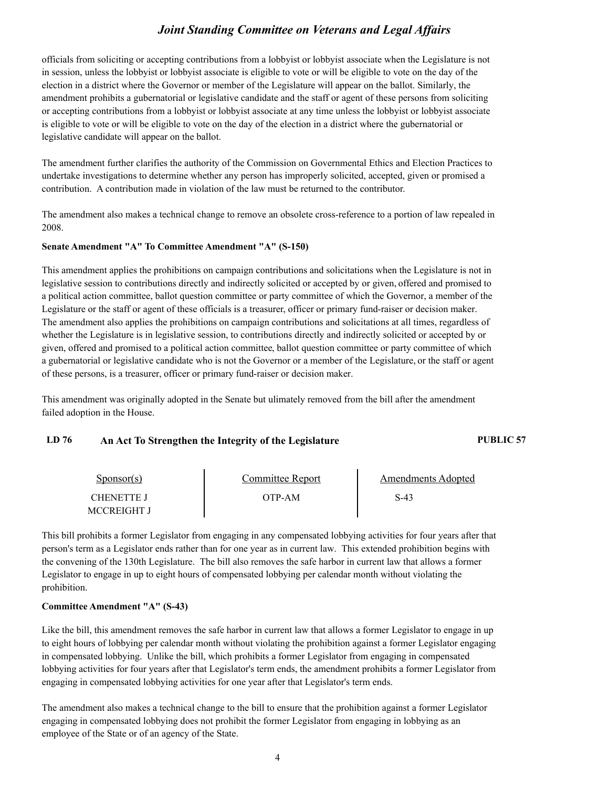officials from soliciting or accepting contributions from a lobbyist or lobbyist associate when the Legislature is not in session, unless the lobbyist or lobbyist associate is eligible to vote or will be eligible to vote on the day of the election in a district where the Governor or member of the Legislature will appear on the ballot. Similarly, the amendment prohibits a gubernatorial or legislative candidate and the staff or agent of these persons from soliciting or accepting contributions from a lobbyist or lobbyist associate at any time unless the lobbyist or lobbyist associate is eligible to vote or will be eligible to vote on the day of the election in a district where the gubernatorial or legislative candidate will appear on the ballot.

The amendment further clarifies the authority of the Commission on Governmental Ethics and Election Practices to undertake investigations to determine whether any person has improperly solicited, accepted, given or promised a contribution. A contribution made in violation of the law must be returned to the contributor.

The amendment also makes a technical change to remove an obsolete cross-reference to a portion of law repealed in 2008.

#### **Senate Amendment "A" To Committee Amendment "A" (S-150)**

This amendment applies the prohibitions on campaign contributions and solicitations when the Legislature is not in legislative session to contributions directly and indirectly solicited or accepted by or given, offered and promised to a political action committee, ballot question committee or party committee of which the Governor, a member of the Legislature or the staff or agent of these officials is a treasurer, officer or primary fund-raiser or decision maker. The amendment also applies the prohibitions on campaign contributions and solicitations at all times, regardless of whether the Legislature is in legislative session, to contributions directly and indirectly solicited or accepted by or given, offered and promised to a political action committee, ballot question committee or party committee of which a gubernatorial or legislative candidate who is not the Governor or a member of the Legislature, or the staff or agent of these persons, is a treasurer, officer or primary fund-raiser or decision maker.

This amendment was originally adopted in the Senate but ulimately removed from the bill after the amendment failed adoption in the House.

## **LD 76 An Act To Strengthen the Integrity of the Legislature PUBLIC 57**

| $S_{\text{DON}(\text{S})}$ | Committee Report | <b>Amendments Adopted</b> |  |
|----------------------------|------------------|---------------------------|--|
| <b>CHENETTE J</b>          | OTP-AM           | S-43                      |  |
| MCCREIGHT J                |                  |                           |  |

This bill prohibits a former Legislator from engaging in any compensated lobbying activities for four years after that person's term as a Legislator ends rather than for one year as in current law. This extended prohibition begins with the convening of the 130th Legislature. The bill also removes the safe harbor in current law that allows a former Legislator to engage in up to eight hours of compensated lobbying per calendar month without violating the prohibition.

#### **Committee Amendment "A" (S-43)**

Like the bill, this amendment removes the safe harbor in current law that allows a former Legislator to engage in up to eight hours of lobbying per calendar month without violating the prohibition against a former Legislator engaging in compensated lobbying. Unlike the bill, which prohibits a former Legislator from engaging in compensated lobbying activities for four years after that Legislator's term ends, the amendment prohibits a former Legislator from engaging in compensated lobbying activities for one year after that Legislator's term ends.

The amendment also makes a technical change to the bill to ensure that the prohibition against a former Legislator engaging in compensated lobbying does not prohibit the former Legislator from engaging in lobbying as an employee of the State or of an agency of the State.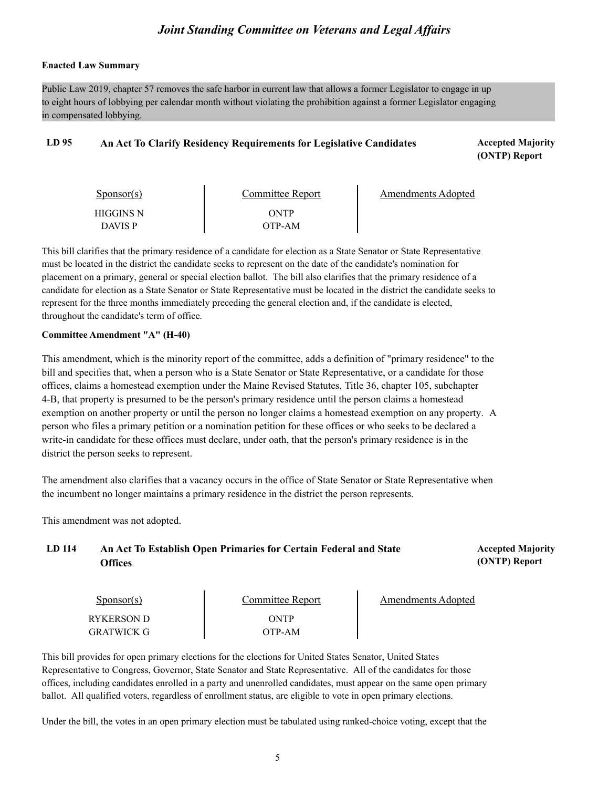#### **Enacted Law Summary**

Public Law 2019, chapter 57 removes the safe harbor in current law that allows a former Legislator to engage in up to eight hours of lobbying per calendar month without violating the prohibition against a former Legislator engaging in compensated lobbying.

#### LD 95 An Act To Clarify Residency Requirements for Legislative Candidates **Accepted Majority**

**(ONTP) Report**

| Sponsor(s)     | Committee Report | Amendments Adopted |
|----------------|------------------|--------------------|
| HIGGINS N      | ONTP             |                    |
| <b>DAVIS P</b> | OTP-AM           |                    |

This bill clarifies that the primary residence of a candidate for election as a State Senator or State Representative must be located in the district the candidate seeks to represent on the date of the candidate's nomination for placement on a primary, general or special election ballot. The bill also clarifies that the primary residence of a candidate for election as a State Senator or State Representative must be located in the district the candidate seeks to represent for the three months immediately preceding the general election and, if the candidate is elected, throughout the candidate's term of office.

#### **Committee Amendment "A" (H-40)**

This amendment, which is the minority report of the committee, adds a definition of "primary residence" to the bill and specifies that, when a person who is a State Senator or State Representative, or a candidate for those offices, claims a homestead exemption under the Maine Revised Statutes, Title 36, chapter 105, subchapter 4-B, that property is presumed to be the person's primary residence until the person claims a homestead exemption on another property or until the person no longer claims a homestead exemption on any property. A person who files a primary petition or a nomination petition for these offices or who seeks to be declared a write-in candidate for these offices must declare, under oath, that the person's primary residence is in the district the person seeks to represent.

The amendment also clarifies that a vacancy occurs in the office of State Senator or State Representative when the incumbent no longer maintains a primary residence in the district the person represents.

This amendment was not adopted.

## LD 114 An Act To Establish Open Primaries for Certain Federal and State **Accepted Majority Offices**

**(ONTP) Report**

| $S_{\text{ponsor}(s)}$          | Committee Report | Amendments Adopted |  |
|---------------------------------|------------------|--------------------|--|
| RYKERSON D<br><b>GRATWICK G</b> | ONTP<br>OTP-AM   |                    |  |

This bill provides for open primary elections for the elections for United States Senator, United States Representative to Congress, Governor, State Senator and State Representative. All of the candidates for those offices, including candidates enrolled in a party and unenrolled candidates, must appear on the same open primary ballot. All qualified voters, regardless of enrollment status, are eligible to vote in open primary elections.

Under the bill, the votes in an open primary election must be tabulated using ranked-choice voting, except that the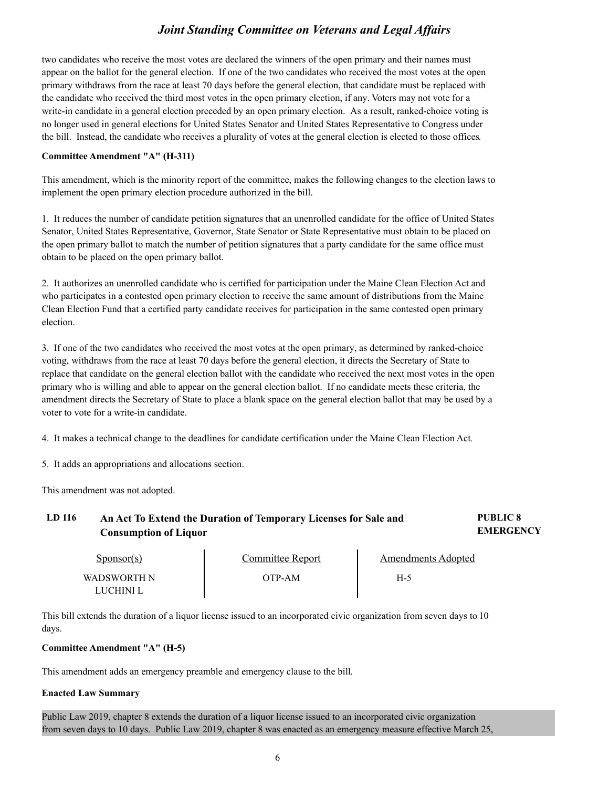two candidates who receive the most votes are declared the winners of the open primary and their names must appear on the ballot for the general election. If one of the two candidates who received the most votes at the open primary withdraws from the race at least 70 days before the general election, that candidate must be replaced with the candidate who received the third most votes in the open primary election, if any. Voters may not vote for a write-in candidate in a general election preceded by an open primary election. As a result, ranked-choice voting is no longer used in general elections for United States Senator and United States Representative to Congress under the bill. Instead, the candidate who receives a plurality of votes at the general election is elected to those offices.

#### **Committee Amendment "A" (H-311)**

This amendment, which is the minority report of the committee, makes the following changes to the election laws to implement the open primary election procedure authorized in the bill.

1. It reduces the number of candidate petition signatures that an unenrolled candidate for the office of United States Senator, United States Representative, Governor, State Senator or State Representative must obtain to be placed on the open primary ballot to match the number of petition signatures that a party candidate for the same office must obtain to be placed on the open primary ballot.

2. It authorizes an unenrolled candidate who is certified for participation under the Maine Clean Election Act and who participates in a contested open primary election to receive the same amount of distributions from the Maine Clean Election Fund that a certified party candidate receives for participation in the same contested open primary election.

3. If one of the two candidates who received the most votes at the open primary, as determined by ranked-choice voting, withdraws from the race at least 70 days before the general election, it directs the Secretary of State to replace that candidate on the general election ballot with the candidate who received the next most votes in the open primary who is willing and able to appear on the general election ballot. If no candidate meets these criteria, the amendment directs the Secretary of State to place a blank space on the general election ballot that may be used by a voter to vote for a write-in candidate.

4. It makes a technical change to the deadlines for candidate certification under the Maine Clean Election Act.

5. It adds an appropriations and allocations section.

This amendment was not adopted.

#### **LD 116 PUBLIC 8 An Act To Extend the Duration of Temporary Licenses for Sale and EMERGENCY Consumption of Liquor**

| Sponsor(s)  | Committee Report | Amendments Adopted |  |
|-------------|------------------|--------------------|--|
| WADSWORTH N | OTP-AM           | H-5                |  |
| UCHINL.     |                  |                    |  |

This bill extends the duration of a liquor license issued to an incorporated civic organization from seven days to 10 days.

#### **Committee Amendment "A" (H-5)**

This amendment adds an emergency preamble and emergency clause to the bill.

#### **Enacted Law Summary**

Public Law 2019, chapter 8 extends the duration of a liquor license issued to an incorporated civic organization from seven days to 10 days. Public Law 2019, chapter 8 was enacted as an emergency measure effective March 25,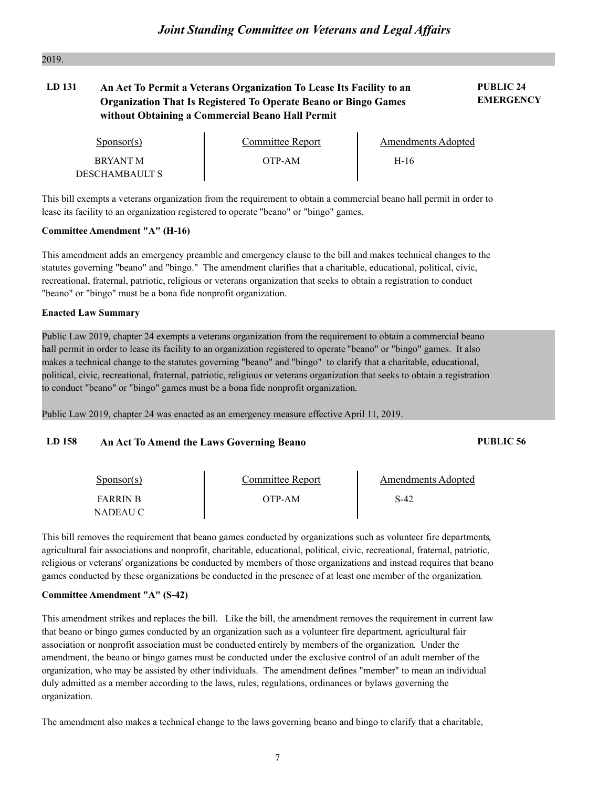#### 2019.

## **LD 131 PUBLIC 24 An Act To Permit a Veterans Organization To Lease Its Facility to an Organization That Is Registered To Operate Beano or Bingo Games without Obtaining a Commercial Beano Hall Permit**

**EMERGENCY**

| Sponsor(s)                        | Committee Report | Amendments Adopted |  |
|-----------------------------------|------------------|--------------------|--|
| <b>BRYANT M</b><br>DESCHAMBAULT S | OTP-AM           | $H-16$             |  |

This bill exempts a veterans organization from the requirement to obtain a commercial beano hall permit in order to lease its facility to an organization registered to operate "beano" or "bingo" games.

#### **Committee Amendment "A" (H-16)**

This amendment adds an emergency preamble and emergency clause to the bill and makes technical changes to the statutes governing "beano" and "bingo." The amendment clarifies that a charitable, educational, political, civic, recreational, fraternal, patriotic, religious or veterans organization that seeks to obtain a registration to conduct "beano" or "bingo" must be a bona fide nonprofit organization.

#### **Enacted Law Summary**

Public Law 2019, chapter 24 exempts a veterans organization from the requirement to obtain a commercial beano hall permit in order to lease its facility to an organization registered to operate "beano" or "bingo" games. It also makes a technical change to the statutes governing "beano" and "bingo" to clarify that a charitable, educational, political, civic, recreational, fraternal, patriotic, religious or veterans organization that seeks to obtain a registration to conduct "beano" or "bingo" games must be a bona fide nonprofit organization.

Public Law 2019, chapter 24 was enacted as an emergency measure effective April 11, 2019.

#### **LD 158 An Act To Amend the Laws Governing Beano PUBLIC 56**

| $S_{\text{PON}(\text{S})}$  | Committee Report | Amendments Adopted |  |
|-----------------------------|------------------|--------------------|--|
| <b>FARRIN B</b><br>NADEAU C | OTP-AM           | S-42               |  |

This bill removes the requirement that beano games conducted by organizations such as volunteer fire departments, agricultural fair associations and nonprofit, charitable, educational, political, civic, recreational, frate religious or veterans' organizations be conducted by members of those organizations and instead requires that beano games conducted by these organizations be conducted in the presence of at least one member of the organization.

#### **Committee Amendment "A" (S-42)**

This amendment strikes and replaces the bill. Like the bill, the amendment removes the requirement in current law that beano or bingo games conducted by an organization such as a volunteer fire department, agricultural fair association or nonprofit association must be conducted entirely by members of the organization. Under the amendment, the beano or bingo games must be conducted under the exclusive control of an adult member of the organization, who may be assisted by other individuals. The amendment defines "member" to mean an individual duly admitted as a member according to the laws, rules, regulations, ordinances or bylaws governing the organization.

The amendment also makes a technical change to the laws governing beano and bingo to clarify that a charitable,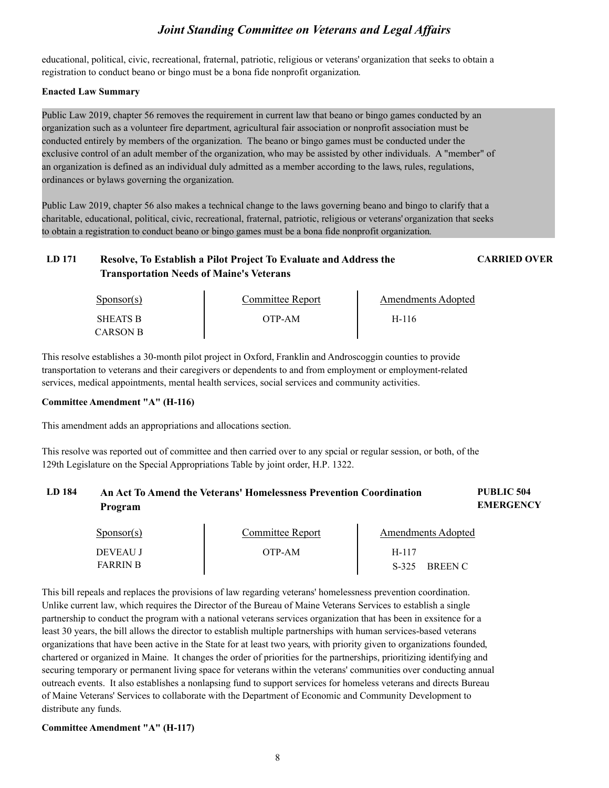educational, political, civic, recreational, fraternal, patriotic, religious or veterans' organization that seeks to obtain a registration to conduct beano or bingo must be a bona fide nonprofit organization.

#### **Enacted Law Summary**

Public Law 2019, chapter 56 removes the requirement in current law that beano or bingo games conducted by an organization such as a volunteer fire department, agricultural fair association or nonprofit association must be conducted entirely by members of the organization. The beano or bingo games must be conducted under the exclusive control of an adult member of the organization, who may be assisted by other individuals. A "member" of an organization is defined as an individual duly admitted as a member according to the laws, rules, regulations, ordinances or bylaws governing the organization.

Public Law 2019, chapter 56 also makes a technical change to the laws governing beano and bingo to clarify that a charitable, educational, political, civic, recreational, fraternal, patriotic, religious or veterans' organization that seeks to obtain a registration to conduct beano or bingo games must be a bona fide nonprofit organization.

## **LD 171 Resolve, To Establish a Pilot Project To Evaluate and Address the CARRIED OVER Transportation Needs of Maine's Veterans**

| $S_{\text{PON}(\text{S})}$ | Committee Report | <b>Amendments Adopted</b> |  |
|----------------------------|------------------|---------------------------|--|
| <b>SHEATS B</b>            | OTP-AM           | H-116                     |  |
| CARSON B                   |                  |                           |  |

This resolve establishes a 30-month pilot project in Oxford, Franklin and Androscoggin counties to provide transportation to veterans and their caregivers or dependents to and from employment or employment-related services, medical appointments, mental health services, social services and community activities.

#### **Committee Amendment "A" (H-116)**

This amendment adds an appropriations and allocations section.

This resolve was reported out of committee and then carried over to any spcial or regular session, or both, of the 129th Legislature on the Special Appropriations Table by joint order, H.P. 1322.

#### **LD 184 PUBLIC 504 An Act To Amend the Veterans' Homelessness Prevention Coordination EMERGENCY Program**

| $S_{\text{ponsor}}(s)$ | Committee Report | Amendments Adopted        |
|------------------------|------------------|---------------------------|
| DEVEAU J               | OTP-AM           | H-117                     |
| <b>FARRIN B</b>        |                  | $S-325$<br><b>BREEN C</b> |

This bill repeals and replaces the provisions of law regarding veterans' homelessness prevention coordination. Unlike current law, which requires the Director of the Bureau of Maine Veterans Services to establish a single partnership to conduct the program with a national veterans services organization that has been in exsitence for a least 30 years, the bill allows the director to establish multiple partnerships with human services-based veterans organizations that have been active in the State for at least two years, with priority given to organizations founded, chartered or organized in Maine. It changes the order of priorities for the partnerships, prioritizing securing temporary or permanent living space for veterans within the veterans' communities over conducting annual outreach events. It also establishes a nonlapsing fund to support services for homeless veterans and directs Bureau of Maine Veterans' Services to collaborate with the Department of Economic and Community Development to distribute any funds.

#### **Committee Amendment "A" (H-117)**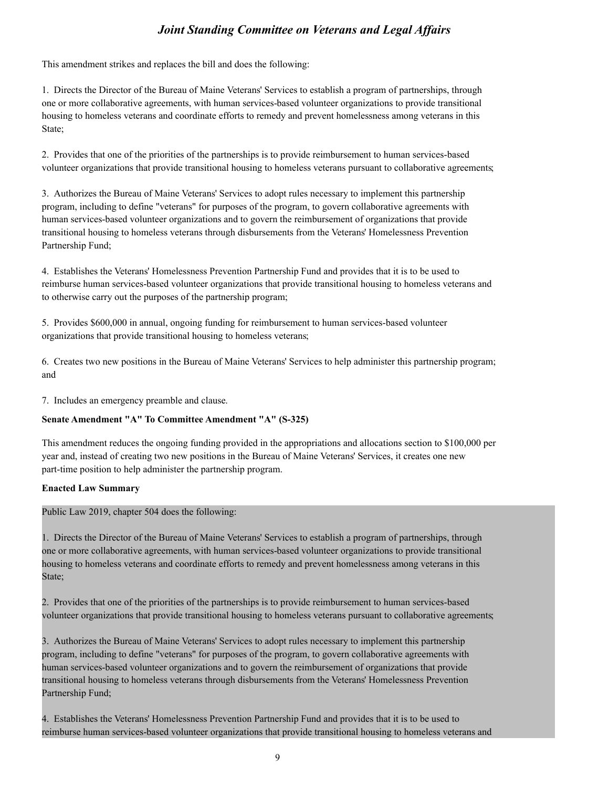This amendment strikes and replaces the bill and does the following:

1. Directs the Director of the Bureau of Maine Veterans' Services to establish a program of partnerships, through one or more collaborative agreements, with human services-based volunteer organizations to provide transitional housing to homeless veterans and coordinate efforts to remedy and prevent homelessness among veterans in this State;

2. Provides that one of the priorities of the partnerships is to provide reimbursement to human services-based volunteer organizations that provide transitional housing to homeless veterans pursuant to collaborative agreements;

3. Authorizes the Bureau of Maine Veterans' Services to adopt rules necessary to implement this partnership program, including to define "veterans" for purposes of the program, to govern collaborative agreements with human services-based volunteer organizations and to govern the reimbursement of organizations that provide transitional housing to homeless veterans through disbursements from the Veterans' Homelessness Prevention Partnership Fund;

4. Establishes the Veterans' Homelessness Prevention Partnership Fund and provides that it is to be used to reimburse human services-based volunteer organizations that provide transitional housing to homeless veterans and to otherwise carry out the purposes of the partnership program;

5. Provides \$600,000 in annual, ongoing funding for reimbursement to human services-based volunteer organizations that provide transitional housing to homeless veterans;

6. Creates two new positions in the Bureau of Maine Veterans' Services to help administer this partnership program; and

7. Includes an emergency preamble and clause.

#### **Senate Amendment "A" To Committee Amendment "A" (S-325)**

This amendment reduces the ongoing funding provided in the appropriations and allocations section to \$100,000 per year and, instead of creating two new positions in the Bureau of Maine Veterans' Services, it creates one new part-time position to help administer the partnership program.

#### **Enacted Law Summary**

Public Law 2019, chapter 504 does the following:

1. Directs the Director of the Bureau of Maine Veterans' Services to establish a program of partnerships, through one or more collaborative agreements, with human services-based volunteer organizations to provide transitional housing to homeless veterans and coordinate efforts to remedy and prevent homelessness among veterans in this State;

2. Provides that one of the priorities of the partnerships is to provide reimbursement to human services-based volunteer organizations that provide transitional housing to homeless veterans pursuant to collaborative agreements;

3. Authorizes the Bureau of Maine Veterans' Services to adopt rules necessary to implement this partnership program, including to define "veterans" for purposes of the program, to govern collaborative agreements with human services-based volunteer organizations and to govern the reimbursement of organizations that provide transitional housing to homeless veterans through disbursements from the Veterans' Homelessness Prevention Partnership Fund;

4. Establishes the Veterans' Homelessness Prevention Partnership Fund and provides that it is to be used to reimburse human services-based volunteer organizations that provide transitional housing to homeless veterans and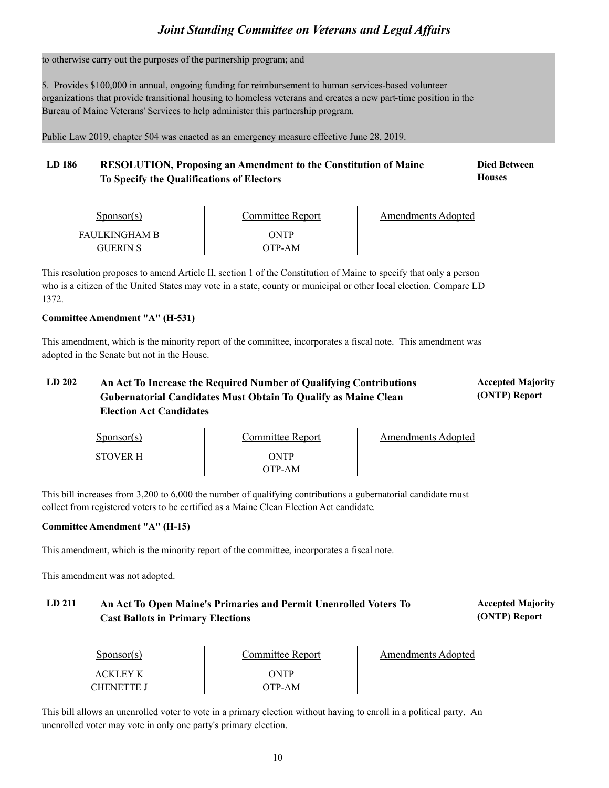to otherwise carry out the purposes of the partnership program; and

5. Provides \$100,000 in annual, ongoing funding for reimbursement to human services-based volunteer organizations that provide transitional housing to homeless veterans and creates a new part-time position in the Bureau of Maine Veterans' Services to help administer this partnership program.

Public Law 2019, chapter 504 was enacted as an emergency measure effective June 28, 2019.

#### LD 186 RESOLUTION, Proposing an Amendment to the Constitution of Maine **Died Between Houses To Specify the Qualifications of Electors**

| Sponsor(s)                | Committee Report | Amendments Adopted |  |
|---------------------------|------------------|--------------------|--|
| FAULKINGHAM B<br>GUERIN S | ONTP<br>OTP-AM   |                    |  |

This resolution proposes to amend Article II, section 1 of the Constitution of Maine to specify that only a person who is a citizen of the United States may vote in a state, county or municipal or other local election. Compare LD 1372.

#### **Committee Amendment "A" (H-531)**

This amendment, which is the minority report of the committee, incorporates a fiscal note. This amendment was adopted in the Senate but not in the House.

#### LD 202 An Act To Increase the Required Number of Qualifying Contributions **Accepted Majority (ONTP) Report Gubernatorial Candidates Must Obtain To Qualify as Maine Clean Election Act Candidates**

| $S_{\text{ponsor}}(s)$ | Committee Report | Amendments Adopted |
|------------------------|------------------|--------------------|
| <b>STOVER H</b>        | ONTP             |                    |
|                        | OTP-AM           |                    |

This bill increases from 3,200 to 6,000 the number of qualifying contributions a gubernatorial candidate must collect from registered voters to be certified as a Maine Clean Election Act candidate.

#### **Committee Amendment "A" (H-15)**

This amendment, which is the minority report of the committee, incorporates a fiscal note.

This amendment was not adopted.

## LD 211 An Act To Open Maine's Primaries and Permit Unenrolled Voters To **Accepted Majority Cast Ballots in Primary Elections**

Sponsor(s) ACKLEY K CHENETTE J ONTP OTP-AM Committee Report Amendments Adopted

**(ONTP) Report**

This bill allows an unenrolled voter to vote in a primary election without having to enroll in a political party. An unenrolled voter may vote in only one party's primary election.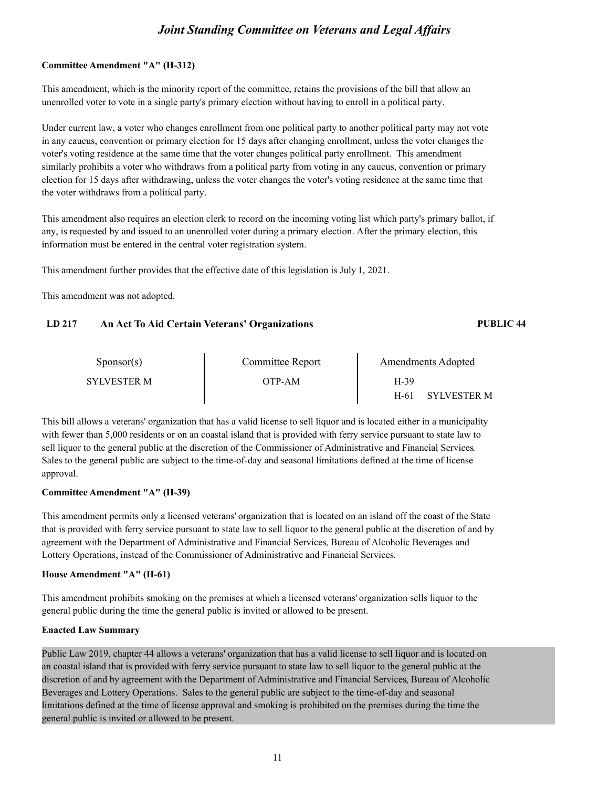#### **Committee Amendment "A" (H-312)**

This amendment, which is the minority report of the committee, retains the provisions of the bill that allow an unenrolled voter to vote in a single party's primary election without having to enroll in a political party.

Under current law, a voter who changes enrollment from one political party to another political party may not vote in any caucus, convention or primary election for 15 days after changing enrollment, unless the voter changes the voter's voting residence at the same time that the voter changes political party enrollment. This amendment similarly prohibits a voter who withdraws from a political party from voting in any caucus, convention or primary election for 15 days after withdrawing, unless the voter changes the voter's voting residence at the same time that the voter withdraws from a political party.

This amendment also requires an election clerk to record on the incoming voting list which party's primary ballot, if any, is requested by and issued to an unenrolled voter during a primary election. After the primary election, this information must be entered in the central voter registration system.

This amendment further provides that the effective date of this legislation is July 1, 2021.

This amendment was not adopted.

#### **LD 217 An Act To Aid Certain Veterans' Organizations PUBLIC 44**

| Sponsor(s)         | Committee Report | Amendments Adopted         |
|--------------------|------------------|----------------------------|
| <b>SYLVESTER M</b> | OTP-AM           | H-39                       |
|                    |                  | <b>SYLVESTER M</b><br>H-61 |

This bill allows a veterans' organization that has a valid license to sell liquor and is located either in a municipality with fewer than 5,000 residents or on an coastal island that is provided with ferry service pursuant to state law to sell liquor to the general public at the discretion of the Commissioner of Administrative and Financial Services.<br>Sales to the general public are subject to the time-of-day and seasonal limitations defined at the time of l approval.

#### **Committee Amendment "A" (H-39)**

This amendment permits only a licensed veterans' organization that is located on an island off the coast of the State that is provided with ferry service pursuant to state law to sell liquor to the general public at the discretion of and by agreement with the Department of Administrative and Financial Services, Bureau of Alcoholic Beverages and Lottery Operations, instead of the Commissioner of Administrative and Financial Services.

#### **House Amendment "A" (H-61)**

This amendment prohibits smoking on the premises at which a licensed veterans' organization sells liquor to the general public during the time the general public is invited or allowed to be present.

#### **Enacted Law Summary**

Public Law 2019, chapter 44 allows a veterans' organization that has a valid license to sell liquor and is located on an coastal island that is provided with ferry service pursuant to state law to sell liquor to the general public at the discretion of and by agreement with the Department of Administrative and Financial Services, Bureau of Alcoholic Beverages and Lottery Operations. Sales to the general public are subject to the time-of-day and seasonal limitations defined at the time of license approval and smoking is prohibited on the premises during the time the general public is invited or allowed to be present.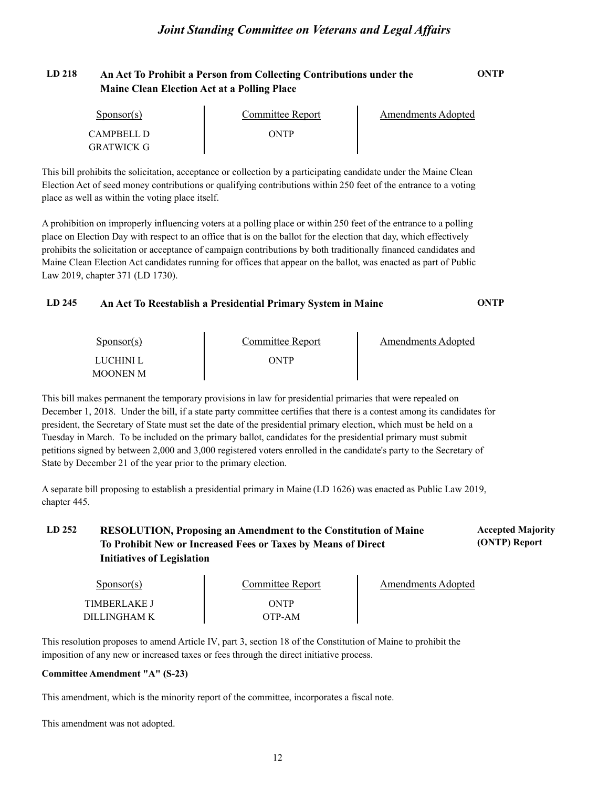## **LD 218 An Act To Prohibit a Person from Collecting Contributions under the ONTP Maine Clean Election Act at a Polling Place**

| $S_{\text{POD}S}$ (s) | Committee Report | Amendments Adopted |
|-----------------------|------------------|--------------------|
| CAMPBELL D            | ONTP             |                    |
| GRATWICK G            |                  |                    |

This bill prohibits the solicitation, acceptance or collection by a participating candidate under the Maine Clean Election Act of seed money contributions or qualifying contributions within 250 feet of the entrance to a voting place as well as within the voting place itself.

A prohibition on improperly influencing voters at a polling place or within 250 feet of the entrance to a polling place on Election Day with respect to an office that is on the ballot for the election that day, which effectively prohibits the solicitation or acceptance of campaign contributions by both traditionally financed candidates and Maine Clean Election Act candidates running for offices that appear on the ballot, was enacted as part of Public Law 2019, chapter 371 (LD 1730).

## **LD 245 An Act To Reestablish a Presidential Primary System in Maine ONTP**

| $S_{\text{DONSOT}}(s)$ | Committee Report | Amendments Adopted |  |
|------------------------|------------------|--------------------|--|
| LUCHINI L<br>MOONEN M  | ONTP             |                    |  |

This bill makes permanent the temporary provisions in law for presidential primaries that were repealed on December 1, 2018. Under the bill, if a state party committee certifies that there is a contest among its candidates for president, the Secretary of State must set the date of the presidential primary election, which must be held on a Tuesday in March. To be included on the primary ballot, candidates for the presidential primary must submit petitions signed by between 2,000 and 3,000 registered voters enrolled in the candidate's party to the Secretary of State by December 21 of the year prior to the primary election.

A separate bill proposing to establish a presidential primary in Maine (LD 1626) was enacted as Public Law 2019, chapter 445.

## **LD 252 Accepted Majority RESOLUTION, Proposing an Amendment to the Constitution of Maine To Prohibit New or Increased Fees or Taxes by Means of Direct Initiatives of Legislation**

| Sponsor(s)          | Committee Report | Amendments Adopted |
|---------------------|------------------|--------------------|
| <b>TIMBERLAKE J</b> | ONTP             |                    |
| DILLINGHAM K        | OTP-AM           |                    |

**(ONTP) Report**

This resolution proposes to amend Article IV, part 3, section 18 of the Constitution of Maine to prohibit the imposition of any new or increased taxes or fees through the direct initiative process.

#### **Committee Amendment "A" (S-23)**

This amendment, which is the minority report of the committee, incorporates a fiscal note.

This amendment was not adopted.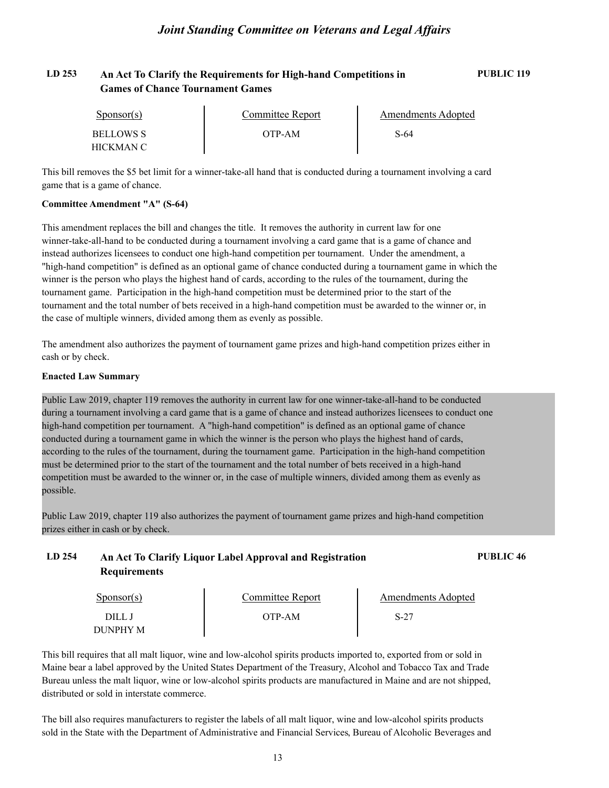## **LD 253 An Act To Clarify the Requirements for High-hand Competitions in PUBLIC 119 Games of Chance Tournament Games**

| Sponsor(s)                    | Committee Report | Amendments Adopted |  |
|-------------------------------|------------------|--------------------|--|
| <b>BELLOWS S</b><br>HICKMAN C | OTP-AM           | S-64               |  |

This bill removes the \$5 bet limit for a winner-take-all hand that is conducted during a tournament involving a card game that is a game of chance.

#### **Committee Amendment "A" (S-64)**

This amendment replaces the bill and changes the title. It removes the authority in current law for one winner-take-all-hand to be conducted during a tournament involving a card game that is a game of chance and instead authorizes licensees to conduct one high-hand competition per tournament. Under the amendment, a "high-hand competition" is defined as an optional game of chance conducted during a tournament game in which the winner is the person who plays the highest hand of cards, according to the rules of the tournament, during the tournament game. Participation in the high-hand competition must be determined prior to the start of the tournament and the total number of bets received in a high-hand competition must be awarded to the winner or, in the case of multiple winners, divided among them as evenly as possible.

The amendment also authorizes the payment of tournament game prizes and high-hand competition prizes either in cash or by check.

#### **Enacted Law Summary**

Public Law 2019, chapter 119 removes the authority in current law for one winner-take-all-hand to be conducted during a tournament involving a card game that is a game of chance and instead authorizes licensees to conduct one high-hand competition per tournament. A "high-hand competition" is defined as an optional game of chance conducted during a tournament game in which the winner is the person who plays the highest hand of cards, according to the rules of the tournament, during the tournament game. Participation in the high-hand competition must be determined prior to the start of the tournament and the total number of bets received in a high-hand competition must be awarded to the winner or, in the case of multiple winners, divided among them as evenly as possible.

Public Law 2019, chapter 119 also authorizes the payment of tournament game prizes and high-hand competition prizes either in cash or by check.

| LD 254 | An Act To Clarify Liquor Label Approval and Registration | <b>PUBLIC 46</b> |
|--------|----------------------------------------------------------|------------------|
|        | <b>Requirements</b>                                      |                  |

| $S_{\text{ponsor}}(s)$ | Committee Report | Amendments Adopted |  |
|------------------------|------------------|--------------------|--|
| DILL.                  | )TP-AM           | $S-27$             |  |
| DUNPHY M               |                  |                    |  |

This bill requires that all malt liquor, wine and low-alcohol spirits products imported to, exported from or sold in Maine bear a label approved by the United States Department of the Treasury, Alcohol and Tobacco Tax and Trade Bureau unless the malt liquor, wine or low-alcohol spirits products are manufactured in Maine and are not shipped, distributed or sold in interstate commerce.

The bill also requires manufacturers to register the labels of all malt liquor, wine and low-alcohol spirits products sold in the State with the Department of Administrative and Financial Services, Bureau of Alcoholic Beverages and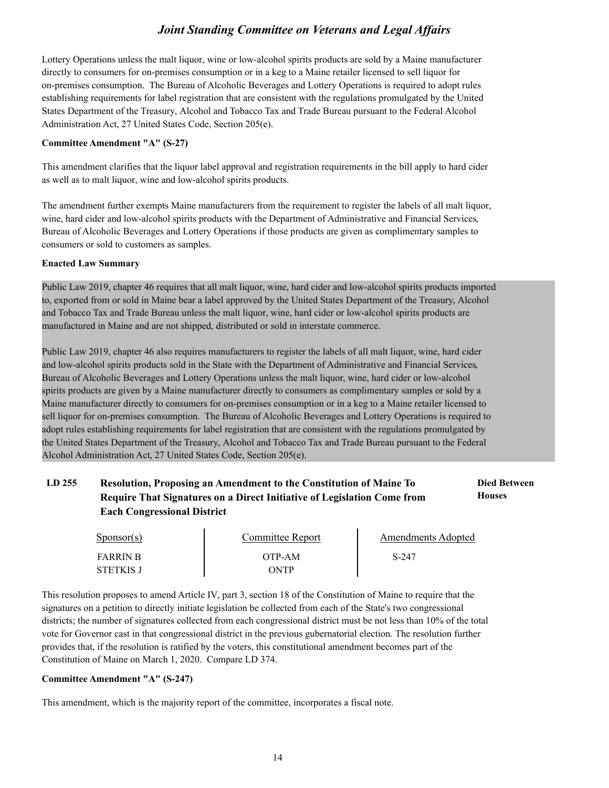Lottery Operations unless the malt liquor, wine or low-alcohol spirits products are sold by a Maine manufacturer directly to consumers for on-premises consumption or in a keg to a Maine retailer licensed to sell liquor for on-premises consumption. The Bureau of Alcoholic Beverages and Lottery Operations is required to adopt rules establishing requirements for label registration that are consistent with the regulations promulgated by the United States Department of the Treasury, Alcohol and Tobacco Tax and Trade Bureau pursuant to the Federal Alcohol Administration Act, 27 United States Code, Section 205(e).

#### **Committee Amendment "A" (S-27)**

This amendment clarifies that the liquor label approval and registration requirements in the bill apply to hard cider as well as to malt liquor, wine and low-alcohol spirits products.

The amendment further exempts Maine manufacturers from the requirement to register the labels of all malt liquor, wine, hard cider and low-alcohol spirits products with the Department of Administrative and Financial Services, Bureau of Alcoholic Beverages and Lottery Operations if those products are given as complimentary samples to consumers or sold to customers as samples.

#### **Enacted Law Summary**

Public Law 2019, chapter 46 requires that all malt liquor, wine, hard cider and low-alcohol spirits products imported to, exported from or sold in Maine bear a label approved by the United States Department of the Treasury, Alcohol and Tobacco Tax and Trade Bureau unless the malt liquor, wine, hard cider or low-alcohol spirits products are manufactured in Maine and are not shipped, distributed or sold in interstate commerce.

Public Law 2019, chapter 46 also requires manufacturers to register the labels of all malt liquor, wine, hard cider and low-alcohol spirits products sold in the State with the Department of Administrative and Financial Services, Bureau of Alcoholic Beverages and Lottery Operations unless the malt liquor, wine, hard cider or low-alcohol spirits products are given by a Maine manufacturer directly to consumers as complimentary samples or sold by a Maine manufacturer directly to consumers for on-premises consumption or in a keg to a Maine retailer licensed to sell liquor for on-premises consumption. The Bureau of Alcoholic Beverages and Lottery Operations is required to adopt rules establishing requirements for label registration that are consistent with the regulations promulgated by the United States Department of the Treasury, Alcohol and Tobacco Tax and Trade Bureau pursuant to the Federal Alcohol Administration Act, 27 United States Code, Section 205(e).

#### LD 255 Resolution, Proposing an Amendment to the Constitution of Maine To **Died Between Houses Require That Signatures on a Direct Initiative of Legislation Come from Each Congressional District**

| $S_{\text{ponsor}}(s)$       | Committee Report | Amendments Adopted |  |
|------------------------------|------------------|--------------------|--|
| <b>FARRIN B</b><br>STETKIS J | OTP-AM<br>ONTP   | S-247              |  |

This resolution proposes to amend Article IV, part 3, section 18 of the Constitution of Maine to require that the signatures on a petition to directly initiate legislation be collected from each of the State's two congressional districts; the number of signatures collected from each congressional district must be not less than 10% of the total vote for Governor cast in that congressional district in the previous gubernatorial election. The resolution further provides that, if the resolution is ratified by the voters, this constitutional amendment becomes part of the Constitution of Maine on March 1, 2020. Compare LD 374.

#### **Committee Amendment "A" (S-247)**

This amendment, which is the majority report of the committee, incorporates a fiscal note.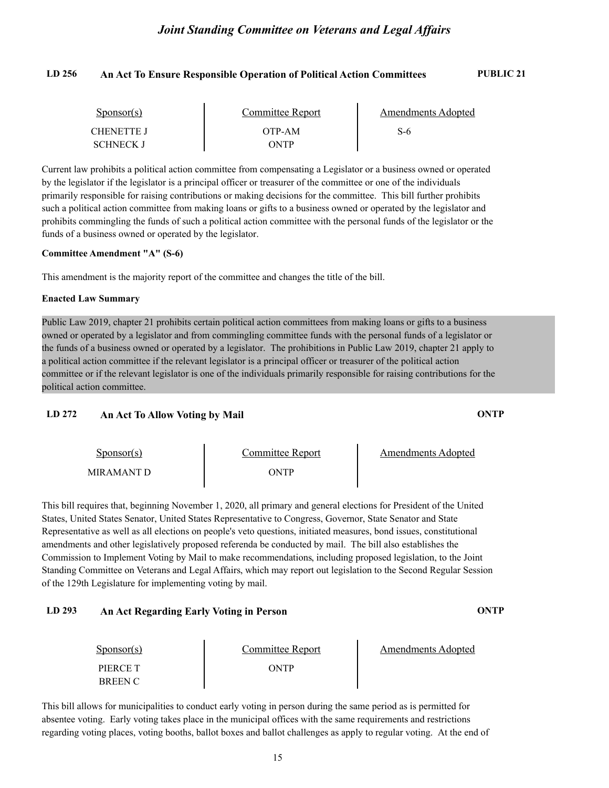## **LD 256 An Act To Ensure Responsible Operation of Political Action Committees PUBLIC 21**

| Sponsor(s)       | Committee Report | Amendments Adopted |  |
|------------------|------------------|--------------------|--|
| CHENETTE J       | OTP-AM           | S-6                |  |
| <b>SCHNECK J</b> | <b>)NTP</b>      |                    |  |

Current law prohibits a political action committee from compensating a Legislator or a business owned or operated by the legislator if the legislator is a principal officer or treasurer of the committee or one of the individuals primarily responsible for raising contributions or making decisions for the committee. This bill further prohibits such a political action committee from making loans or gifts to a business owned or operated by the legislator and prohibits commingling the funds of such a political action committee with the personal funds of the legislator or the funds of a business owned or operated by the legislator.

#### **Committee Amendment "A" (S-6)**

This amendment is the majority report of the committee and changes the title of the bill.

#### **Enacted Law Summary**

Public Law 2019, chapter 21 prohibits certain political action committees from making loans or gifts to a business owned or operated by a legislator and from commingling committee funds with the personal funds of a legislator or the funds of a business owned or operated by a legislator. The prohibitions in Public Law 2019, chapter 21 apply to a political action committee if the relevant legislator is a principal officer or treasurer of the political action committee or if the relevant legislator is one of the individuals primarily responsible for raising contributions for the political action committee.

#### **LD 272 An Act To Allow Voting by Mail ONTP**

Sponsor(s) Sponsor(s) Committee Report<br>MIRAMANT D ONTP Amendments Adopted

This bill requires that, beginning November 1, 2020, all primary and general elections for President of the United States, United States Senator, United States Representative to Congress, Governor, State Senator and State Representative as well as all elections on people's veto questions, initiated measures, bond issues, constitutional amendments and other legislatively proposed referenda be conducted by mail. The bill also establishes the Commission to Implement Voting by Mail to make recommendations, including proposed legislation, to the Joint Standing Committee on Veterans and Legal Affairs, which may report out legislation to the Second Regular Session of the 129th Legislature for implementing voting by mail.

#### **LD 293 An Act Regarding Early Voting in Person ONTP**

| $S_{\text{PON}(\text{S})}$ | Committee Report | <b>Amendments Adopted</b> |  |
|----------------------------|------------------|---------------------------|--|
| PIERCE T<br>BREEN C        | ONTP             |                           |  |

This bill allows for municipalities to conduct early voting in person during the same period as is permitted for absentee voting. Early voting takes place in the municipal offices with the same requirements and restrictions regarding voting places, voting booths, ballot boxes and ballot challenges as apply to regular voting. At the end of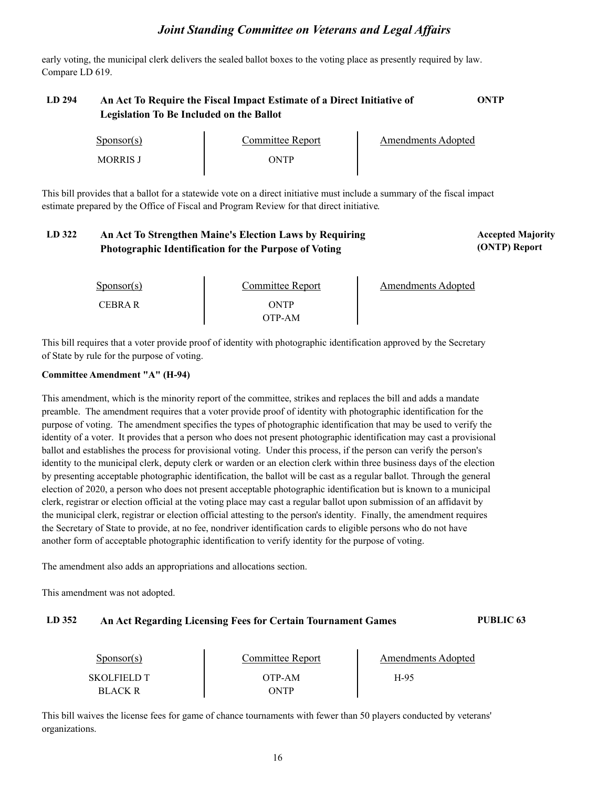early voting, the municipal clerk delivers the sealed ballot boxes to the voting place as presently required by law. Compare LD 619.

## **LD 294 An Act To Require the Fiscal Impact Estimate of a Direct Initiative of ONTP Legislation To Be Included on the Ballot**

| Sponsor(s)      | Committee Report | Amendments Adopted |
|-----------------|------------------|--------------------|
| <b>MORRIS J</b> | WTP              |                    |

This bill provides that a ballot for a statewide vote on a direct initiative must include a summary of the fiscal impact estimate prepared by the Office of Fiscal and Program Review for that direct initiative.

#### LD 322 An Act To Strengthen Maine's Election Laws by Requiring **Accepted Majority** Accepted Majority **(ONTP) Report Photographic Identification for the Purpose of Voting**

| $S_{\text{ponsor}}(s)$ | Committee Report | <b>Amendments Adopted</b> |
|------------------------|------------------|---------------------------|
| <b>CEBRA R</b>         | ONTP<br>OTP-AM   |                           |

This bill requires that a voter provide proof of identity with photographic identification approved by the Secretary of State by rule for the purpose of voting.

#### **Committee Amendment "A" (H-94)**

This amendment, which is the minority report of the committee, strikes and replaces the bill and adds a mandate preamble. The amendment requires that a voter provide proof of identity with photographic identification for the purpose of voting. The amendment specifies the types of photographic identification that may be used to verify the identity of a voter. It provides that a person who does not present photographic identification may cast a provisional ballot and establishes the process for provisional voting. Under this process, if the person can verify the person's identity to the municipal clerk, deputy clerk or warden or an election clerk within three business days of the election by presenting acceptable photographic identification, the ballot will be cast as a regular ballot. Through the general election of 2020, a person who does not present acceptable photographic identification but is known to a municipal clerk, registrar or election official at the voting place may cast a regular ballot upon submission of an affidavit by the municipal clerk, registrar or election official attesting to the person's identity. Finally, the amendment requires the Secretary of State to provide, at no fee, nondriver identification cards to eligible persons who do not have another form of acceptable photographic identification to verify identity for the purpose of voting.

The amendment also adds an appropriations and allocations section.

This amendment was not adopted.

#### **LD 352 An Act Regarding Licensing Fees for Certain Tournament Games PUBLIC 63**

| Sponsor(s)                           | Committee Report | Amendments Adopted |  |
|--------------------------------------|------------------|--------------------|--|
| <b>SKOLFIELD T</b><br><b>BLACK R</b> | OTP-AM<br>ONTP   | H-95               |  |

This bill waives the license fees for game of chance tournaments with fewer than 50 players conducted by veterans' organizations.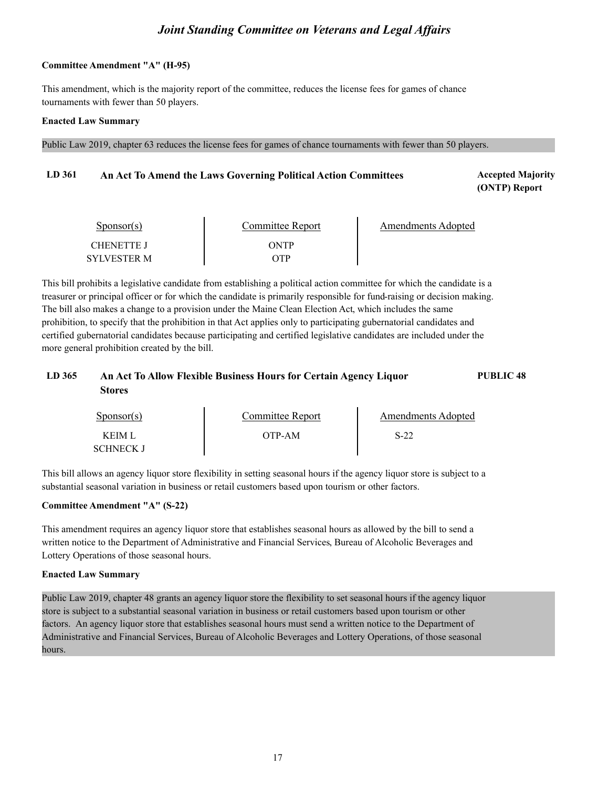#### **Committee Amendment "A" (H-95)**

This amendment, which is the majority report of the committee, reduces the license fees for games of chance tournaments with fewer than 50 players.

#### **Enacted Law Summary**

Public Law 2019, chapter 63 reduces the license fees for games of chance tournaments with fewer than 50 players.

#### LD 361 **An Act To Amend the Laws Governing Political Action Committees Accepted Majority**

**(ONTP) Report**

| Sponsor(s)         | Committee Report | Amendments Adopted |
|--------------------|------------------|--------------------|
| <b>CHENETTE J</b>  | ONTP             |                    |
| <b>SYLVESTER M</b> | YTP              |                    |

This bill prohibits a legislative candidate from establishing a political action committee for which the candidate is a treasurer or principal officer or for which the candidate is primarily responsible for fund-raising or decision making. The bill also makes a change to a provision under the Maine Clean Election Act, which includes the same prohibition, to specify that the prohibition in that Act applies only to participating gubernatorial candidates and certified gubernatorial candidates because participating and certified legislative candidates are included under the more general prohibition created by the bill.

## **LD 365 An Act To Allow Flexible Business Hours for Certain Agency Liquor PUBLIC 48 Stores**

| $S_{\text{ponsor}}(s)$           | Committee Report | Amendments Adopted |  |
|----------------------------------|------------------|--------------------|--|
| <b>KEIML</b><br><b>SCHNECK J</b> | OTP-AM           | $S-22$             |  |

This bill allows an agency liquor store flexibility in setting seasonal hours if the agency liquor store is subject to a substantial seasonal variation in business or retail customers based upon tourism or other factors.

#### **Committee Amendment "A" (S-22)**

This amendment requires an agency liquor store that establishes seasonal hours as allowed by the bill to send a written notice to the Department of Administrative and Financial Services, Bureau of Alcoholic Beverages and Lottery Operations of those seasonal hours.

#### **Enacted Law Summary**

Public Law 2019, chapter 48 grants an agency liquor store the flexibility to set seasonal hours if the agency liquor store is subject to a substantial seasonal variation in business or retail customers based upon tourism or other factors. An agency liquor store that establishes seasonal hours must send a written notice to the Department of Administrative and Financial Services, Bureau of Alcoholic Beverages and Lottery Operations, of those seasonal hours.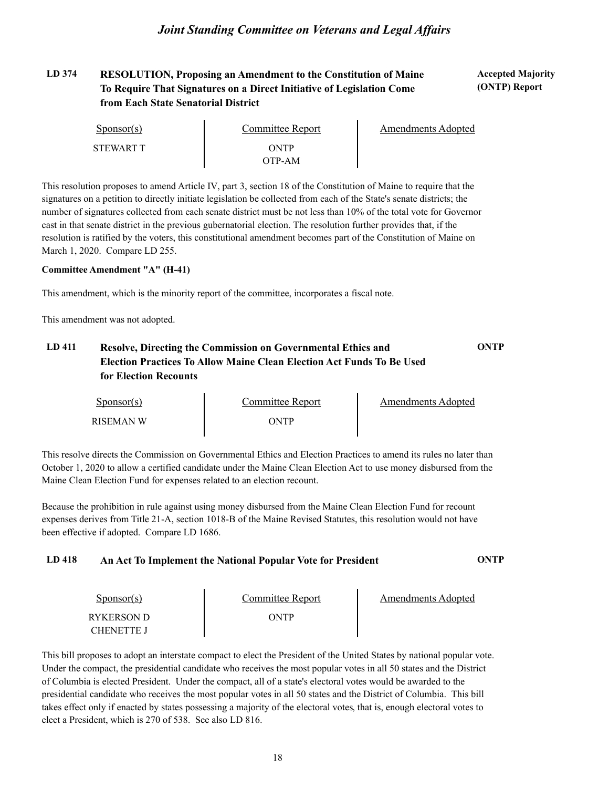## **LD 374 Accepted Majority RESOLUTION, Proposing an Amendment to the Constitution of Maine To Require That Signatures on a Direct Initiative of Legislation Come from Each State Senatorial District**

| $S_{\text{PON}(\text{S})}$ | Committee Report | Amendments Adopted |
|----------------------------|------------------|--------------------|
| <b>STEWART T</b>           | ONTP<br>OTP-AM   |                    |

This resolution proposes to amend Article IV, part 3, section 18 of the Constitution of Maine to require that the signatures on a petition to directly initiate legislation be collected from each of the State's senate districts; the number of signatures collected from each senate district must be not less than 10% of the total vote for Governor cast in that senate district in the previous gubernatorial election. The resolution further provides that, if the resolution is ratified by the voters, this constitutional amendment becomes part of the Constitution of Maine on March 1, 2020. Compare LD 255.

#### **Committee Amendment "A" (H-41)**

This amendment, which is the minority report of the committee, incorporates a fiscal note.

This amendment was not adopted.

## **LD 411 Resolve, Directing the Commission on Governmental Ethics and ONTP Election Practices To Allow Maine Clean Election Act Funds To Be Used for Election Recounts**

| Sponsor(s)       | Committee Report | Amendments Adopted |  |
|------------------|------------------|--------------------|--|
| <b>RISEMAN W</b> | ONTP             |                    |  |

This resolve directs the Commission on Governmental Ethics and Election Practices to amend its rules no later than October 1, 2020 to allow a certified candidate under the Maine Clean Election Act to use money disbursed from the Maine Clean Election Fund for expenses related to an election recount.

Because the prohibition in rule against using money disbursed from the Maine Clean Election Fund for recount expenses derives from Title 21-A, section 1018-B of the Maine Revised Statutes, this resolution would not have been effective if adopted. Compare LD 1686.

#### **LD 418 An Act To Implement the National Popular Vote for President ONTP**

| Sponsor(s)                      | Committee Report | Amendments Adopted |
|---------------------------------|------------------|--------------------|
| RYKERSON D<br><b>CHENETTE J</b> | ONTP             |                    |

This bill proposes to adopt an interstate compact to elect the President of the United States by national popular vote. Under the compact, the presidential candidate who receives the most popular votes in all 50 states and the District of Columbia is elected President. Under the compact, all of a state's electoral votes would be awarded to the presidential candidate who receives the most popular votes in all 50 states and the District of Columbia. This bill takes effect only if enacted by states possessing a majority of the electoral votes, that is, enough electoral votes to elect a President, which is 270 of 538. See also LD 816.

**(ONTP) Report**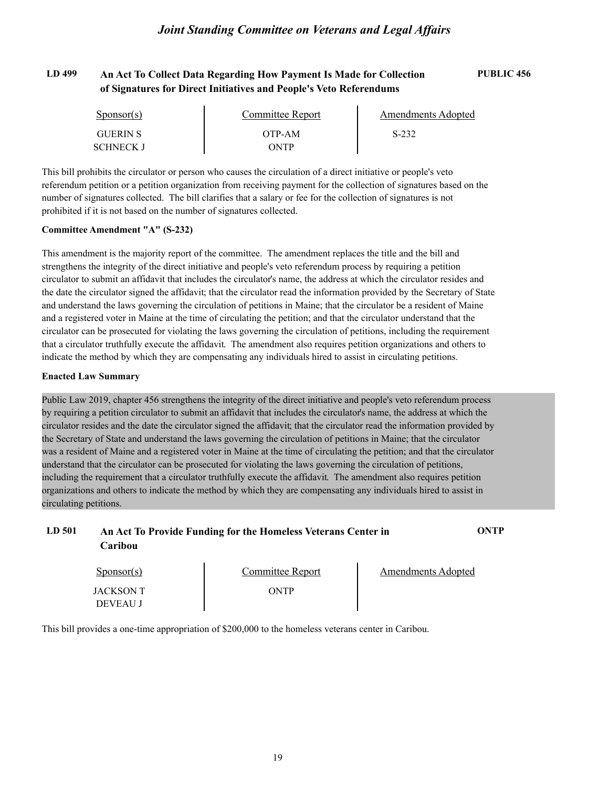## **LD 499 An Act To Collect Data Regarding How Payment Is Made for Collection PUBLIC 456 of Signatures for Direct Initiatives and People's Veto Referendums**

| $S_{\text{ponsor}}(s)$ | Committee Report | <b>Amendments Adopted</b> |  |
|------------------------|------------------|---------------------------|--|
| <b>GUERIN S</b>        | OTP-AM           | $S-232$                   |  |
| SCHNECK J              | ONTP             |                           |  |

This bill prohibits the circulator or person who causes the circulation of a direct initiative or people's veto referendum petition or a petition organization from receiving payment for the collection of signatures based on the number of signatures collected. The bill clarifies that a salary or fee for the collection of signatures is not prohibited if it is not based on the number of signatures collected.

#### **Committee Amendment "A" (S-232)**

This amendment is the majority report of the committee. The amendment replaces the title and the bill and strengthens the integrity of the direct initiative and people's veto referendum process by requiring a petition circulator to submit an affidavit that includes the circulator's name, the address at which the circulator resides and the date the circulator signed the affidavit; that the circulator read the information provided by the Secretary of State and understand the laws governing the circulation of petitions in Maine; that the circulator be a resident of Maine and a registered voter in Maine at the time of circulating the petition; and that the circulator understand that the circulator can be prosecuted for violating the laws governing the circulation of petitions, including the requirement that a circulator truthfully execute the affidavit. The amendment also requires petition organizations and others to indicate the method by which they are compensating any individuals hired to assist in circulating petitions.

#### **Enacted Law Summary**

Public Law 2019, chapter 456 strengthens the integrity of the direct initiative and people's veto referendum process by requiring a petition circulator to submit an affidavit that includes the circulator's name, the address at which the circulator resides and the date the circulator signed the affidavit; that the circulator read the information provided by the Secretary of State and understand the laws governing the circulation of petitions in Maine; that the circulator was a resident of Maine and a registered voter in Maine at the time of circulating the petition; and that the circulator understand that the circulator can be prosecuted for violating the laws governing the circulation of petitions, including the requirement that a circulator truthfully execute the affidavit. The amendment also requires petition organizations and others to indicate the method by which they are compensating any individuals hired to assist in circulating petitions.

| LD 501 | An Act To Provide Funding for the Homeless Veterans Center in | <b>ONTP</b> |
|--------|---------------------------------------------------------------|-------------|
|        | Caribou                                                       |             |

| $S_{\text{ponsor}(s)}$       | Committee Report | Amendments Adopted |
|------------------------------|------------------|--------------------|
| JACKSON T<br><b>DEVEAU J</b> | ONTP             |                    |

This bill provides a one-time appropriation of \$200,000 to the homeless veterans center in Caribou.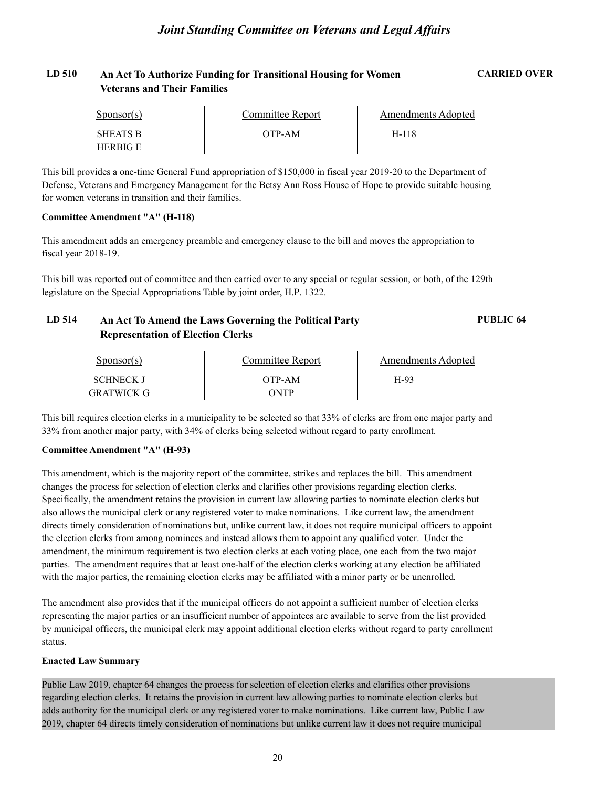## **LD 510 An Act To Authorize Funding for Transitional Housing for Women CARRIED OVER Veterans and Their Families**

| $S_{\text{PON}(\text{S})}$ | Committee Report | Amendments Adopted |  |
|----------------------------|------------------|--------------------|--|
| <b>SHEATS B</b>            | OTP-AM           | H-118              |  |
| <b>HERBIG E</b>            |                  |                    |  |

This bill provides a one-time General Fund appropriation of \$150,000 in fiscal year 2019-20 to the Department of Defense, Veterans and Emergency Management for the Betsy Ann Ross House of Hope to provide suitable housing for women veterans in transition and their families.

#### **Committee Amendment "A" (H-118)**

This amendment adds an emergency preamble and emergency clause to the bill and moves the appropriation to fiscal year 2018-19.

This bill was reported out of committee and then carried over to any special or regular session, or both, of the 129th legislature on the Special Appropriations Table by joint order, H.P. 1322.

## **LD 514 An Act To Amend the Laws Governing the Political Party PUBLIC 64 Representation of Election Clerks**

| Sponsor(s) | Committee Report | Amendments Adopted |  |
|------------|------------------|--------------------|--|
| SCHNECK J  | OTP-AM           | $H-93$             |  |
| GRATWICK G | ONTP             |                    |  |

This bill requires election clerks in a municipality to be selected so that 33% of clerks are from one major party and 33% from another major party, with 34% of clerks being selected without regard to party enrollment.

#### **Committee Amendment "A" (H-93)**

This amendment, which is the majority report of the committee, strikes and replaces the bill. This amendment changes the process for selection of election clerks and clarifies other provisions regarding election clerks. Specifically, the amendment retains the provision in current law allowing parties to nominate election clerks but also allows the municipal clerk or any registered voter to make nominations. Like current law, the amendment directs timely consideration of nominations but, unlike current law, it does not require municipal officers to appoint the election clerks from among nominees and instead allows them to appoint any qualified voter. Under the amendment, the minimum requirement is two election clerks at each voting place, one each from the two major parties. The amendment requires that at least one-half of the election clerks working at any election be affiliated with the major parties, the remaining election clerks may be affiliated with a minor party or be unenrolled.

The amendment also provides that if the municipal officers do not appoint a sufficient number of election clerks representing the major parties or an insufficient number of appointees are available to serve from the list provided by municipal officers, the municipal clerk may appoint additional election clerks without regard to party enrollment status.

#### **Enacted Law Summary**

Public Law 2019, chapter 64 changes the process for selection of election clerks and clarifies other provisions regarding election clerks. It retains the provision in current law allowing parties to nominate election clerks but adds authority for the municipal clerk or any registered voter to make nominations. Like current law, Public Law 2019, chapter 64 directs timely consideration of nominations but unlike current law it does not require municipal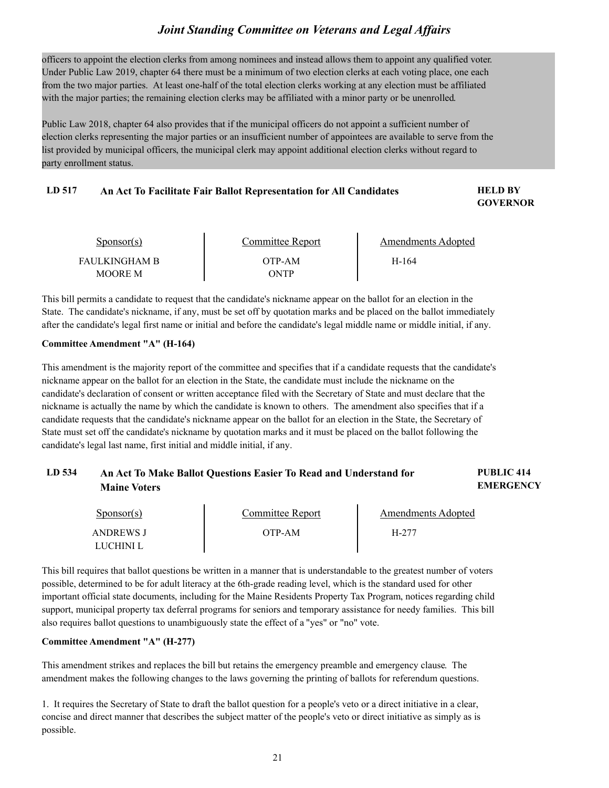officers to appoint the election clerks from among nominees and instead allows them to appoint any qualified voter.<br>Under Public Law 2019, chapter 64 there must be a minimum of two election clerks at each voting place, one from the two major parties. At least one-half of the total election clerks working at any election must be affiliated with the major parties; the remaining election clerks may be affiliated with a minor party or be unenrolled.

Public Law 2018, chapter 64 also provides that if the municipal officers do not appoint a sufficient number of election clerks representing the major parties or an insufficient number of appointees are available to serve from the list provided by municipal officers, the municipal clerk may appoint additional election clerks without regard to party enrollment status.

#### LD 517 **An Act To Facilitate Fair Ballot Representation for All Candidates <b>FILL BY**

**GOVERNOR**

| Sponsor(s)                             | Committee Report | Amendments Adopted |  |
|----------------------------------------|------------------|--------------------|--|
| <b>FAULKINGHAM B</b><br><b>MOORE M</b> | OTP-AM<br>ONTP   | H-164              |  |

This bill permits a candidate to request that the candidate's nickname appear on the ballot for an election in the State. The candidate's nickname, if any, must be set off by quotation marks and be placed on the ballot immediately after the candidate's legal first name or initial and before the candidate's legal middle name or middle initial, if any.

#### **Committee Amendment "A" (H-164)**

This amendment is the majority report of the committee and specifies that if a candidate requests that the candidate's nickname appear on the ballot for an election in the State, the candidate must include the nickname on the candidate's declaration of consent or written acceptance filed with the Secretary of State and must declare that the nickname is actually the name by which the candidate is known to others. The amendment also specifies that if a candidate requests that the candidate's nickname appear on the ballot for an election in the State, the Secretary of State must set off the candidate's nickname by quotation marks and it must be placed on the ballot following the candidate's legal last name, first initial and middle initial, if any.

#### **LD 534 PUBLIC 414 An Act To Make Ballot Questions Easier To Read and Understand for EMERGENCY Maine Voters**

| Sponsor(s) | Committee Report | Amendments Adopted |  |
|------------|------------------|--------------------|--|
| ANDREWS J  | OTP-AM-          | H-277              |  |
| LUCHINI L  |                  |                    |  |

This bill requires that ballot questions be written in a manner that is understandable to the greatest number of voters possible, determined to be for adult literacy at the 6th-grade reading level, which is the standard used for other important official state documents, including for the Maine Residents Property Tax Program, notices regarding child support, municipal property tax deferral programs for seniors and temporary assistance for needy families. This bill also requires ballot questions to unambiguously state the effect of a "yes" or "no" vote.

#### **Committee Amendment "A" (H-277)**

This amendment strikes and replaces the bill but retains the emergency preamble and emergency clause. The amendment makes the following changes to the laws governing the printing of ballots for referendum questions.

1. It requires the Secretary of State to draft the ballot question for a people's veto or a direct initiative in a clear, concise and direct manner that describes the subject matter of the people's veto or direct initiative as simply as is possible.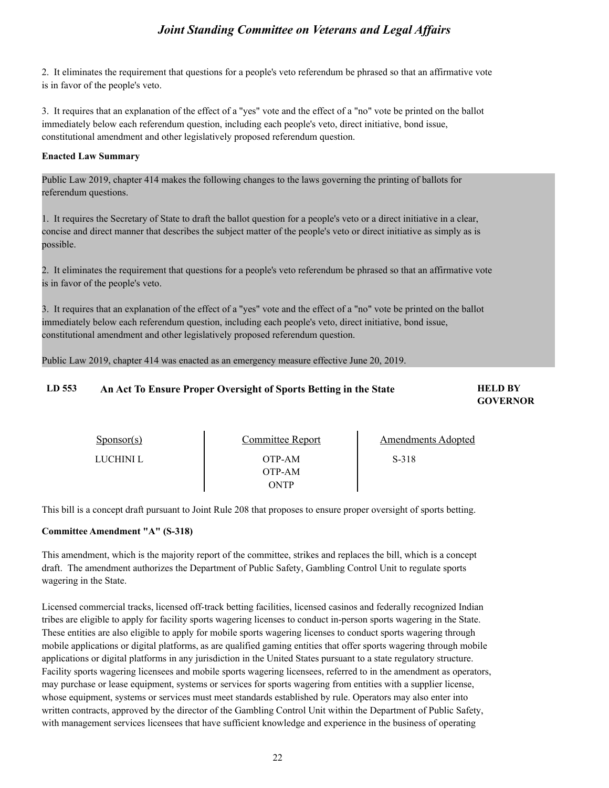2. It eliminates the requirement that questions for a people's veto referendum be phrased so that an affirmative vote is in favor of the people's veto.

3. It requires that an explanation of the effect of a "yes" vote and the effect of a "no" vote be printed on the ballot immediately below each referendum question, including each people's veto, direct initiative, bond issue, constitutional amendment and other legislatively proposed referendum question.

#### **Enacted Law Summary**

Public Law 2019, chapter 414 makes the following changes to the laws governing the printing of ballots for referendum questions.

1. It requires the Secretary of State to draft the ballot question for a people's veto or a direct initiative in a clear, concise and direct manner that describes the subject matter of the people's veto or direct initiative as simply as is possible.

2. It eliminates the requirement that questions for a people's veto referendum be phrased so that an affirmative vote is in favor of the people's veto.

3. It requires that an explanation of the effect of a "yes" vote and the effect of a "no" vote be printed on the ballot immediately below each referendum question, including each people's veto, direct initiative, bond issue, constitutional amendment and other legislatively proposed referendum question.

Public Law 2019, chapter 414 was enacted as an emergency measure effective June 20, 2019.

### LD 553 An Act To Ensure Proper Oversight of Sports Betting in the State **HELD BY**

# **GOVERNOR**

| $S_{\text{PON}(\text{S})}$ | Committee Report         | <b>Amendments Adopted</b> |  |
|----------------------------|--------------------------|---------------------------|--|
| LUCHINI L                  | OTP-AM<br>OTP-AM<br>ONTP | S-318                     |  |

This bill is a concept draft pursuant to Joint Rule 208 that proposes to ensure proper oversight of sports betting.

#### **Committee Amendment "A" (S-318)**

This amendment, which is the majority report of the committee, strikes and replaces the bill, which is a concept draft. The amendment authorizes the Department of Public Safety, Gambling Control Unit to regulate sports wagering in the State.

Licensed commercial tracks, licensed off-track betting facilities, licensed casinos and federally recognized Indian tribes are eligible to apply for facility sports wagering licenses to conduct in-person sports wagering in the State. These entities are also eligible to apply for mobile sports wagering licenses to conduct sports wagering through mobile applications or digital platforms, as are qualified gaming entities that offer sports wagering through mobile applications or digital platforms in any jurisdiction in the United States pursuant to a state regulatory structure. Facility sports wagering licensees and mobile sports wagering licensees, referred to in the amendment as operators, may purchase or lease equipment, systems or services for sports wagering from entities with a supplier license, whose equipment, systems or services must meet standards established by rule. Operators may also enter into written contracts, approved by the director of the Gambling Control Unit within the Department of Public Safety, with management services licensees that have sufficient knowledge and experience in the business of operating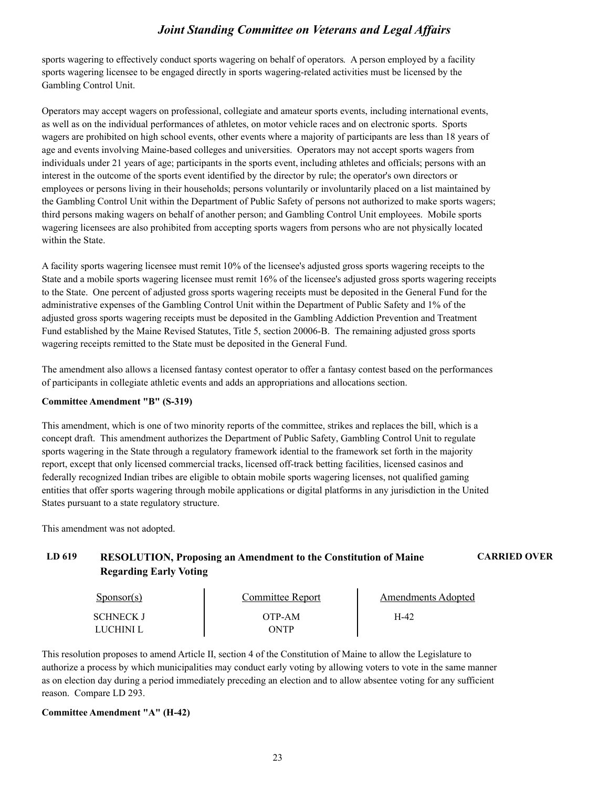sports wagering to effectively conduct sports wagering on behalf of operators. A person employed by a facility sports wagering licensee to be engaged directly in sports wagering-related activities must be licensed by the Gambling Control Unit.

Operators may accept wagers on professional, collegiate and amateur sports events, including international events, as well as on the individual performances of athletes, on motor vehicle races and on electronic sports. Sports wagers are prohibited on high school events, other events where a majority of participants are less than 18 years of age and events involving Maine-based colleges and universities. Operators may not accept sports wagers from individuals under 21 years of age; participants in the sports event, including athletes and officials; persons with an interest in the outcome of the sports event identified by the director by rule; the operator's own directors or employees or persons living in their households; persons voluntarily or involuntarily placed on a list maintained by the Gambling Control Unit within the Department of Public Safety of persons not authorized to make sports wagers; third persons making wagers on behalf of another person; and Gambling Control Unit employees. Mobile sports wagering licensees are also prohibited from accepting sports wagers from persons who are not physically located within the State.

A facility sports wagering licensee must remit 10% of the licensee's adjusted gross sports wagering receipts to the State and a mobile sports wagering licensee must remit 16% of the licensee's adjusted gross sports wagering receipts to the State. One percent of adjusted gross sports wagering receipts must be deposited in the General Fund for the administrative expenses of the Gambling Control Unit within the Department of Public Safety and 1% of the adjusted gross sports wagering receipts must be deposited in the Gambling Addiction Prevention and Treatment Fund established by the Maine Revised Statutes, Title 5, section 20006-B. The remaining adjusted gross sports wagering receipts remitted to the State must be deposited in the General Fund.

The amendment also allows a licensed fantasy contest operator to offer a fantasy contest based on the performances of participants in collegiate athletic events and adds an appropriations and allocations section.

#### **Committee Amendment "B" (S-319)**

This amendment, which is one of two minority reports of the committee, strikes and replaces the bill, which is a concept draft. This amendment authorizes the Department of Public Safety, Gambling Control Unit to regulate sports wagering in the State through a regulatory framework idential to the framework set forth in the majority report, except that only licensed commercial tracks, licensed off-track betting facilities, licensed casinos and federally recognized Indian tribes are eligible to obtain mobile sports wagering licenses, not qualified gaming entities that offer sports wagering through mobile applications or digital platforms in any jurisdiction in the United States pursuant to a state regulatory structure.

This amendment was not adopted.

## **LD 619 RESOLUTION, Proposing an Amendment to the Constitution of Maine CARRIED OVER Regarding Early Voting**

| $S_{\text{DON}(\text{S})}$ | <b>Committee Report</b> | <b>Amendments Adopted</b> |
|----------------------------|-------------------------|---------------------------|
| <b>SCHNECK J</b>           | OTP-AM                  | H-42                      |
| `HINI I                    | ONTP                    |                           |

This resolution proposes to amend Article II, section 4 of the Constitution of Maine to allow the Legislature to authorize a process by which municipalities may conduct early voting by allowing voters to vote in the same manner as on election day during a period immediately preceding an election and to allow absentee voting for any sufficient reason. Compare LD 293.

#### **Committee Amendment "A" (H-42)**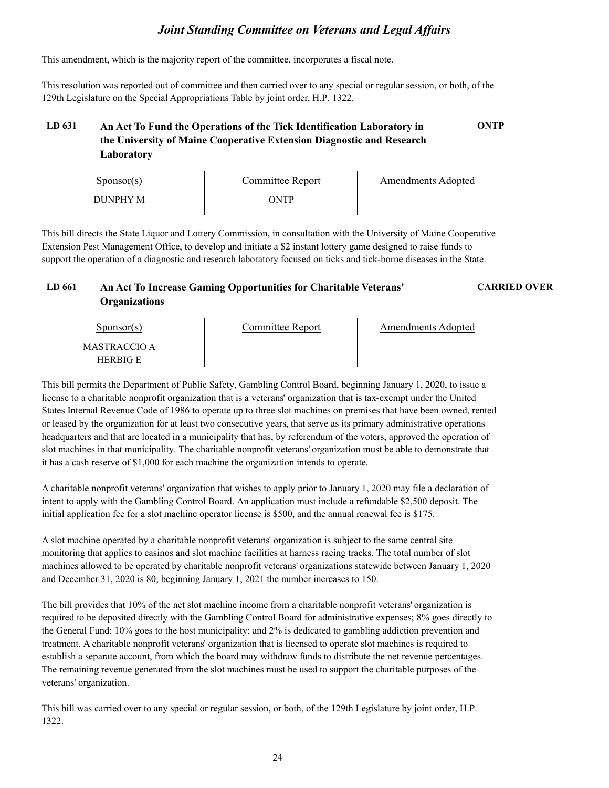This amendment, which is the majority report of the committee, incorporates a fiscal note.

This resolution was reported out of committee and then carried over to any special or regular session, or both, of the 129th Legislature on the Special Appropriations Table by joint order, H.P. 1322.

## **LD 631 An Act To Fund the Operations of the Tick Identification Laboratory in ONTP the University of Maine Cooperative Extension Diagnostic and Research Laboratory**

| $S_{\text{ponsor}}(s)$ | Committee Report | Amendments Adopted |
|------------------------|------------------|--------------------|
| <b>DUNPHY M</b>        | ONTP             |                    |

This bill directs the State Liquor and Lottery Commission, in consultation with the University of Maine Cooperative Extension Pest Management Office, to develop and initiate a \$2 instant lottery game designed to raise funds to support the operation of a diagnostic and research laboratory focused on ticks and tick-borne diseases in the State.

#### **LD 661 An Act To Increase Gaming Opportunities for Charitable Veterans' CARRIED OVER Organizations**

Sponsor(s) Sponsor(s)<br>MASTRACCIO A Committee Report HERBIG E Amendments Adopted

This bill permits the Department of Public Safety, Gambling Control Board, beginning January 1, 2020, to issue a license to a charitable nonprofit organization that is a veterans' organization that is tax-exempt under the United States Internal Revenue Code of 1986 to operate up to three slot machines on premises that have been owned, rented or leased by the organization for at least two consecutive years, that serve as its primary administrative operations headquarters and that are located in a municipality that has, by referendum of the voters, approved the operation of slot machines in that municipality. The charitable nonprofit veterans' organization must be able to demonstrate that it has a cash reserve of \$1,000 for each machine the organization intends to operate.

A charitable nonprofit veterans' organization that wishes to apply prior to January 1, 2020 may file a declaration of intent to apply with the Gambling Control Board. An application must include a refundable \$2,500 deposit. The initial application fee for a slot machine operator license is \$500, and the annual renewal fee is \$175.

A slot machine operated by a charitable nonprofit veterans' organization is subject to the same central site monitoring that applies to casinos and slot machine facilities at harness racing tracks. The total number of slot machines allowed to be operated by charitable nonprofit veterans' organizations statewide between January 1, 2020 and December 31, 2020 is 80; beginning January 1, 2021 the number increases to 150.

The bill provides that 10% of the net slot machine income from a charitable nonprofit veterans' organization is required to be deposited directly with the Gambling Control Board for administrative expenses; 8% goes directly to the General Fund; 10% goes to the host municipality; and 2% is dedicated to gambling addiction prevention and treatment. A charitable nonprofit veterans' organization that is licensed to operate slot machines is required to establish a separate account, from which the board may withdraw funds to distribute the net revenue percentages. The remaining revenue generated from the slot machines must be used to support the charitable purposes of the veterans' organization.

This bill was carried over to any special or regular session, or both, of the 129th Legislature by joint order, H.P. 1322.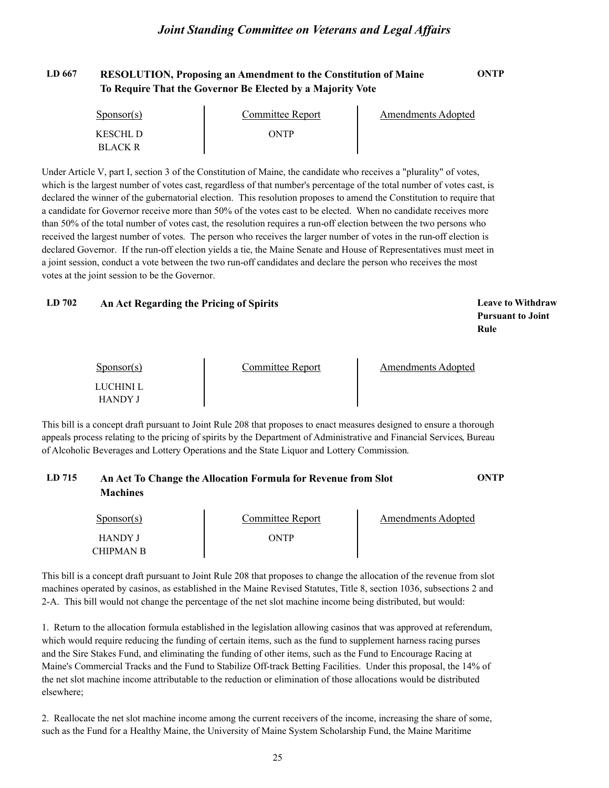## **LD 667 RESOLUTION, Proposing an Amendment to the Constitution of Maine ONTP To Require That the Governor Be Elected by a Majority Vote**

| $S_{\text{PONSOT}}(s)$ | Committee Report | Amendments Adopted |
|------------------------|------------------|--------------------|
| KESCHL D               | ONTP             |                    |
| <b>BLACK R</b>         |                  |                    |

Under Article V, part I, section 3 of the Constitution of Maine, the candidate who receives a "plurality" of votes, which is the largest number of votes cast, regardless of that number's percentage of the total number of votes cast, is declared the winner of the gubernatorial election. This resolution proposes to amend the Constitution to require that a candidate for Governor receive more than 50% of the votes cast to be elected. When no candidate receives more than 50% of the total number of votes cast, the resolution requires a run-off election between the two persons who received the largest number of votes. The person who receives the larger number of votes in the run-off election is declared Governor. If the run-off election yields a tie, the Maine Senate and House of Representatives must meet in a joint session, conduct a vote between the two run-off candidates and declare the person who receives the most votes at the joint session to be the Governor.

#### **LD 702 Leave to Withdraw An Act Regarding the Pricing of Spirits**

**Pursuant to Joint Rule**

| $S_{\text{ponsor}}(s)$ | Committee Report | Amendments Adopted |  |
|------------------------|------------------|--------------------|--|
| LUCHINI L              |                  |                    |  |
| <b>HANDY J</b>         |                  |                    |  |

This bill is a concept draft pursuant to Joint Rule 208 that proposes to enact measures designed to ensure a thorough appeals process relating to the pricing of spirits by the Department of Administrative and Financial Services, Bureau of Alcoholic Beverages and Lottery Operations and the State Liquor and Lottery Commission.

## **LD 715 An Act To Change the Allocation Formula for Revenue from Slot ONTP Machines**

| Sponsor(s)                  | Committee Report | Amendments Adopted |  |
|-----------------------------|------------------|--------------------|--|
| <b>HANDY J</b><br>CHIPMAN B | ONTP             |                    |  |

This bill is a concept draft pursuant to Joint Rule 208 that proposes to change the allocation of the revenue from slot machines operated by casinos, as established in the Maine Revised Statutes, Title 8, section 1036, subsections 2 and 2-A. This bill would not change the percentage of the net slot machine income being distributed, but would:

1. Return to the allocation formula established in the legislation allowing casinos that was approved at referendum, which would require reducing the funding of certain items, such as the fund to supplement harness racing purses and the Sire Stakes Fund, and eliminating the funding of other items, such as the Fund to Encourage Racing at Maine's Commercial Tracks and the Fund to Stabilize Off-track Betting Facilities. Under this proposal, the 14% of the net slot machine income attributable to the reduction or elimination of those allocations would be distributed elsewhere;

2. Reallocate the net slot machine income among the current receivers of the income, increasing the share of some, such as the Fund for a Healthy Maine, the University of Maine System Scholarship Fund, the Maine Maritime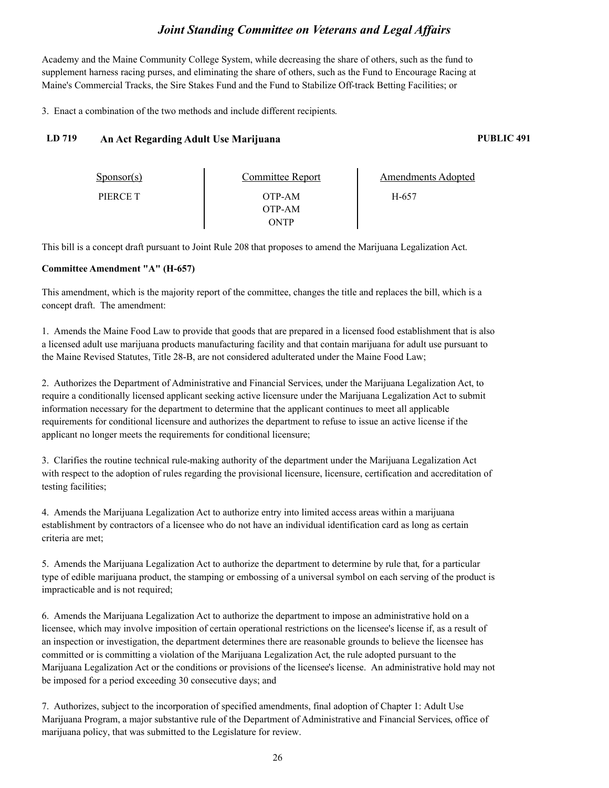Academy and the Maine Community College System, while decreasing the share of others, such as the fund to supplement harness racing purses, and eliminating the share of others, such as the Fund to Encourage Racing at Maine's Commercial Tracks, the Sire Stakes Fund and the Fund to Stabilize Off-track Betting Facilities; or

3. Enact a combination of the two methods and include different recipients.

## **LD 719 An Act Regarding Adult Use Marijuana PUBLIC 491**

| $S_{\text{PON}(\text{S})}$ | Committee Report | <b>Amendments Adopted</b> |  |
|----------------------------|------------------|---------------------------|--|
| PIERCE T                   | OTP-AM           | H-657                     |  |
|                            | OTP-AM           |                           |  |
|                            | ONTP             |                           |  |

This bill is a concept draft pursuant to Joint Rule 208 that proposes to amend the Marijuana Legalization Act.

#### **Committee Amendment "A" (H-657)**

This amendment, which is the majority report of the committee, changes the title and replaces the bill, which is a concept draft. The amendment:

1. Amends the Maine Food Law to provide that goods that are prepared in a licensed food establishment that is also a licensed adult use marijuana products manufacturing facility and that contain marijuana for adult use pursuant to the Maine Revised Statutes, Title 28-B, are not considered adulterated under the Maine Food Law;

2. Authorizes the Department of Administrative and Financial Services, under the Marijuana Legalization Act, to require a conditionally licensed applicant seeking active licensure under the Marijuana Legalization Act to submit information necessary for the department to determine that the applicant continues to meet all applicable requirements for conditional licensure and authorizes the department to refuse to issue an active license if the applicant no longer meets the requirements for conditional licensure;

3. Clarifies the routine technical rule-making authority of the department under the Marijuana Legalization Act with respect to the adoption of rules regarding the provisional licensure, licensure, certification and accreditation of testing facilities;

4. Amends the Marijuana Legalization Act to authorize entry into limited access areas within a marijuana establishment by contractors of a licensee who do not have an individual identification card as long as certain criteria are met;

5. Amends the Marijuana Legalization Act to authorize the department to determine by rule that, for a particular type of edible marijuana product, the stamping or embossing of a universal symbol on each serving of the product is impracticable and is not required;

6. Amends the Marijuana Legalization Act to authorize the department to impose an administrative hold on a licensee, which may involve imposition of certain operational restrictions on the licensee's license if, as a result of an inspection or investigation, the department determines there are reasonable grounds to believe the licensee has committed or is committing a violation of the Marijuana Legalization Act, the rule adopted pursuant to the Marijuana Legalization Act or the conditions or provisions of the licensee's license. An administrative hold may not be imposed for a period exceeding 30 consecutive days; and

7. Authorizes, subject to the incorporation of specified amendments, final adoption of Chapter 1: Adult Use Marijuana Program, a major substantive rule of the Department of Administrative and Financial Services, office of marijuana policy, that was submitted to the Legislature for review.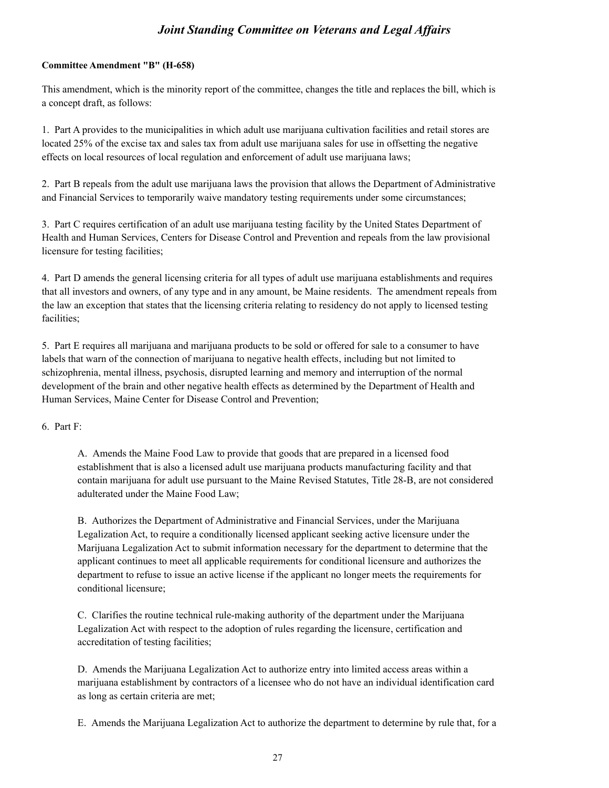#### **Committee Amendment "B" (H-658)**

This amendment, which is the minority report of the committee, changes the title and replaces the bill, which is a concept draft, as follows:

1. Part A provides to the municipalities in which adult use marijuana cultivation facilities and retail stores are located 25% of the excise tax and sales tax from adult use marijuana sales for use in offsetting the negative effects on local resources of local regulation and enforcement of adult use marijuana laws;

2. Part B repeals from the adult use marijuana laws the provision that allows the Department of Administrative and Financial Services to temporarily waive mandatory testing requirements under some circumstances;

3. Part C requires certification of an adult use marijuana testing facility by the United States Department of Health and Human Services, Centers for Disease Control and Prevention and repeals from the law provisional licensure for testing facilities;

4. Part D amends the general licensing criteria for all types of adult use marijuana establishments and requires that all investors and owners, of any type and in any amount, be Maine residents. The amendment repeals from the law an exception that states that the licensing criteria relating to residency do not apply to licensed testing facilities;

5. Part E requires all marijuana and marijuana products to be sold or offered for sale to a consumer to have labels that warn of the connection of marijuana to negative health effects, including but not limited to schizophrenia, mental illness, psychosis, disrupted learning and memory and interruption of the normal development of the brain and other negative health effects as determined by the Department of Health and Human Services, Maine Center for Disease Control and Prevention;

6. Part F:

A. Amends the Maine Food Law to provide that goods that are prepared in a licensed food establishment that is also a licensed adult use marijuana products manufacturing facility and that contain marijuana for adult use pursuant to the Maine Revised Statutes, Title 28-B, are not considered adulterated under the Maine Food Law;

B. Authorizes the Department of Administrative and Financial Services, under the Marijuana Legalization Act, to require a conditionally licensed applicant seeking active licensure under the Marijuana Legalization Act to submit information necessary for the department to determine that the applicant continues to meet all applicable requirements for conditional licensure and authorizes the department to refuse to issue an active license if the applicant no longer meets the requirements for conditional licensure;

C. Clarifies the routine technical rule-making authority of the department under the Marijuana Legalization Act with respect to the adoption of rules regarding the licensure, certification and accreditation of testing facilities;

D. Amends the Marijuana Legalization Act to authorize entry into limited access areas within a marijuana establishment by contractors of a licensee who do not have an individual identification card as long as certain criteria are met;

E. Amends the Marijuana Legalization Act to authorize the department to determine by rule that, for a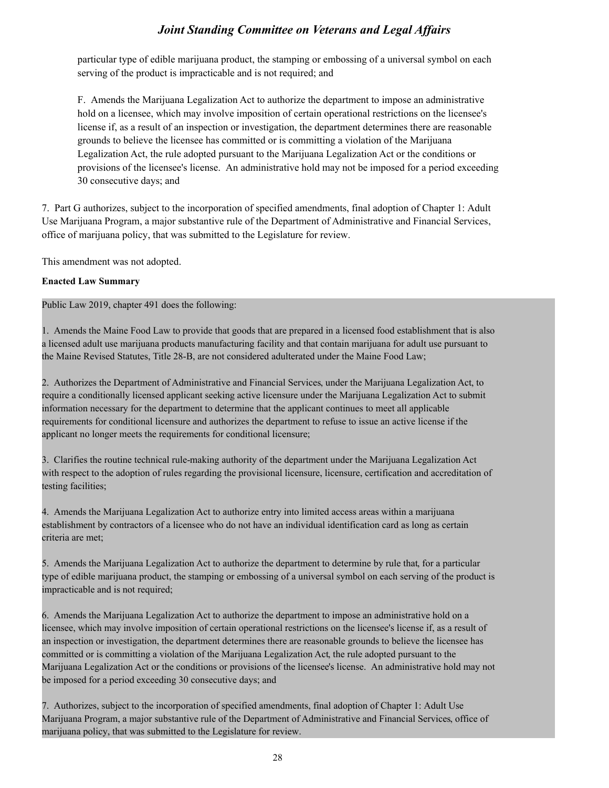particular type of edible marijuana product, the stamping or embossing of a universal symbol on each serving of the product is impracticable and is not required; and

F. Amends the Marijuana Legalization Act to authorize the department to impose an administrative hold on a licensee, which may involve imposition of certain operational restrictions on the licensee's license if, as a result of an inspection or investigation, the department determines there are reasonable grounds to believe the licensee has committed or is committing a violation of the Marijuana Legalization Act, the rule adopted pursuant to the Marijuana Legalization Act or the conditions or provisions of the licensee's license. An administrative hold may not be imposed for a period exceeding 30 consecutive days; and

7. Part G authorizes, subject to the incorporation of specified amendments, final adoption of Chapter 1: Adult Use Marijuana Program, a major substantive rule of the Department of Administrative and Financial Services, office of marijuana policy, that was submitted to the Legislature for review.

This amendment was not adopted.

#### **Enacted Law Summary**

Public Law 2019, chapter 491 does the following:

1. Amends the Maine Food Law to provide that goods that are prepared in a licensed food establishment that is also a licensed adult use marijuana products manufacturing facility and that contain marijuana for adult use pursuant to the Maine Revised Statutes, Title 28-B, are not considered adulterated under the Maine Food Law;

2. Authorizes the Department of Administrative and Financial Services, under the Marijuana Legalization Act, to require a conditionally licensed applicant seeking active licensure under the Marijuana Legalization Act to submit information necessary for the department to determine that the applicant continues to meet all applicable requirements for conditional licensure and authorizes the department to refuse to issue an active license if the applicant no longer meets the requirements for conditional licensure;

3. Clarifies the routine technical rule-making authority of the department under the Marijuana Legalization Act with respect to the adoption of rules regarding the provisional licensure, licensure, certification and accreditation of testing facilities;

4. Amends the Marijuana Legalization Act to authorize entry into limited access areas within a marijuana establishment by contractors of a licensee who do not have an individual identification card as long as certain criteria are met;

5. Amends the Marijuana Legalization Act to authorize the department to determine by rule that, for a particular type of edible marijuana product, the stamping or embossing of a universal symbol on each serving of the product is impracticable and is not required;

6. Amends the Marijuana Legalization Act to authorize the department to impose an administrative hold on a licensee, which may involve imposition of certain operational restrictions on the licensee's license if, as a result of an inspection or investigation, the department determines there are reasonable grounds to believe the licensee has committed or is committing a violation of the Marijuana Legalization Act, the rule adopted pursuant to the Marijuana Legalization Act or the conditions or provisions of the licensee's license. An administrative hold may not be imposed for a period exceeding 30 consecutive days; and

7. Authorizes, subject to the incorporation of specified amendments, final adoption of Chapter 1: Adult Use Marijuana Program, a major substantive rule of the Department of Administrative and Financial Services, office of marijuana policy, that was submitted to the Legislature for review.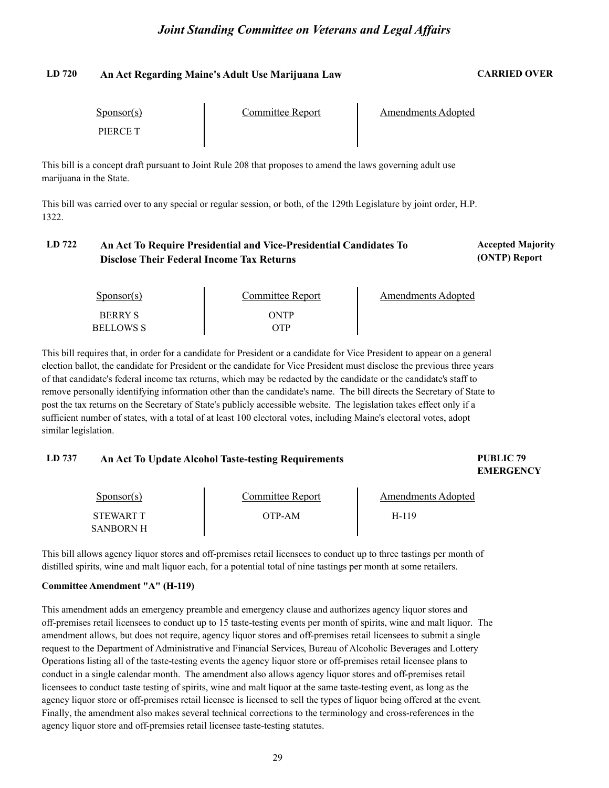#### **LD 720 An Act Regarding Maine's Adult Use Marijuana Law CARRIED OVER**

| $S_{\text{ponsor}}(s)$ | Committee Report | Amendments Adopted |  |
|------------------------|------------------|--------------------|--|
| PIERCE T               |                  |                    |  |

This bill is a concept draft pursuant to Joint Rule 208 that proposes to amend the laws governing adult use marijuana in the State.

This bill was carried over to any special or regular session, or both, of the 129th Legislature by joint order, H.P. 1322.

#### LD 722 An Act To Require Presidential and Vice-Presidential Candidates To **Accepted Majority Disclose Their Federal Income Tax Returns**

**(ONTP) Report**

| Sponsor(s)                         | Committee Report | Amendments Adopted |
|------------------------------------|------------------|--------------------|
| <b>BERRY S</b><br><b>BELLOWS S</b> | ONTP<br>OTP      |                    |

This bill requires that, in order for a candidate for President or a candidate for Vice President to appear on a general election ballot, the candidate for President or the candidate for Vice President must disclose the previous three years of that candidate's federal income tax returns, which may be redacted by the candidate or the candidate's staff to remove personally identifying information other than the candidate's name. The bill directs the Secretary of State to post the tax returns on the Secretary of State's publicly accessible website. The legislation takes effect only if a sufficient number of states, with a total of at least 100 electoral votes, including Maine's electoral votes, adopt similar legislation.

#### **LD 737 PUBLIC 79 An Act To Update Alcohol Taste-testing Requirements**

# **EMERGENCY**

| Sponsor(s)       | Committee Report | Amendments Adopted |  |
|------------------|------------------|--------------------|--|
| <b>STEWART T</b> | OTP-AM           | H-119              |  |
| SANBORN H        |                  |                    |  |

This bill allows agency liquor stores and off-premises retail licensees to conduct up to three tastings per month of distilled spirits, wine and malt liquor each, for a potential total of nine tastings per month at some retailers.

#### **Committee Amendment "A" (H-119)**

This amendment adds an emergency preamble and emergency clause and authorizes agency liquor stores and off-premises retail licensees to conduct up to 15 taste-testing events per month of spirits, wine and malt liquor. The amendment allows, but does not require, agency liquor stores and off-premises retail licensees to submit a single request to the Department of Administrative and Financial Services, Bureau of Alcoholic Beverages and Lottery Operations listing all of the taste-testing events the agency liquor store or off-premises retail licensee plans to conduct in a single calendar month. The amendment also allows agency liquor stores and off-premises retail licensees to conduct taste testing of spirits, wine and malt liquor at the same taste-testing event, as long as the agency liquor store or off-premises retail licensee is licensed to sell the types of liquor being offered at the event.<br>Finally, the amendment also makes several technical corrections to the terminology and cross-reference agency liquor store and off-premsies retail licensee taste-testing statutes.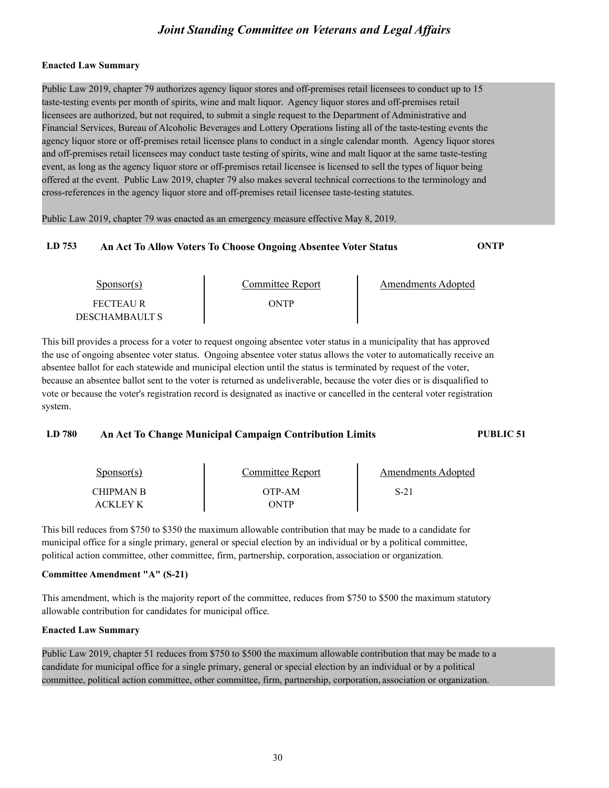#### **Enacted Law Summary**

Public Law 2019, chapter 79 authorizes agency liquor stores and off-premises retail licensees to conduct up to 15 taste-testing events per month of spirits, wine and malt liquor. Agency liquor stores and off-premises retail licensees are authorized, but not required, to submit a single request to the Department of Administrative and Financial Services, Bureau of Alcoholic Beverages and Lottery Operations listing all of the taste-testing events the agency liquor store or off-premises retail licensee plans to conduct in a single calendar month. Agency liquor stores and off-premises retail licensees may conduct taste testing of spirits, wine and malt liquor at the same taste-testing event, as long as the agency liquor store or off-premises retail licensee is licensed to sell the types of liquor being offered at the event. Public Law 2019, chapter 79 also makes several technical corrections to the terminology and cross-references in the agency liquor store and off-premises retail licensee taste-testing statutes.

Public Law 2019, chapter 79 was enacted as an emergency measure effective May 8, 2019.

### **LD 753 An Act To Allow Voters To Choose Ongoing Absentee Voter Status ONTP**

Sponsor(s) FECTEAU R DESCHAMBAULT S Committee Report<br>ONTP Amendments Adopted

This bill provides a process for a voter to request ongoing absentee voter status in a municipality that has approved the use of ongoing absentee voter status. Ongoing absentee voter status allows the voter to automatically receive an absentee ballot for each statewide and municipal election until the status is terminated by request of the voter, because an absentee ballot sent to the voter is returned as undeliverable, because the voter dies or is disqualified to vote or because the voter's registration record is designated as inactive or cancelled in the centeral voter registration system.

#### **LD 780 An Act To Change Municipal Campaign Contribution Limits PUBLIC 51**

Sponsor(s) CHIPMAN B ACKLEY K Committee Report<br>OTP-AM ONTP Amendments Adopted S-21

This bill reduces from \$750 to \$350 the maximum allowable contribution that may be made to a candidate for municipal office for a single primary, general or special election by an individual or by a political committee, political action committee, other committee, firm, partnership, corporation, association or organization.

#### **Committee Amendment "A" (S-21)**

This amendment, which is the majority report of the committee, reduces from \$750 to \$500 the maximum statutory allowable contribution for candidates for municipal office.

#### **Enacted Law Summary**

Public Law 2019, chapter 51 reduces from \$750 to \$500 the maximum allowable contribution that may be made to a candidate for municipal office for a single primary, general or special election by an individual or by a political committee, political action committee, other committee, firm, partnership, corporation, association or organization.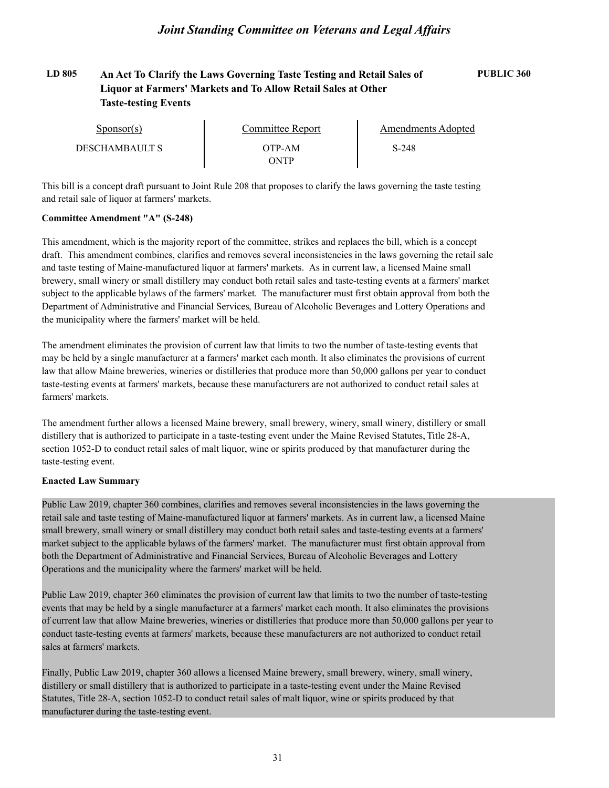## **LD 805 An Act To Clarify the Laws Governing Taste Testing and Retail Sales of PUBLIC 360 Liquor at Farmers' Markets and To Allow Retail Sales at Other Taste-testing Events**

| Sponsor(s)            | Committee Report | Amendments Adopted |  |
|-----------------------|------------------|--------------------|--|
| <b>DESCHAMBAULT S</b> | OTP-AM           | S-248              |  |
|                       | ONTP             |                    |  |

This bill is a concept draft pursuant to Joint Rule 208 that proposes to clarify the laws governing the taste testing and retail sale of liquor at farmers' markets.

#### **Committee Amendment "A" (S-248)**

This amendment, which is the majority report of the committee, strikes and replaces the bill, which is a concept draft. This amendment combines, clarifies and removes several inconsistencies in the laws governing the retail sale and taste testing of Maine-manufactured liquor at farmers' markets. As in current law, a licensed Maine small brewery, small winery or small distillery may conduct both retail sales and taste-testing events at a farmers' market subject to the applicable bylaws of the farmers' market. The manufacturer must first obtain approval from both the Department of Administrative and Financial Services, Bureau of Alcoholic Beverages and Lottery Operations and the municipality where the farmers' market will be held.

The amendment eliminates the provision of current law that limits to two the number of taste-testing events that may be held by a single manufacturer at a farmers' market each month. It also eliminates the provisions of current law that allow Maine breweries, wineries or distilleries that produce more than 50,000 gallons per year to conduct taste-testing events at farmers' markets, because these manufacturers are not authorized to conduct retail sales at farmers' markets.

The amendment further allows a licensed Maine brewery, small brewery, winery, small winery, distillery or small distillery that is authorized to participate in a taste-testing event under the Maine Revised Statutes, Title 28-A, section 1052-D to conduct retail sales of malt liquor, wine or spirits produced by that manufacturer during the taste-testing event.

#### **Enacted Law Summary**

Public Law 2019, chapter 360 combines, clarifies and removes several inconsistencies in the laws governing the retail sale and taste testing of Maine-manufactured liquor at farmers' markets. As in current law, a licensed Maine small brewery, small winery or small distillery may conduct both retail sales and taste-testing events at a farmers' market subject to the applicable bylaws of the farmers' market. The manufacturer must first obtain approval from both the Department of Administrative and Financial Services, Bureau of Alcoholic Beverages and Lottery Operations and the municipality where the farmers' market will be held.

Public Law 2019, chapter 360 eliminates the provision of current law that limits to two the number of taste-testing events that may be held by a single manufacturer at a farmers' market each month. It also eliminates the provisions of current law that allow Maine breweries, wineries or distilleries that produce more than 50,000 gallons per year to conduct taste-testing events at farmers' markets, because these manufacturers are not authorized to conduct retail sales at farmers' markets.

Finally, Public Law 2019, chapter 360 allows a licensed Maine brewery, small brewery, winery, small winery, distillery or small distillery that is authorized to participate in a taste-testing event under the Maine Revised Statutes, Title 28-A, section 1052-D to conduct retail sales of malt liquor, wine or spirits produced by that manufacturer during the taste-testing event.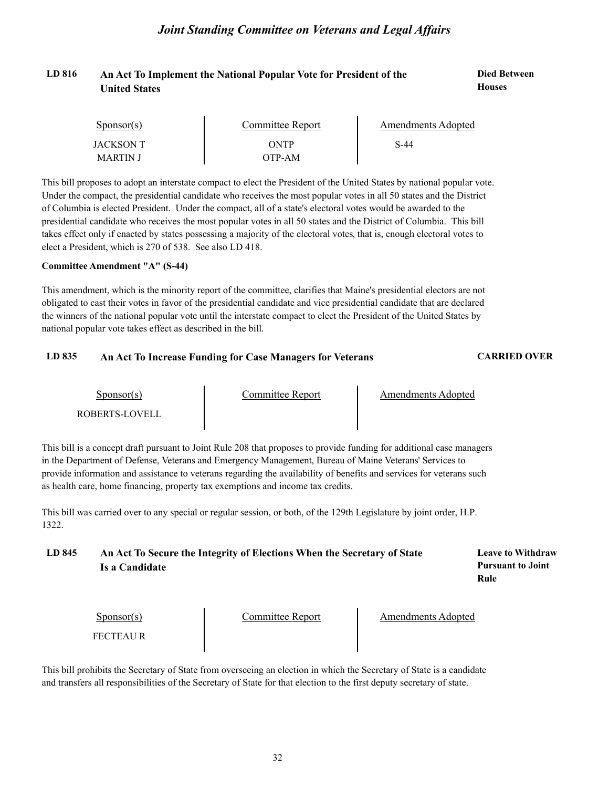#### LD 816 **An Act To Implement the National Popular Vote for President of the <b>Died Between Houses United States**

| $S_{\text{DONSOT}}(s)$ | Committee Report | Amendments Adopted |  |
|------------------------|------------------|--------------------|--|
| JACKSON T              | ONTP             | S-44               |  |
| MARTIN J               | ЭТР-АМ           |                    |  |

This bill proposes to adopt an interstate compact to elect the President of the United States by national popular vote. Under the compact, the presidential candidate who receives the most popular votes in all 50 states and the District of Columbia is elected President. Under the compact, all of a state's electoral votes would be awarded to the presidential candidate who receives the most popular votes in all 50 states and the District of Columbia. This bill takes effect only if enacted by states possessing a majority of the electoral votes, that is, enough electoral votes to elect a President, which is 270 of 538. See also LD 418.

#### **Committee Amendment "A" (S-44)**

This amendment, which is the minority report of the committee, clarifies that Maine's presidential electors are not obligated to cast their votes in favor of the presidential candidate and vice presidential candidate that are declared the winners of the national popular vote until the interstate compact to elect the President of the United States by national popular vote takes effect as described in the bill.

#### **LD 835 An Act To Increase Funding for Case Managers for Veterans CARRIED OVER**

Sponsor(s)

Amendments Adopted

Sponsor(s) Committee Report<br>ROBERTS-LOVELL

This bill is a concept draft pursuant to Joint Rule 208 that proposes to provide funding for additional case managers in the Department of Defense, Veterans and Emergency Management, Bureau of Maine Veterans' Services to provide information and assistance to veterans regarding the availability of benefits and services for veterans such as health care, home financing, property tax exemptions and income tax credits.

This bill was carried over to any special or regular session, or both, of the 129th Legislature by joint order, H.P. 1322.

## **LD 845 Leave to Withdraw An Act To Secure the Integrity of Elections When the Secretary of State Is a Candidate**

**Pursuant to Joint Rule**

Sponsor(s)

Sponsor(s) Committee Report<br>FECTEAU R

Amendments Adopted

This bill prohibits the Secretary of State from overseeing an election in which the Secretary of State is a candidate and transfers all responsibilities of the Secretary of State for that election to the first deputy secretary of state.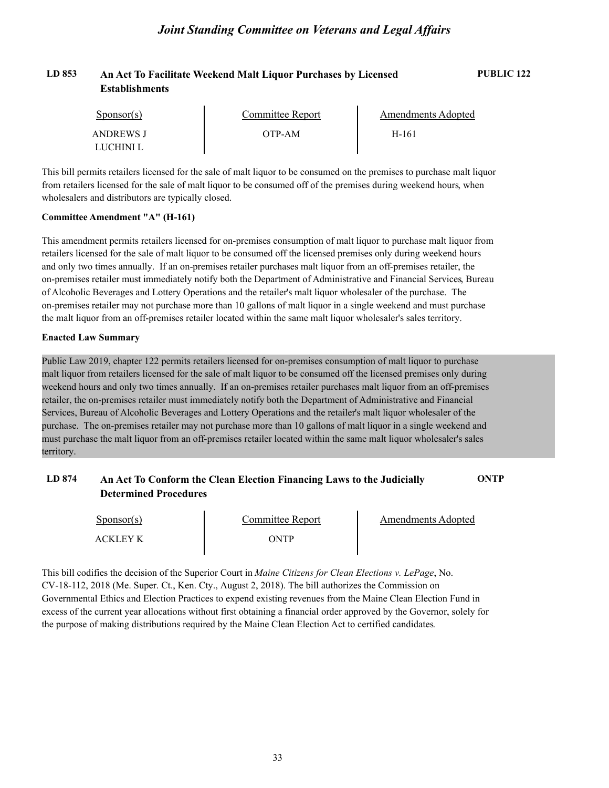| LD 853 | An Act To Facilitate Weekend Malt Liquor Purchases by Licensed | PUBLIC <sub>122</sub> |
|--------|----------------------------------------------------------------|-----------------------|
|        | Establishments                                                 |                       |

| Sponsor(s) | Committee Report | Amendments Adopted |  |
|------------|------------------|--------------------|--|
| ANDREWS J  | OTP-AM           | H-161              |  |
| LUCHINI L  |                  |                    |  |

This bill permits retailers licensed for the sale of malt liquor to be consumed on the premises to purchase malt liquor from retailers licensed for the sale of malt liquor to be consumed off of the premises during weekend hours, when wholesalers and distributors are typically closed.

#### **Committee Amendment "A" (H-161)**

This amendment permits retailers licensed for on-premises consumption of malt liquor to purchase malt liquor from retailers licensed for the sale of malt liquor to be consumed off the licensed premises only during weekend hours and only two times annually. If an on-premises retailer purchases malt liquor from an off-premises retailer, the on-premises retailer must immediately notify both the Department of Administrative and Financial Services, Bureau of Alcoholic Beverages and Lottery Operations and the retailer's malt liquor wholesaler of the purchase. The on-premises retailer may not purchase more than 10 gallons of malt liquor in a single weekend and must purchase the malt liquor from an off-premises retailer located within the same malt liquor wholesaler's sales territory.

#### **Enacted Law Summary**

Public Law 2019, chapter 122 permits retailers licensed for on-premises consumption of malt liquor to purchase malt liquor from retailers licensed for the sale of malt liquor to be consumed off the licensed premises only during weekend hours and only two times annually. If an on-premises retailer purchases malt liquor from an off-premises retailer, the on-premises retailer must immediately notify both the Department of Administrative and Financial Services, Bureau of Alcoholic Beverages and Lottery Operations and the retailer's malt liquor wholesaler of the purchase. The on-premises retailer may not purchase more than 10 gallons of malt liquor in a single weekend and must purchase the malt liquor from an off-premises retailer located within the same malt liquor wholesaler's sales territory.

### **LD 874 An Act To Conform the Clean Election Financing Laws to the Judicially ONTP Determined Procedures**

| $S_{\text{ponsor}}(s)$ | Committee Report | <b>Amendments Adopted</b> |
|------------------------|------------------|---------------------------|
| ACKLEY K               | ONTP             |                           |

This bill codifies the decision of the Superior Court in *Maine Citizens for Clean Elections v. LePage*, No. CV-18-112, 2018 (Me. Super. Ct., Ken. Cty., August 2, 2018). The bill authorizes the Commission on Governmental Ethics and Election Practices to expend existing revenues from the Maine Clean Election Fund in excess of the current year allocations without first obtaining a financial order approved by the Governor, solely for the purpose of making distributions required by the Maine Clean Election Act to certified candidates.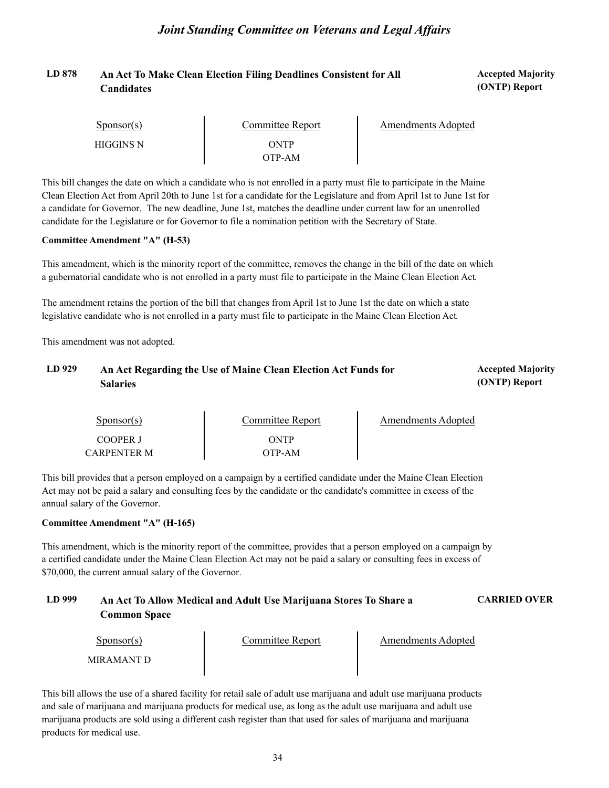## LD 878 An Act To Make Clean Election Filing Deadlines Consistent for All **Accepted Majority Candidates**

**(ONTP) Report**

| Sponsor(s)       | Committee Report | Amendments Adopted |
|------------------|------------------|--------------------|
| <b>HIGGINS N</b> | ONTP<br>OTP-AM   |                    |

This bill changes the date on which a candidate who is not enrolled in a party must file to participate in the Maine Clean Election Act from April 20th to June 1st for a candidate for the Legislature and from April 1st to June 1st for a candidate for Governor. The new deadline, June 1st, matches the deadline under current law for an unenrolled candidate for the Legislature or for Governor to file a nomination petition with the Secretary of State.

#### **Committee Amendment "A" (H-53)**

This amendment, which is the minority report of the committee, removes the change in the bill of the date on which a gubernatorial candidate who is not enrolled in a party must file to participate in the Maine Clean Election Act.<br>The amendment retains the portion of the bill that changes from April 1st to June 1st the date on which a s

legislative candidate who is not enrolled in a party must file to participate in the Maine Clean Election Act. This amendment was not adopted.

### LD 929 An Act Regarding the Use of Maine Clean Election Act Funds for **Accepted Majority Salaries**

**(ONTP) Report**

| $S_{\text{DODSOT}}(s)$         | Committee Report | <b>Amendments Adopted</b> |
|--------------------------------|------------------|---------------------------|
| COOPER J<br><b>CARPENTER M</b> | ONTP<br>OTP-AM   |                           |

This bill provides that a person employed on a campaign by a certified candidate under the Maine Clean Election Act may not be paid a salary and consulting fees by the candidate or the candidate's committee in excess of the annual salary of the Governor.

#### **Committee Amendment "A" (H-165)**

This amendment, which is the minority report of the committee, provides that a person employed on a campaign by a certified candidate under the Maine Clean Election Act may not be paid a salary or consulting fees in excess of \$70,000, the current annual salary of the Governor.

#### **LD 999 An Act To Allow Medical and Adult Use Marijuana Stores To Share a CARRIED OVER Common Space**

| Sponsor(s)  | Committee Report | <b>Amendments Adopted</b> |
|-------------|------------------|---------------------------|
| MIR AMANT D |                  |                           |

This bill allows the use of a shared facility for retail sale of adult use marijuana and adult use marijuana products and sale of marijuana and marijuana products for medical use, as long as the adult use marijuana and adult use marijuana products are sold using a different cash register than that used for sales of marijuana and marijuana products for medical use.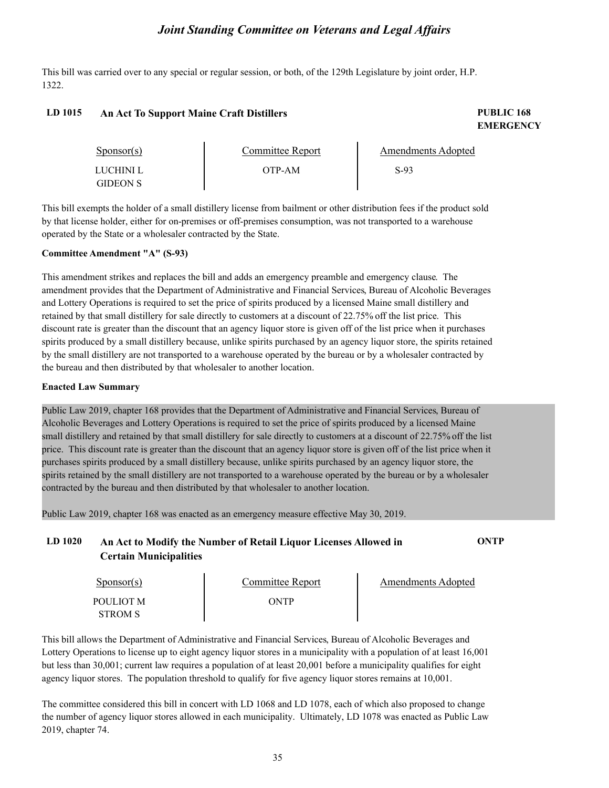This bill was carried over to any special or regular session, or both, of the 129th Legislature by joint order, H.P. 1322.

#### **LD 1015 PUBLIC 168 An Act To Support Maine Craft Distillers**

# **EMERGENCY**

| $S_{\text{PON}(\text{S})}$   | Committee Report | <b>Amendments Adopted</b> |  |
|------------------------------|------------------|---------------------------|--|
| LUCHINI L<br><b>GIDEON S</b> | OTP-AM           | S-93                      |  |

This bill exempts the holder of a small distillery license from bailment or other distribution fees if the product sold by that license holder, either for on-premises or off-premises consumption, was not transported to a warehouse operated by the State or a wholesaler contracted by the State.

#### **Committee Amendment "A" (S-93)**

This amendment strikes and replaces the bill and adds an emergency preamble and emergency clause. The amendment provides that the Department of Administrative and Financial Services, Bureau of Alcoholic Beverages and Lottery Operations is required to set the price of spirits produced by a licensed Maine small distillery and retained by that small distillery for sale directly to customers at a discount of 22.75% off the list price. This discount rate is greater than the discount that an agency liquor store is given off of the list price when it purchases spirits produced by a small distillery because, unlike spirits purchased by an agency liquor store, the spirits retained by the small distillery are not transported to a warehouse operated by the bureau or by a wholesaler contracted by the bureau and then distributed by that wholesaler to another location.

#### **Enacted Law Summary**

Public Law 2019, chapter 168 provides that the Department of Administrative and Financial Services, Bureau of Alcoholic Beverages and Lottery Operations is required to set the price of spirits produced by a licensed Maine small distillery and retained by that small distillery for sale directly to customers at a discount of 22.75% off the list price. This discount rate is greater than the discount that an agency liquor store is given off of the list price when it purchases spirits produced by a small distillery because, unlike spirits purchased by an agency liquor store, the spirits retained by the small distillery are not transported to a warehouse operated by the bureau or by a wholesaler contracted by the bureau and then distributed by that wholesaler to another location.

Public Law 2019, chapter 168 was enacted as an emergency measure effective May 30, 2019.

### **LD 1020 An Act to Modify the Number of Retail Liquor Licenses Allowed in ONTP Certain Municipalities**

| $S_{\text{ponsor}}(s)$ | Committee Report | Amendments Adopted |  |
|------------------------|------------------|--------------------|--|
| POULIOT M              | ONTP             |                    |  |
| <b>STROM S</b>         |                  |                    |  |

This bill allows the Department of Administrative and Financial Services, Bureau of Alcoholic Beverages and Lottery Operations to license up to eight agency liquor stores in a municipality with a population of at least 16,001 but less than 30,001; current law requires a population of at least 20,001 before a municipality qualifies for eight agency liquor stores. The population threshold to qualify for five agency liquor stores remains at 10,001.

The committee considered this bill in concert with LD 1068 and LD 1078, each of which also proposed to change the number of agency liquor stores allowed in each municipality. Ultimately, LD 1078 was enacted as Public Law 2019, chapter 74.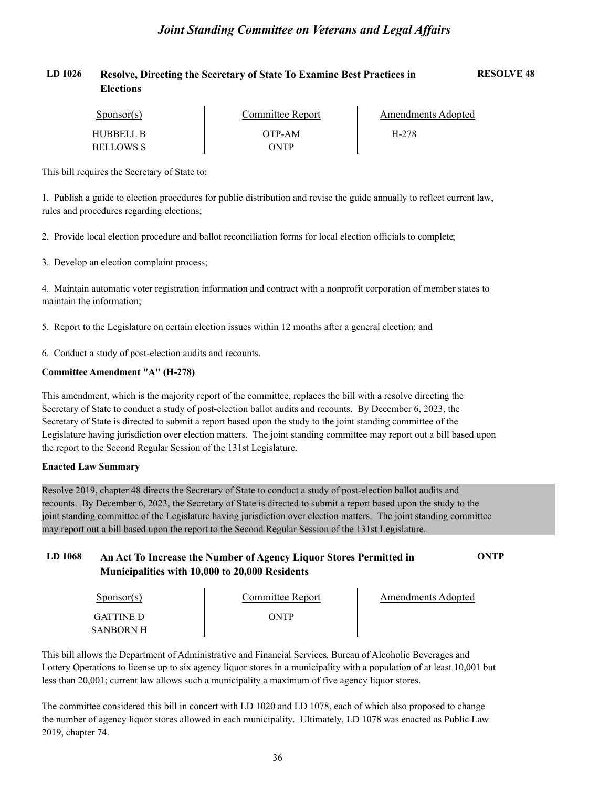| LD 1026 | Resolve, Directing the Secretary of State To Examine Best Practices in | <b>RESOLVE 48</b> |
|---------|------------------------------------------------------------------------|-------------------|
|         | <b>Elections</b>                                                       |                   |

| Sponsor(s) | Committee Report | Amendments Adopted |  |
|------------|------------------|--------------------|--|
| HUBBELL B  | OTP-AM           | H-278              |  |
| BELLOWS S  | ONTP             |                    |  |

This bill requires the Secretary of State to:

1. Publish a guide to election procedures for public distribution and revise the guide annually to reflect current law, rules and procedures regarding elections;

2. Provide local election procedure and ballot reconciliation forms for local election officials to complete;

3. Develop an election complaint process;

4. Maintain automatic voter registration information and contract with a nonprofit corporation of member states to maintain the information;

5. Report to the Legislature on certain election issues within 12 months after a general election; and

6. Conduct a study of post-election audits and recounts.

#### **Committee Amendment "A" (H-278)**

This amendment, which is the majority report of the committee, replaces the bill with a resolve directing the Secretary of State to conduct a study of post-election ballot audits and recounts. By December 6, 2023, the Secretary of State is directed to submit a report based upon the study to the joint standing committee of the Legislature having jurisdiction over election matters. The joint standing committee may report out a bill based upon the report to the Second Regular Session of the 131st Legislature.

#### **Enacted Law Summary**

Resolve 2019, chapter 48 directs the Secretary of State to conduct a study of post-election ballot audits and recounts. By December 6, 2023, the Secretary of State is directed to submit a report based upon the study to the joint standing committee of the Legislature having jurisdiction over election matters. The joint standing committee may report out a bill based upon the report to the Second Regular Session of the 131st Legislature.

#### **LD 1068 An Act To Increase the Number of Agency Liquor Stores Permitted in ONTP Municipalities with 10,000 to 20,000 Residents**

| Sponsor(s)       | Committee Report | Amendments Adopted |  |
|------------------|------------------|--------------------|--|
| <b>GATTINE D</b> | ONTP             |                    |  |
| SANBORN H        |                  |                    |  |

This bill allows the Department of Administrative and Financial Services, Bureau of Alcoholic Beverages and Lottery Operations to license up to six agency liquor stores in a municipality with a population of at least 10,001 but less than 20,001; current law allows such a municipality a maximum of five agency liquor stores.

The committee considered this bill in concert with LD 1020 and LD 1078, each of which also proposed to change the number of agency liquor stores allowed in each municipality. Ultimately, LD 1078 was enacted as Public Law 2019, chapter 74.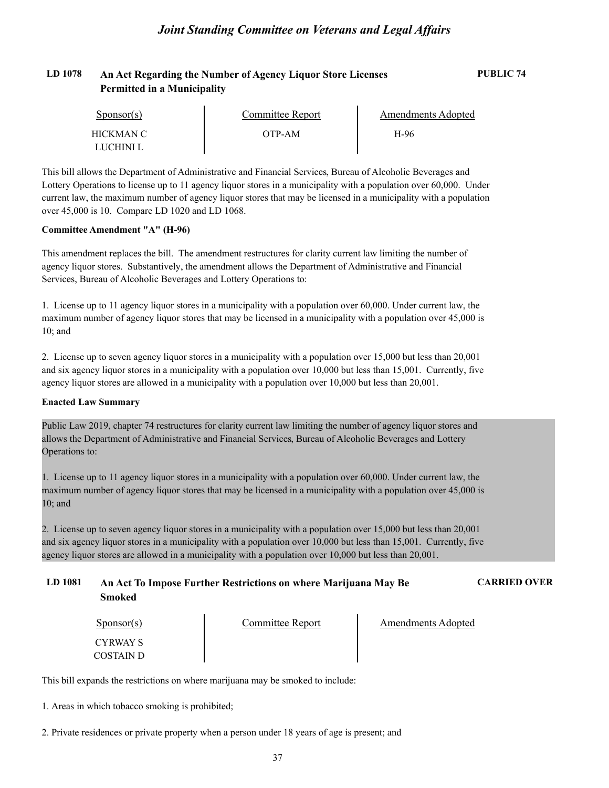### **LD 1078 An Act Regarding the Number of Agency Liquor Store Licenses PUBLIC 74 Permitted in a Municipality**

| Sponsor(s) | Committee Report | Amendments Adopted |  |
|------------|------------------|--------------------|--|
| HICKMAN C  | OTP-AM           | H-96               |  |
| LUCHINI L  |                  |                    |  |

This bill allows the Department of Administrative and Financial Services, Bureau of Alcoholic Beverages and Lottery Operations to license up to 11 agency liquor stores in a municipality with a population over 60,000. Under current law, the maximum number of agency liquor stores that may be licensed in a municipality with a population over 45,000 is 10. Compare LD 1020 and LD 1068.

#### **Committee Amendment "A" (H-96)**

This amendment replaces the bill. The amendment restructures for clarity current law limiting the number of agency liquor stores. Substantively, the amendment allows the Department of Administrative and Financial Services, Bureau of Alcoholic Beverages and Lottery Operations to:

1. License up to 11 agency liquor stores in a municipality with a population over 60,000. Under current law, the maximum number of agency liquor stores that may be licensed in a municipality with a population over 45,000 is 10; and

2. License up to seven agency liquor stores in a municipality with a population over 15,000 but less than 20,001 and six agency liquor stores in a municipality with a population over 10,000 but less than 15,001. Currently, five agency liquor stores are allowed in a municipality with a population over 10,000 but less than 20,001.

#### **Enacted Law Summary**

Public Law 2019, chapter 74 restructures for clarity current law limiting the number of agency liquor stores and allows the Department of Administrative and Financial Services, Bureau of Alcoholic Beverages and Lottery Operations to:

1. License up to 11 agency liquor stores in a municipality with a population over 60,000. Under current law, the maximum number of agency liquor stores that may be licensed in a municipality with a population over 45,000 is 10; and

2. License up to seven agency liquor stores in a municipality with a population over 15,000 but less than 20,001 and six agency liquor stores in a municipality with a population over 10,000 but less than 15,001. Currently, five agency liquor stores are allowed in a municipality with a population over 10,000 but less than 20,001.

#### **LD 1081 An Act To Impose Further Restrictions on where Marijuana May Be CARRIED OVER Smoked**

| $S_{\text{DON}(\text{S})}$ | Committee Report | <b>Amendments Adopted</b> |
|----------------------------|------------------|---------------------------|
| CYRWAY S                   |                  |                           |
| COSTAIN D                  |                  |                           |

This bill expands the restrictions on where marijuana may be smoked to include:

1. Areas in which tobacco smoking is prohibited;

2. Private residences or private property when a person under 18 years of age is present; and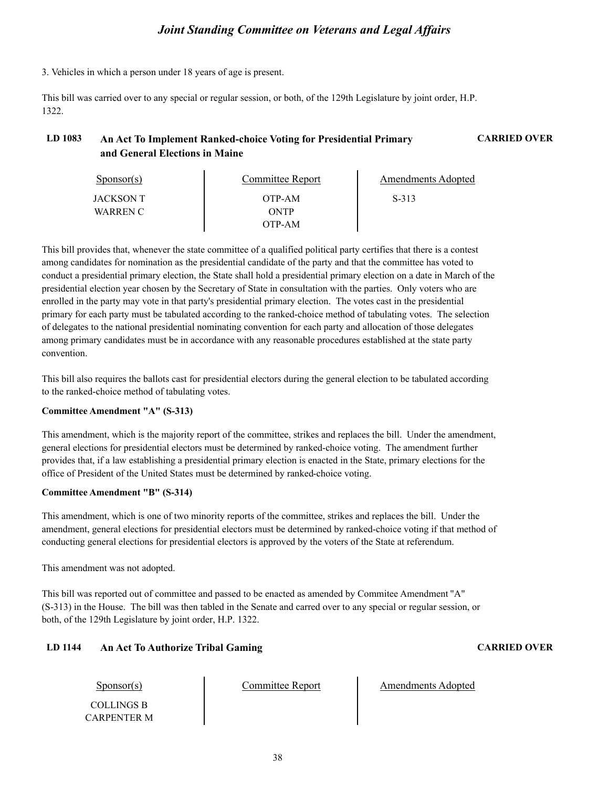3. Vehicles in which a person under 18 years of age is present.

This bill was carried over to any special or regular session, or both, of the 129th Legislature by joint order, H.P. 1322.

### **LD 1083 An Act To Implement Ranked-choice Voting for Presidential Primary CARRIED OVER and General Elections in Maine**

| $S_{\text{PON}(\text{S})}$ | <b>Committee Report</b> | Amendments Adopted |  |
|----------------------------|-------------------------|--------------------|--|
| JACKSON T                  | OTP-AM                  | S-313              |  |
| WARREN C                   | <b>ONTP</b>             |                    |  |
|                            | OTP-AM                  |                    |  |

This bill provides that, whenever the state committee of a qualified political party certifies that there is a contest among candidates for nomination as the presidential candidate of the party and that the committee has voted to conduct a presidential primary election, the State shall hold a presidential primary election on a date in March of the presidential election year chosen by the Secretary of State in consultation with the parties. Only voters who are enrolled in the party may vote in that party's presidential primary election. The votes cast in the presidential primary for each party must be tabulated according to the ranked-choice method of tabulating votes. The selection of delegates to the national presidential nominating convention for each party and allocation of those delegates among primary candidates must be in accordance with any reasonable procedures established at the state party convention.

This bill also requires the ballots cast for presidential electors during the general election to be tabulated according to the ranked-choice method of tabulating votes.

#### **Committee Amendment "A" (S-313)**

This amendment, which is the majority report of the committee, strikes and replaces the bill. Under the amendment, general elections for presidential electors must be determined by ranked-choice voting. The amendment further provides that, if a law establishing a presidential primary election is enacted in the State, primary elections for the office of President of the United States must be determined by ranked-choice voting.

#### **Committee Amendment "B" (S-314)**

This amendment, which is one of two minority reports of the committee, strikes and replaces the bill. Under the amendment, general elections for presidential electors must be determined by ranked-choice voting if that method of conducting general elections for presidential electors is approved by the voters of the State at referendum.

This amendment was not adopted.

This bill was reported out of committee and passed to be enacted as amended by Commitee Amendment "A" (S-313) in the House. The bill was then tabled in the Senate and carred over to any special or regular session, or both, of the 129th Legislature by joint order, H.P. 1322.

#### **LD 1144 An Act To Authorize Tribal Gaming CARRIED OVER**

Committee Report Amendments Adopted

COLLINGS B CARPENTER M

Sponsor(s)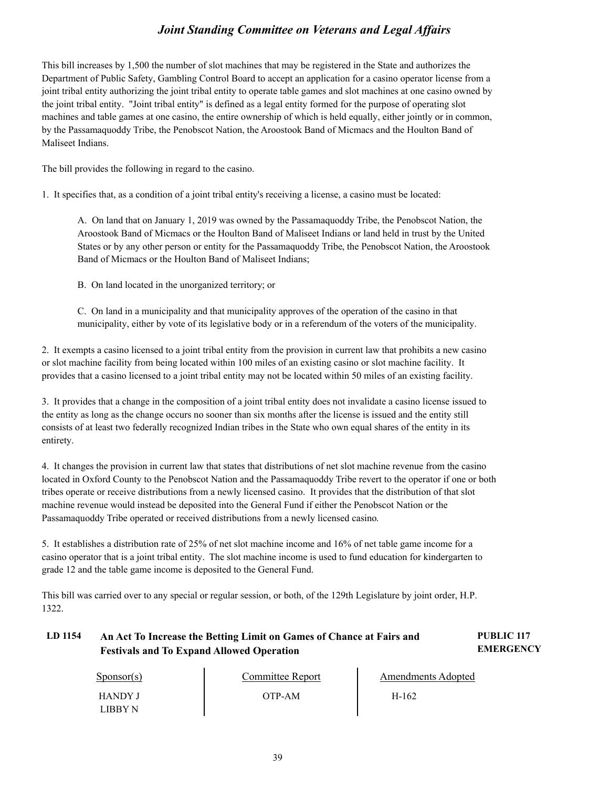This bill increases by 1,500 the number of slot machines that may be registered in the State and authorizes the Department of Public Safety, Gambling Control Board to accept an application for a casino operator license from a joint tribal entity authorizing the joint tribal entity to operate table games and slot machines at one casino owned by the joint tribal entity. "Joint tribal entity" is defined as a legal entity formed for the purpose of operating slot machines and table games at one casino, the entire ownership of which is held equally, either jointly or in common, by the Passamaquoddy Tribe, the Penobscot Nation, the Aroostook Band of Micmacs and the Houlton Band of Maliseet Indians.

The bill provides the following in regard to the casino.

1. It specifies that, as a condition of a joint tribal entity's receiving a license, a casino must be located:

A. On land that on January 1, 2019 was owned by the Passamaquoddy Tribe, the Penobscot Nation, the Aroostook Band of Micmacs or the Houlton Band of Maliseet Indians or land held in trust by the United States or by any other person or entity for the Passamaquoddy Tribe, the Penobscot Nation, the Aroostook Band of Micmacs or the Houlton Band of Maliseet Indians;

B. On land located in the unorganized territory; or

C. On land in a municipality and that municipality approves of the operation of the casino in that municipality, either by vote of its legislative body or in a referendum of the voters of the municipality.

2. It exempts a casino licensed to a joint tribal entity from the provision in current law that prohibits a new casino or slot machine facility from being located within 100 miles of an existing casino or slot machine facility. It provides that a casino licensed to a joint tribal entity may not be located within 50 miles of an existing facility.

3. It provides that a change in the composition of a joint tribal entity does not invalidate a casino license issued to the entity as long as the change occurs no sooner than six months after the license is issued and the entity still consists of at least two federally recognized Indian tribes in the State who own equal shares of the entity in its entirety.

4. It changes the provision in current law that states that distributions of net slot machine revenue from the casino located in Oxford County to the Penobscot Nation and the Passamaquoddy Tribe revert to the operator if one or both tribes operate or receive distributions from a newly licensed casino. It provides that the distribution of that slot machine revenue would instead be deposited into the General Fund if either the Penobscot Nation or the Passamaquoddy Tribe operated or received distributions from a newly licensed casino.

5. It establishes a distribution rate of 25% of net slot machine income and 16% of net table game income for a casino operator that is a joint tribal entity. The slot machine income is used to fund education for kindergarten to grade 12 and the table game income is deposited to the General Fund.

This bill was carried over to any special or regular session, or both, of the 129th Legislature by joint order, H.P. 1322.

### **LD 1154 PUBLIC 117 An Act To Increase the Betting Limit on Games of Chance at Fairs and Festivals and To Expand Allowed Operation**

**EMERGENCY**

| Sponsor(s)                | Committee Report | Amendments Adopted |  |
|---------------------------|------------------|--------------------|--|
| <b>HANDY J</b><br>LIBBY N | OTP-AM           | H-162              |  |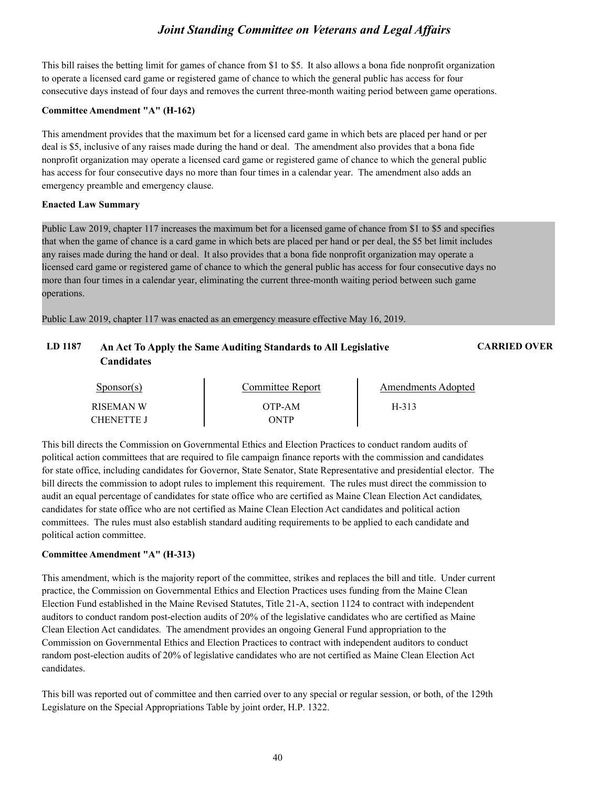This bill raises the betting limit for games of chance from \$1 to \$5. It also allows a bona fide nonprofit organization to operate a licensed card game or registered game of chance to which the general public has access for four consecutive days instead of four days and removes the current three-month waiting period between game operations.

#### **Committee Amendment "A" (H-162)**

This amendment provides that the maximum bet for a licensed card game in which bets are placed per hand or per deal is \$5, inclusive of any raises made during the hand or deal. The amendment also provides that a bona fide nonprofit organization may operate a licensed card game or registered game of chance to which the general public has access for four consecutive days no more than four times in a calendar year. The amendment also adds an emergency preamble and emergency clause.

#### **Enacted Law Summary**

Public Law 2019, chapter 117 increases the maximum bet for a licensed game of chance from \$1 to \$5 and specifies that when the game of chance is a card game in which bets are placed per hand or per deal, the \$5 bet limit includes any raises made during the hand or deal. It also provides that a bona fide nonprofit organization may operate a licensed card game or registered game of chance to which the general public has access for four consecutive days no more than four times in a calendar year, eliminating the current three-month waiting period between such game operations.

Public Law 2019, chapter 117 was enacted as an emergency measure effective May 16, 2019.

### **LD 1187 An Act To Apply the Same Auditing Standards to All Legislative CARRIED OVER Candidates**

| Sponsor(s)       | Committee Report | Amendments Adopted |  |
|------------------|------------------|--------------------|--|
| <b>RISEMAN W</b> | OTP-AM           | H-313              |  |
| CHENETTE J       | <b>NTP</b>       |                    |  |

This bill directs the Commission on Governmental Ethics and Election Practices to conduct random audits of political action committees that are required to file campaign finance reports with the commission and candidates for state office, including candidates for Governor, State Senator, State Representative and presidential elector. The bill directs the commission to adopt rules to implement this requirement. The rules must direct the commission to audit an equal percentage of candidates for state office who are certified as Maine Clean Election Act candidates, candidates for state office who are not certified as Maine Clean Election Act candidates and political action committees. The rules must also establish standard auditing requirements to be applied to each candidate and political action committee.

#### **Committee Amendment "A" (H-313)**

This amendment, which is the majority report of the committee, strikes and replaces the bill and title. Under current practice, the Commission on Governmental Ethics and Election Practices uses funding from the Maine Clean Election Fund established in the Maine Revised Statutes, Title 21-A, section 1124 to contract with independent auditors to conduct random post-election audits of 20% of the legislative candidates who are certified as Maine Clean Election Act candidates. The amendment provides an ongoing General Fund appropriation to the Commission on Governmental Ethics and Election Practices to contract with independent auditors to conduct random post-election audits of 20% of legislative candidates who are not certified as Maine Clean Election Act candidates.

This bill was reported out of committee and then carried over to any special or regular session, or both, of the 129th Legislature on the Special Appropriations Table by joint order, H.P. 1322.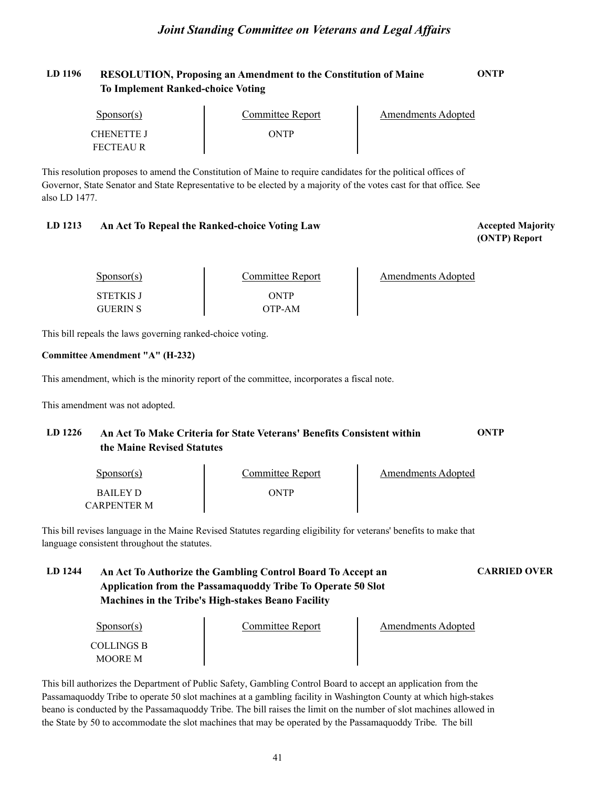### **LD 1196 RESOLUTION, Proposing an Amendment to the Constitution of Maine ONTP To Implement Ranked-choice Voting**

| Sponsor(s)        | Committee Report | Amendments Adopted |  |
|-------------------|------------------|--------------------|--|
| <b>CHENETTE J</b> | ONTP             |                    |  |
| <b>FECTEAUR</b>   |                  |                    |  |

This resolution proposes to amend the Constitution of Maine to require candidates for the political offices of Governor, State Senator and State Representative to be elected by a majority of the votes cast for that office. See also LD 1477.

#### **LD 1213 Accepted Majority An Act To Repeal the Ranked-choice Voting Law**

**(ONTP) Report**

| Sponsor(s)                          | Committee Report | Amendments Adopted |
|-------------------------------------|------------------|--------------------|
| <b>STETKIS J</b><br><b>GUERIN S</b> | ONTP<br>OTP-AM   |                    |

This bill repeals the laws governing ranked-choice voting.

#### **Committee Amendment "A" (H-232)**

This amendment, which is the minority report of the committee, incorporates a fiscal note.

This amendment was not adopted.

### **LD 1226 An Act To Make Criteria for State Veterans' Benefits Consistent within ONTP the Maine Revised Statutes**

| Sponsor(s)      | Committee Report | Amendments Adopted |
|-----------------|------------------|--------------------|
| <b>BAILEY D</b> | ONTP             |                    |
| CARPENTER M     |                  |                    |

This bill revises language in the Maine Revised Statutes regarding eligibility for veterans' benefits to make that language consistent throughout the statutes.

### **LD 1244 An Act To Authorize the Gambling Control Board To Accept an CARRIED OVER Application from the Passamaquoddy Tribe To Operate 50 Slot Machines in the Tribe's High-stakes Beano Facility**

Sponsor(s)

Committee Report Amendments Adopted

COLLINGS B MOORE M

This bill authorizes the Department of Public Safety, Gambling Control Board to accept an application from the Passamaquoddy Tribe to operate 50 slot machines at a gambling facility in Washington County at which high-stakes beano is conducted by the Passamaquoddy Tribe. The bill raises the limit on the number of slot machines allowed in the State by 50 to accommodate the slot machines that may be operated by the Passamaquoddy Tribe. The bill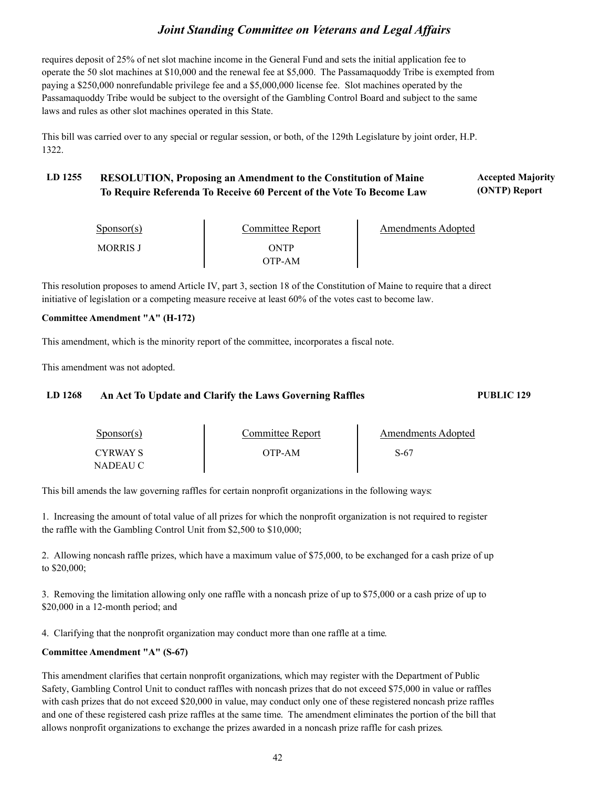requires deposit of 25% of net slot machine income in the General Fund and sets the initial application fee to operate the 50 slot machines at \$10,000 and the renewal fee at \$5,000. The Passamaquoddy Tribe is exempted from paying a \$250,000 nonrefundable privilege fee and a \$5,000,000 license fee. Slot machines operated by the Passamaquoddy Tribe would be subject to the oversight of the Gambling Control Board and subject to the same laws and rules as other slot machines operated in this State.

This bill was carried over to any special or regular session, or both, of the 129th Legislature by joint order, H.P. 1322.

#### **LD 1255 Accepted Majority RESOLUTION, Proposing an Amendment to the Constitution of Maine (ONTP) Report To Require Referenda To Receive 60 Percent of the Vote To Become Law**

| Sponsor(s)      | Committee Report | <b>Amendments Adopted</b> |
|-----------------|------------------|---------------------------|
| <b>MORRIS J</b> | ONTP             |                           |
|                 | OTP-AM           |                           |

This resolution proposes to amend Article IV, part 3, section 18 of the Constitution of Maine to require that a direct initiative of legislation or a competing measure receive at least 60% of the votes cast to become law.

#### **Committee Amendment "A" (H-172)**

This amendment, which is the minority report of the committee, incorporates a fiscal note.

This amendment was not adopted.

#### **LD 1268 An Act To Update and Clarify the Laws Governing Raffles PUBLIC 129**

| $S_{\text{DONSOT}}(s)$ | <b>Committee Report</b> | Amendments Adopted |  |
|------------------------|-------------------------|--------------------|--|
| <b>CYRWAY S</b>        | OTP-AM                  | S-67               |  |
| NADEAU C               |                         |                    |  |

This bill amends the law governing raffles for certain nonprofit organizations in the following ways:

1. Increasing the amount of total value of all prizes for which the nonprofit organization is not required to register the raffle with the Gambling Control Unit from \$2,500 to \$10,000;

2. Allowing noncash raffle prizes, which have a maximum value of \$75,000, to be exchanged for a cash prize of up to \$20,000;

3. Removing the limitation allowing only one raffle with a noncash prize of up to \$75,000 or a cash prize of up to \$20,000 in a 12-month period; and

4. Clarifying that the nonprofit organization may conduct more than one raffle at a time.

#### **Committee Amendment "A" (S-67)**

This amendment clarifies that certain nonprofit organizations, which may register with the Department of Public Safety, Gambling Control Unit to conduct raffles with noncash prizes that do not exceed \$75,000 in value or raffles with cash prizes that do not exceed \$20,000 in value, may conduct only one of these registered noncash prize raffles and one of these registered cash prize raffles at the same time. The amendment eliminates the portion of the bill that allows nonprofit organizations to exchange the prizes awarded in a noncash prize raffle for cash prizes.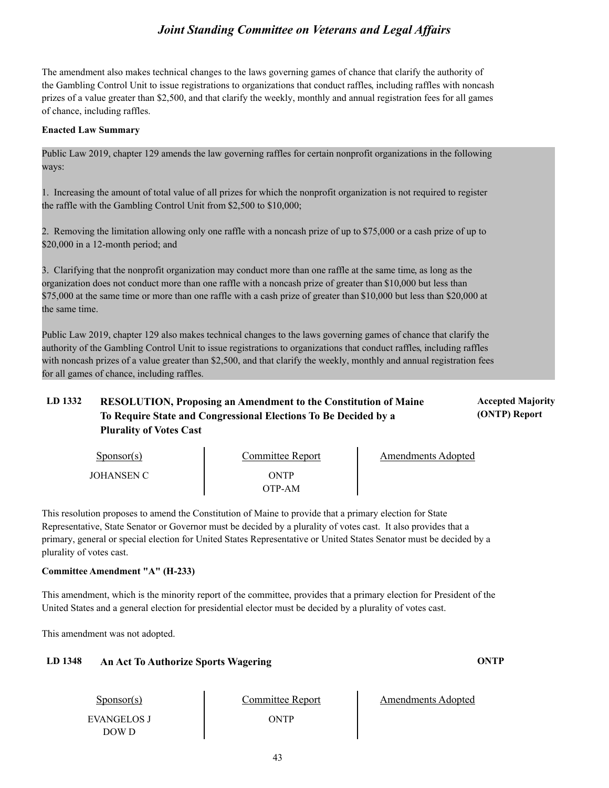The amendment also makes technical changes to the laws governing games of chance that clarify the authority of the Gambling Control Unit to issue registrations to organizations that conduct raffles, including raffles with noncash prizes of a value greater than \$2,500, and that clarify the weekly, monthly and annual registration fees for all games of chance, including raffles.

#### **Enacted Law Summary**

Public Law 2019, chapter 129 amends the law governing raffles for certain nonprofit organizations in the following ways:

1. Increasing the amount of total value of all prizes for which the nonprofit organization is not required to register the raffle with the Gambling Control Unit from \$2,500 to \$10,000;

2. Removing the limitation allowing only one raffle with a noncash prize of up to \$75,000 or a cash prize of up to \$20,000 in a 12-month period; and

3. Clarifying that the nonprofit organization may conduct more than one raffle at the same time, as long as the organization does not conduct more than one raffle with a noncash prize of greater than \$10,000 but less than \$75,000 at the same time or more than one raffle with a cash prize of greater than \$10,000 but less than \$20,000 at the same time.

Public Law 2019, chapter 129 also makes technical changes to the laws governing games of chance that clarify the authority of the Gambling Control Unit to issue registrations to organizations that conduct raffles, including raffles with noncash prizes of a value greater than \$2,500, and that clarify the weekly, monthly and annual registration fees for all games of chance, including raffles.

### **LD 1332 Accepted Majority RESOLUTION, Proposing an Amendment to the Constitution of Maine To Require State and Congressional Elections To Be Decided by a Plurality of Votes Cast**

Sponsor(s) JOHANSEN C ONTP OTP-AM Committee Report Fig. 2. Amendments Adopted

This resolution proposes to amend the Constitution of Maine to provide that a primary election for State Representative, State Senator or Governor must be decided by a plurality of votes cast. It also provides that a primary, general or special election for United States Representative or United States Senator must be decided by a plurality of votes cast.

#### **Committee Amendment "A" (H-233)**

This amendment, which is the minority report of the committee, provides that a primary election for President of the United States and a general election for presidential elector must be decided by a plurality of votes cast.

This amendment was not adopted.

#### **LD 1348 An Act To Authorize Sports Wagering ONTP**

Committee Report Amendments Adopted

Sponsor(s) EVANGELOS J DOW D

ONTP

**(ONTP) Report**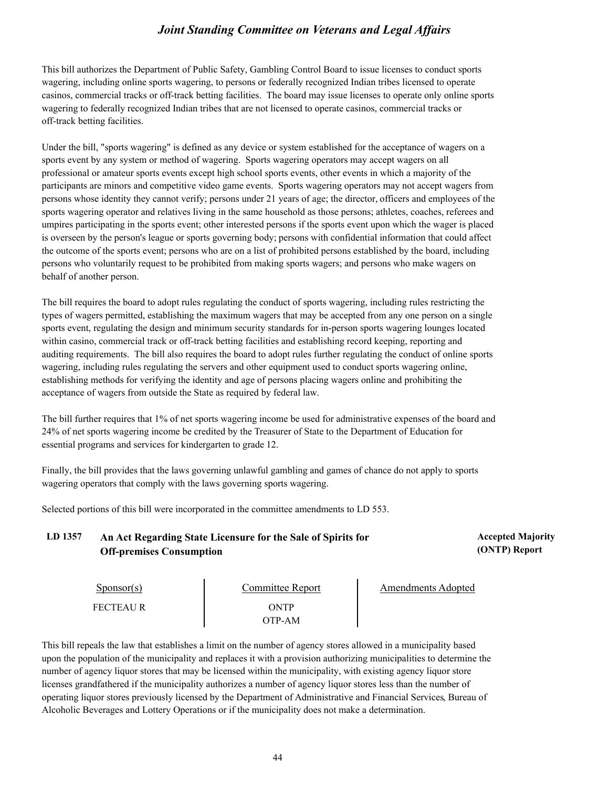This bill authorizes the Department of Public Safety, Gambling Control Board to issue licenses to conduct sports wagering, including online sports wagering, to persons or federally recognized Indian tribes licensed to operate casinos, commercial tracks or off-track betting facilities. The board may issue licenses to operate only online sports wagering to federally recognized Indian tribes that are not licensed to operate casinos, commercial tracks or off-track betting facilities.

Under the bill, "sports wagering" is defined as any device or system established for the acceptance of wagers on a sports event by any system or method of wagering. Sports wagering operators may accept wagers on all professional or amateur sports events except high school sports events, other events in which a majority of the participants are minors and competitive video game events. Sports wagering operators may not accept wagers from persons whose identity they cannot verify; persons under 21 years of age; the director, officers and employees of the sports wagering operator and relatives living in the same household as those persons; athletes, coaches, referees and umpires participating in the sports event; other interested persons if the sports event upon which the wager is placed is overseen by the person's league or sports governing body; persons with confidential information that could affect the outcome of the sports event; persons who are on a list of prohibited persons established by the board, including persons who voluntarily request to be prohibited from making sports wagers; and persons who make wagers on behalf of another person.

The bill requires the board to adopt rules regulating the conduct of sports wagering, including rules restricting the types of wagers permitted, establishing the maximum wagers that may be accepted from any one person on a single sports event, regulating the design and minimum security standards for in-person sports wagering lounges located within casino, commercial track or off-track betting facilities and establishing record keeping, reporting and auditing requirements. The bill also requires the board to adopt rules further regulating the conduct of online sports wagering, including rules regulating the servers and other equipment used to conduct sports wagering online, establishing methods for verifying the identity and age of persons placing wagers online and prohibiting the acceptance of wagers from outside the State as required by federal law.

The bill further requires that 1% of net sports wagering income be used for administrative expenses of the board and 24% of net sports wagering income be credited by the Treasurer of State to the Department of Education for essential programs and services for kindergarten to grade 12.

Finally, the bill provides that the laws governing unlawful gambling and games of chance do not apply to sports wagering operators that comply with the laws governing sports wagering.

Selected portions of this bill were incorporated in the committee amendments to LD 553.

LD 1357 An Act Regarding State Licensure for the Sale of Spirits for **Accepted Majority** Accepted Majority **Off-premises Consumption**

**(ONTP) Report**

| Sponsor(s)      | Committee Report | Amendments Adopted |  |
|-----------------|------------------|--------------------|--|
| <b>FECTEAUR</b> | ONTP             |                    |  |
|                 | OTP-AM           |                    |  |

This bill repeals the law that establishes a limit on the number of agency stores allowed in a municipality based upon the population of the municipality and replaces it with a provision authorizing municipalities to determine the number of agency liquor stores that may be licensed within the municipality, with existing agency liquor store licenses grandfathered if the municipality authorizes a number of agency liquor stores less than the number of operating liquor stores previously licensed by the Department of Administrative and Financial Services, Bureau of Alcoholic Beverages and Lottery Operations or if the municipality does not make a determination.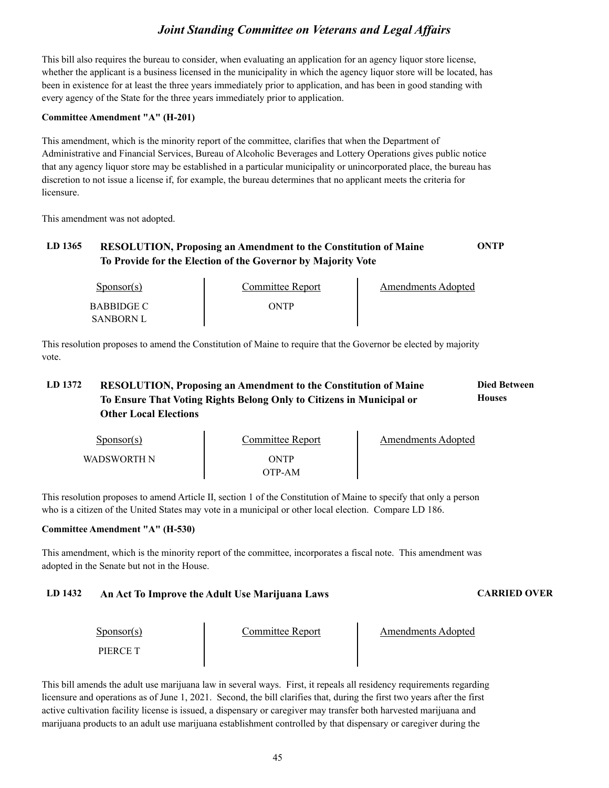This bill also requires the bureau to consider, when evaluating an application for an agency liquor store license, whether the applicant is a business licensed in the municipality in which the agency liquor store will be located, has been in existence for at least the three years immediately prior to application, and has been in good standing with every agency of the State for the three years immediately prior to application.

#### **Committee Amendment "A" (H-201)**

This amendment, which is the minority report of the committee, clarifies that when the Department of Administrative and Financial Services, Bureau of Alcoholic Beverages and Lottery Operations gives public notice that any agency liquor store may be established in a particular municipality or unincorporated place, the bureau has discretion to not issue a license if, for example, the bureau determines that no applicant meets the criteria for licensure.

This amendment was not adopted.

### **LD 1365 RESOLUTION, Proposing an Amendment to the Constitution of Maine ONTP To Provide for the Election of the Governor by Majority Vote**

| Sponsor(s)                            | Committee Report | Amendments Adopted |
|---------------------------------------|------------------|--------------------|
| <b>BABBIDGE C</b><br><b>SANBORN L</b> | ONTP             |                    |

This resolution proposes to amend the Constitution of Maine to require that the Governor be elected by majority vote.

#### LD 1372 RESOLUTION, Proposing an Amendment to the Constitution of Maine **Died Between Houses To Ensure That Voting Rights Belong Only to Citizens in Municipal or Other Local Elections**

| Sponsor(s)  | Committee Report | Amendments Adopted |  |
|-------------|------------------|--------------------|--|
| WADSWORTH N | ONTP<br>)TP-AM   |                    |  |

This resolution proposes to amend Article II, section 1 of the Constitution of Maine to specify that only a person who is a citizen of the United States may vote in a municipal or other local election. Compare LD 186.

#### **Committee Amendment "A" (H-530)**

This amendment, which is the minority report of the committee, incorporates a fiscal note. This amendment was adopted in the Senate but not in the House.

### **LD 1432 An Act To Improve the Adult Use Marijuana Laws CARRIED OVER**

| $S_{\text{ponsor}}(s)$ | Committee Report | <b>Amendments Adopted</b> |
|------------------------|------------------|---------------------------|
| PIERCE T               |                  |                           |

This bill amends the adult use marijuana law in several ways. First, it repeals all residency requirements regarding licensure and operations as of June 1, 2021. Second, the bill clarifies that, during the first two years after the first active cultivation facility license is issued, a dispensary or caregiver may transfer both harvested marijuana and marijuana products to an adult use marijuana establishment controlled by that dispensary or caregiver during the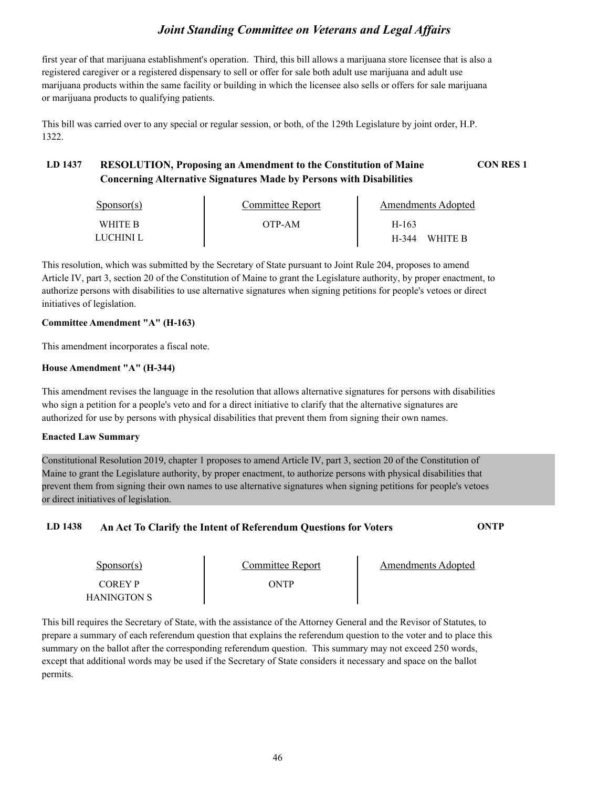first year of that marijuana establishment's operation. Third, this bill allows a marijuana store licensee that is also a registered caregiver or a registered dispensary to sell or offer for sale both adult use marijuana and adult use marijuana products within the same facility or building in which the licensee also sells or offers for sale marijuana or marijuana products to qualifying patients.

This bill was carried over to any special or regular session, or both, of the 129th Legislature by joint order, H.P. 1322.

### **LD 1437 RESOLUTION, Proposing an Amendment to the Constitution of Maine CON RES 1 Concerning Alternative Signatures Made by Persons with Disabilities**

| $S_{\text{PONSOT}}(s)$ | Committee Report | Amendments Adopted |  |
|------------------------|------------------|--------------------|--|
| WHITE B                | OTP-AM           | H-163              |  |
| LUCHINI L              |                  | H-344<br>WHITE B   |  |

This resolution, which was submitted by the Secretary of State pursuant to Joint Rule 204, proposes to amend Article IV, part 3, section 20 of the Constitution of Maine to grant the Legislature authority, by proper enactment, to authorize persons with disabilities to use alternative signatures when signing petitions for people's vetoes or direct initiatives of legislation.

#### **Committee Amendment "A" (H-163)**

This amendment incorporates a fiscal note.

#### **House Amendment "A" (H-344)**

This amendment revises the language in the resolution that allows alternative signatures for persons with disabilities who sign a petition for a people's veto and for a direct initiative to clarify that the alternative signatures are authorized for use by persons with physical disabilities that prevent them from signing their own names.

#### **Enacted Law Summary**

Constitutional Resolution 2019, chapter 1 proposes to amend Article IV, part 3, section 20 of the Constitution of Maine to grant the Legislature authority, by proper enactment, to authorize persons with physical disabilities that prevent them from signing their own names to use alternative signatures when signing petitions for people's vetoes or direct initiatives of legislation.

#### **LD 1438 An Act To Clarify the Intent of Referendum Questions for Voters ONTP**

| Sponsor(s)             | Committee Report | Amendments Adopted |  |
|------------------------|------------------|--------------------|--|
| LOBEA Þ<br>HANINGTON S | ONTP             |                    |  |

This bill requires the Secretary of State, with the assistance of the Attorney General and the Revisor of Statutes, to prepare a summary of each referendum question that explains the referendum question to the voter and to place this summary on the ballot after the corresponding referendum question. This summary may not exceed 250 words, except that additional words may be used if the Secretary of State considers it necessary and space on the ballot permits.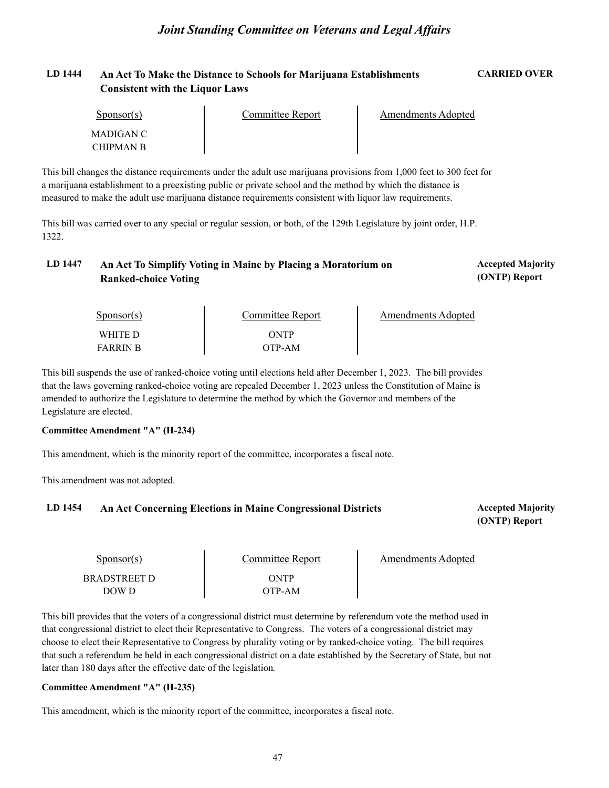#### **LD 1444 An Act To Make the Distance to Schools for Marijuana Establishments CARRIED OVER Consistent with the Liquor Laws**

| Sponsor(s)             | Committee Report | Amendments Adopted |  |
|------------------------|------------------|--------------------|--|
| MADIGAN C<br>CHIPMAN B |                  |                    |  |

This bill changes the distance requirements under the adult use marijuana provisions from 1,000 feet to 300 feet for a marijuana establishment to a preexisting public or private school and the method by which the distance is measured to make the adult use marijuana distance requirements consistent with liquor law requirements.

This bill was carried over to any special or regular session, or both, of the 129th Legislature by joint order, H.P. 1322.

#### LD 1447 An Act To Simplify Voting in Maine by Placing a Moratorium on *Accepted Majority* **(ONTP) Report Ranked-choice Voting**

| $S_{\text{ponsor}}(s)$ | Committee Report | Amendments Adopted |  |
|------------------------|------------------|--------------------|--|
| WHITE D                | ONTP             |                    |  |
| <b>FARRIN B</b>        | OTP-AM           |                    |  |

This bill suspends the use of ranked-choice voting until elections held after December 1, 2023. The bill provides that the laws governing ranked-choice voting are repealed December 1, 2023 unless the Constitution of Maine is amended to authorize the Legislature to determine the method by which the Governor and members of the Legislature are elected.

#### **Committee Amendment "A" (H-234)**

This amendment, which is the minority report of the committee, incorporates a fiscal note.

This amendment was not adopted.

#### LD 1454 An Act Concerning Elections in Maine Congressional Districts **Accepted Majority** Accepted Majority

**(ONTP) Report**

| Sponsor(s)                   | Committee Report | Amendments Adopted |
|------------------------------|------------------|--------------------|
| <b>BRADSTREET D</b><br>DOW D | ONTP<br>OTP-AM-  |                    |

This bill provides that the voters of a congressional district must determine by referendum vote the method used in that congressional district to elect their Representative to Congress. The voters of a congressional district may choose to elect their Representative to Congress by plurality voting or by ranked-choice voting. The bill requires that such a referendum be held in each congressional district on a date established by the Secretary of State, but not later than 180 days after the effective date of the legislation.

#### **Committee Amendment "A" (H-235)**

This amendment, which is the minority report of the committee, incorporates a fiscal note.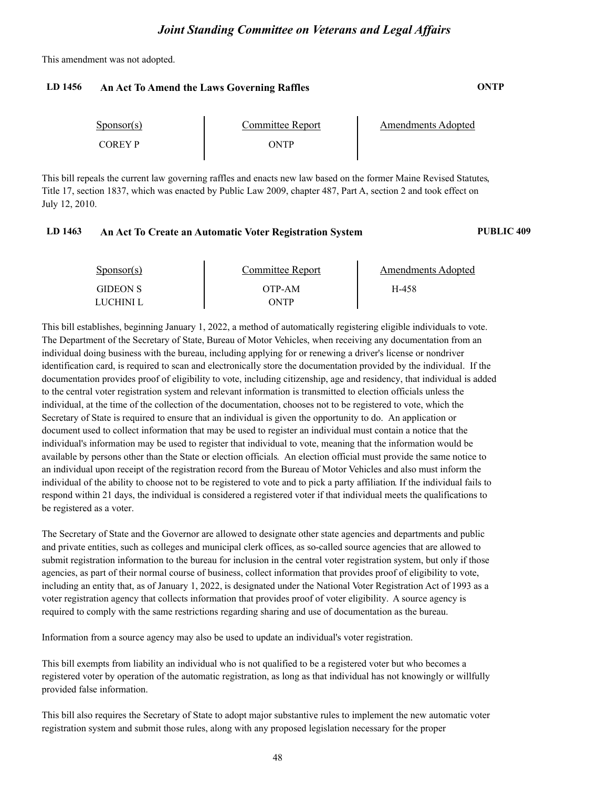This amendment was not adopted.

#### **LD 1456 An Act To Amend the Laws Governing Raffles ONTP**

| Sponsor(s) | Committee Report | Amendments Adopted |
|------------|------------------|--------------------|
| COREY P    | WTP              |                    |

This bill repeals the current law governing raffles and enacts new law based on the former Maine Revised Statutes,<br>Title 17, section 1837, which was enacted by Public Law 2009, chapter 487, Part A, section 2 and took effec July 12, 2010.

#### **LD 1463 An Act To Create an Automatic Voter Registration System PUBLIC 409**

| $S_{\text{PON}(\text{s})}$   | Committee Report | Amendments Adopted |  |
|------------------------------|------------------|--------------------|--|
| <b>GIDEON S</b><br>LUCHINI L | OTP-AM<br>ONTP   | H-458              |  |

This bill establishes, beginning January 1, 2022, a method of automatically registering eligible individuals to vote. The Department of the Secretary of State, Bureau of Motor Vehicles, when receiving any documentation from an individual doing business with the bureau, including applying for or renewing a driver's license or nondriver identification card, is required to scan and electronically store the documentation provided by the individual. If the documentation provides proof of eligibility to vote, including citizenship, age and residency, that individual is added to the central voter registration system and relevant information is transmitted to election officials unless the individual, at the time of the collection of the documentation, chooses not to be registered to vote, which the Secretary of State is required to ensure that an individual is given the opportunity to do. An application or document used to collect information that may be used to register an individual must contain a notice that the individual's information may be used to register that individual to vote, meaning that the information would be available by persons other than the State or election officials. An election official must provide the same notice to an individual upon receipt of the registration record from the Bureau of Motor Vehicles and also must inform the individual of the ability to choose not to be registered to vote and to pick a party affiliation. If the individual fails to respond within 21 days, the individual is considered a registered voter if that individual meets the qualifications to be registered as a voter.

The Secretary of State and the Governor are allowed to designate other state agencies and departments and public and private entities, such as colleges and municipal clerk offices, as so-called source agencies that are allowed to submit registration information to the bureau for inclusion in the central voter registration system, but only if those agencies, as part of their normal course of business, collect information that provides proof of eligibility to vote, including an entity that, as of January 1, 2022, is designated under the National Voter Registration Act of 1993 as a voter registration agency that collects information that provides proof of voter eligibility. A source agency is required to comply with the same restrictions regarding sharing and use of documentation as the bureau.

Information from a source agency may also be used to update an individual's voter registration.

This bill exempts from liability an individual who is not qualified to be a registered voter but who becomes a registered voter by operation of the automatic registration, as long as that individual has not knowingly or willfully provided false information.

This bill also requires the Secretary of State to adopt major substantive rules to implement the new automatic voter registration system and submit those rules, along with any proposed legislation necessary for the proper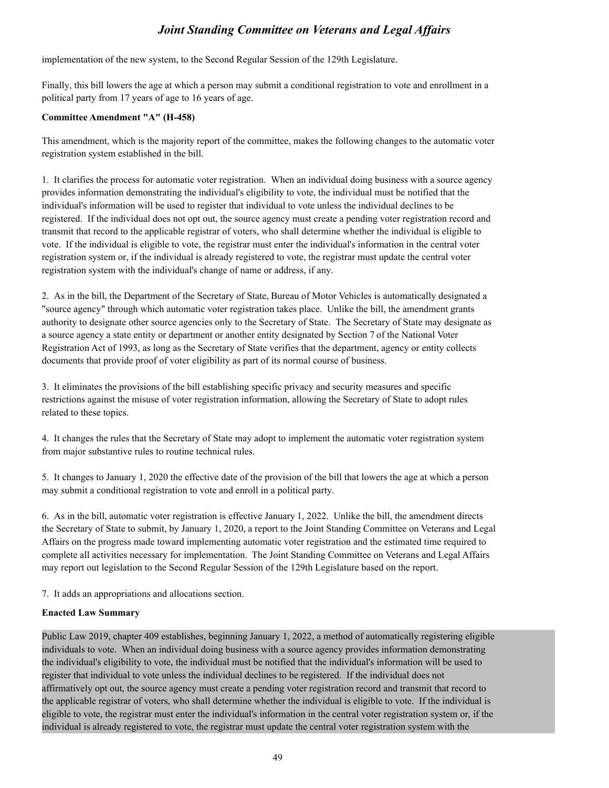implementation of the new system, to the Second Regular Session of the 129th Legislature.

Finally, this bill lowers the age at which a person may submit a conditional registration to vote and enrollment in a political party from 17 years of age to 16 years of age.

#### **Committee Amendment "A" (H-458)**

This amendment, which is the majority report of the committee, makes the following changes to the automatic voter registration system established in the bill.

1. It clarifies the process for automatic voter registration. When an individual doing business with a source agency provides information demonstrating the individual's eligibility to vote, the individual must be notified that the individual's information will be used to register that individual to vote unless the individual declines to be registered. If the individual does not opt out, the source agency must create a pending voter registration record and transmit that record to the applicable registrar of voters, who shall determine whether the individual is eligible to vote. If the individual is eligible to vote, the registrar must enter the individual's information in the central voter registration system or, if the individual is already registered to vote, the registrar must update the central voter registration system with the individual's change of name or address, if any.

2. As in the bill, the Department of the Secretary of State, Bureau of Motor Vehicles is automatically designated a "source agency" through which automatic voter registration takes place. Unlike the bill, the amendment grants authority to designate other source agencies only to the Secretary of State. The Secretary of State may designate as a source agency a state entity or department or another entity designated by Section 7 of the National Voter Registration Act of 1993, as long as the Secretary of State verifies that the department, agency or entity collects documents that provide proof of voter eligibility as part of its normal course of business.

3. It eliminates the provisions of the bill establishing specific privacy and security measures and specific restrictions against the misuse of voter registration information, allowing the Secretary of State to adopt rules related to these topics.

4. It changes the rules that the Secretary of State may adopt to implement the automatic voter registration system from major substantive rules to routine technical rules.

5. It changes to January 1, 2020 the effective date of the provision of the bill that lowers the age at which a person may submit a conditional registration to vote and enroll in a political party.

6. As in the bill, automatic voter registration is effective January 1, 2022. Unlike the bill, the amendment directs the Secretary of State to submit, by January 1, 2020, a report to the Joint Standing Committee on Veterans and Legal Affairs on the progress made toward implementing automatic voter registration and the estimated time required to complete all activities necessary for implementation. The Joint Standing Committee on Veterans and Legal Affairs may report out legislation to the Second Regular Session of the 129th Legislature based on the report.

7. It adds an appropriations and allocations section.

#### **Enacted Law Summary**

Public Law 2019, chapter 409 establishes, beginning January 1, 2022, a method of automatically registering eligible individuals to vote. When an individual doing business with a source agency provides information demonstrating the individual's eligibility to vote, the individual must be notified that the individual's information will be used to register that individual to vote unless the individual declines to be registered. If the individual does not affirmatively opt out, the source agency must create a pending voter registration record and transmit that record to the applicable registrar of voters, who shall determine whether the individual is eligible to vote. If the individual is eligible to vote, the registrar must enter the individual's information in the central voter registration system or, if the individual is already registered to vote, the registrar must update the central voter registration system with the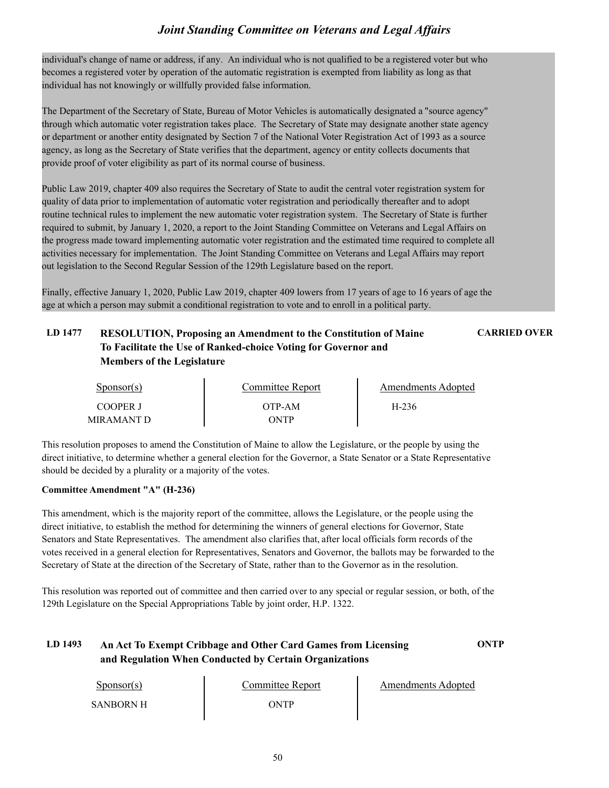individual's change of name or address, if any. An individual who is not qualified to be a registered voter but who becomes a registered voter by operation of the automatic registration is exempted from liability as long as that individual has not knowingly or willfully provided false information.

The Department of the Secretary of State, Bureau of Motor Vehicles is automatically designated a "source agency" through which automatic voter registration takes place. The Secretary of State may designate another state agency or department or another entity designated by Section 7 of the National Voter Registration Act of 1993 as a source agency, as long as the Secretary of State verifies that the department, agency or entity collects documents that provide proof of voter eligibility as part of its normal course of business.

Public Law 2019, chapter 409 also requires the Secretary of State to audit the central voter registration system for quality of data prior to implementation of automatic voter registration and periodically thereafter and to adopt routine technical rules to implement the new automatic voter registration system. The Secretary of State is further required to submit, by January 1, 2020, a report to the Joint Standing Committee on Veterans and Legal Affairs on the progress made toward implementing automatic voter registration and the estimated time required to complete all activities necessary for implementation. The Joint Standing Committee on Veterans and Legal Affairs may report out legislation to the Second Regular Session of the 129th Legislature based on the report.

Finally, effective January 1, 2020, Public Law 2019, chapter 409 lowers from 17 years of age to 16 years of age the age at which a person may submit a conditional registration to vote and to enroll in a political party.

### **LD 1477 RESOLUTION, Proposing an Amendment to the Constitution of Maine CARRIED OVER To Facilitate the Use of Ranked-choice Voting for Governor and Members of the Legislature**

| $S_{\text{DONSOT}}(s)$ | Committee Report | <b>Amendments Adopted</b> |  |
|------------------------|------------------|---------------------------|--|
| COOPER J               | OTP-AM           | H-236                     |  |
| MIR AMANT D            | ONTP             |                           |  |

This resolution proposes to amend the Constitution of Maine to allow the Legislature, or the people by using the direct initiative, to determine whether a general election for the Governor, a State Senator or a State Representative should be decided by a plurality or a majority of the votes.

#### **Committee Amendment "A" (H-236)**

This amendment, which is the majority report of the committee, allows the Legislature, or the people using the direct initiative, to establish the method for determining the winners of general elections for Governor, State Senators and State Representatives. The amendment also clarifies that, after local officials form records of the votes received in a general election for Representatives, Senators and Governor, the ballots may be forwarded to the Secretary of State at the direction of the Secretary of State, rather than to the Governor as in the resolution.

This resolution was reported out of committee and then carried over to any special or regular session, or both, of the 129th Legislature on the Special Appropriations Table by joint order, H.P. 1322.

### **LD 1493 An Act To Exempt Cribbage and Other Card Games from Licensing ONTP and Regulation When Conducted by Certain Organizations**

| Sponsor(s)       | Committee Report | Amendments Adopted |
|------------------|------------------|--------------------|
| <b>SANBORN H</b> | WTP              |                    |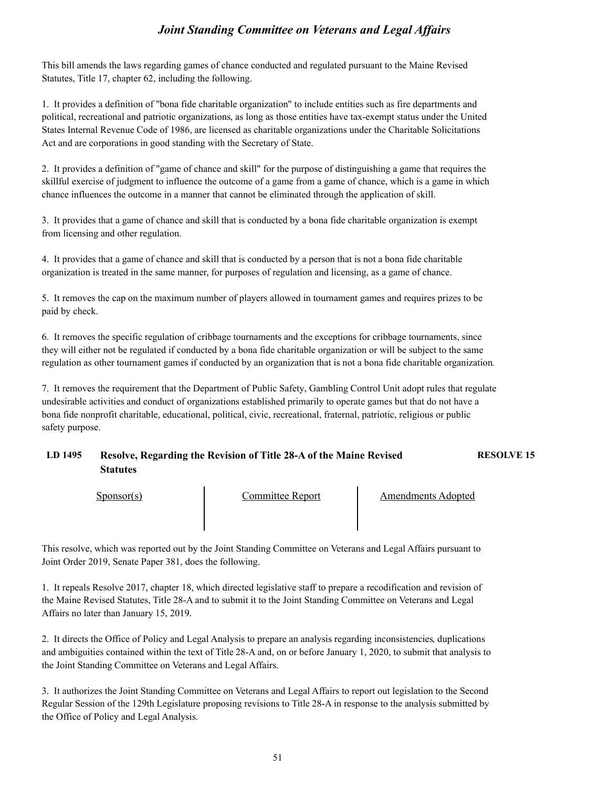This bill amends the laws regarding games of chance conducted and regulated pursuant to the Maine Revised Statutes, Title 17, chapter 62, including the following.

1. It provides a definition of "bona fide charitable organization" to include entities such as fire departments and political, recreational and patriotic organizations, as long as those entities have tax-exempt status under the United States Internal Revenue Code of 1986, are licensed as charitable organizations under the Charitable Solicitations Act and are corporations in good standing with the Secretary of State.

2. It provides a definition of "game of chance and skill" for the purpose of distinguishing a game that requires the skillful exercise of judgment to influence the outcome of a game from a game of chance, which is a game in which chance influences the outcome in a manner that cannot be eliminated through the application of skill.

3. It provides that a game of chance and skill that is conducted by a bona fide charitable organization is exempt from licensing and other regulation.

4. It provides that a game of chance and skill that is conducted by a person that is not a bona fide charitable organization is treated in the same manner, for purposes of regulation and licensing, as a game of chance.

5. It removes the cap on the maximum number of players allowed in tournament games and requires prizes to be paid by check.

6. It removes the specific regulation of cribbage tournaments and the exceptions for cribbage tournaments, since they will either not be regulated if conducted by a bona fide charitable organization or will be subject to the same regulation as other tournament games if conducted by an organization that is not a bona fide charitable organization.

7. It removes the requirement that the Department of Public Safety, Gambling Control Unit adopt rules that regulate undesirable activities and conduct of organizations established primarily to operate games but that do not have a bona fide nonprofit charitable, educational, political, civic, recreational, fraternal, patriotic, religious or public safety purpose.

### **LD 1495 Resolve, Regarding the Revision of Title 28-A of the Maine Revised RESOLVE 15 Statutes**

Sponsor(s) Committee Report Amendments Adopted

This resolve, which was reported out by the Joint Standing Committee on Veterans and Legal Affairs pursuant to Joint Order 2019, Senate Paper 381, does the following.

1. It repeals Resolve 2017, chapter 18, which directed legislative staff to prepare a recodification and revision of the Maine Revised Statutes, Title 28-A and to submit it to the Joint Standing Committee on Veterans and Legal Affairs no later than January 15, 2019.

2. It directs the Office of Policy and Legal Analysis to prepare an analysis regarding inconsistencies, duplications and ambiguities contained within the text of Title 28-A and, on or before January 1, 2020, to submit that analysis to the Joint Standing Committee on Veterans and Legal Affairs.

3. It authorizes the Joint Standing Committee on Veterans and Legal Affairs to report out legislation to the Second Regular Session of the 129th Legislature proposing revisions to Title 28-A in response to the analysis submitted by the Office of Policy and Legal Analysis.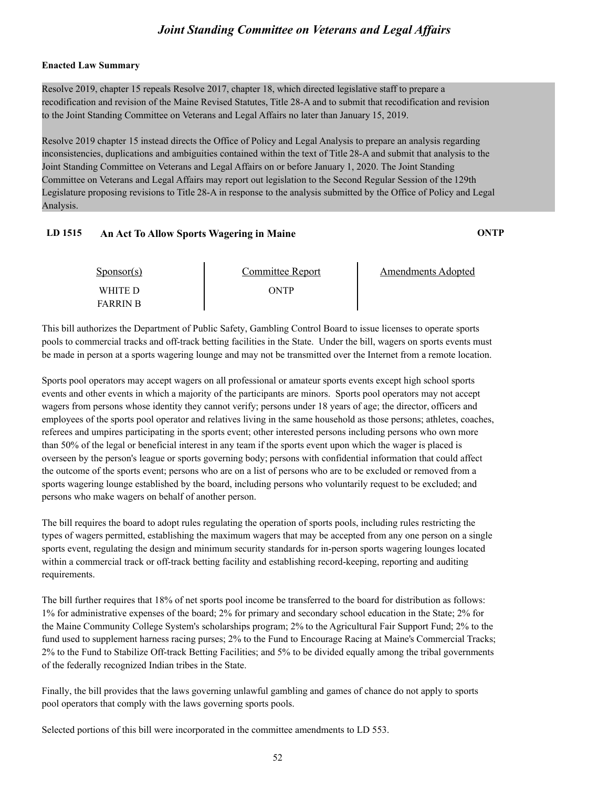#### **Enacted Law Summary**

Resolve 2019, chapter 15 repeals Resolve 2017, chapter 18, which directed legislative staff to prepare a recodification and revision of the Maine Revised Statutes, Title 28-A and to submit that recodification and revision to the Joint Standing Committee on Veterans and Legal Affairs no later than January 15, 2019.

Resolve 2019 chapter 15 instead directs the Office of Policy and Legal Analysis to prepare an analysis regarding inconsistencies, duplications and ambiguities contained within the text of Title 28-A and submit that analysis to the Joint Standing Committee on Veterans and Legal Affairs on or before January 1, 2020. The Joint Standing Committee on Veterans and Legal Affairs may report out legislation to the Second Regular Session of the 129th Legislature proposing revisions to Title 28-A in response to the analysis submitted by the Office of Policy and Legal Analysis.

#### **LD 1515 An Act To Allow Sports Wagering in Maine ONTP**

| $S_{\text{PON}(\text{S})}$ | Committee Report | Amendments Adopted |  |
|----------------------------|------------------|--------------------|--|
| WHITE D<br><b>FARRIN B</b> | <b>DNTP</b>      |                    |  |

This bill authorizes the Department of Public Safety, Gambling Control Board to issue licenses to operate sports pools to commercial tracks and off-track betting facilities in the State. Under the bill, wagers on sports events must be made in person at a sports wagering lounge and may not be transmitted over the Internet from a remote location.

Sports pool operators may accept wagers on all professional or amateur sports events except high school sports events and other events in which a majority of the participants are minors. Sports pool operators may not accept wagers from persons whose identity they cannot verify; persons under 18 years of age; the director, officers and employees of the sports pool operator and relatives living in the same household as those persons; athletes, coaches, referees and umpires participating in the sports event; other interested persons including persons who own more than 50% of the legal or beneficial interest in any team if the sports event upon which the wager is placed is overseen by the person's league or sports governing body; persons with confidential information that could affect the outcome of the sports event; persons who are on a list of persons who are to be excluded or removed from a sports wagering lounge established by the board, including persons who voluntarily request to be excluded; and persons who make wagers on behalf of another person.

The bill requires the board to adopt rules regulating the operation of sports pools, including rules restricting the types of wagers permitted, establishing the maximum wagers that may be accepted from any one person on a single sports event, regulating the design and minimum security standards for in-person sports wagering lounges located within a commercial track or off-track betting facility and establishing record-keeping, reporting and auditing requirements.

The bill further requires that 18% of net sports pool income be transferred to the board for distribution as follows: 1% for administrative expenses of the board; 2% for primary and secondary school education in the State; 2% for the Maine Community College System's scholarships program; 2% to the Agricultural Fair Support Fund; 2% to the fund used to supplement harness racing purses; 2% to the Fund to Encourage Racing at Maine's Commercial Tracks; 2% to the Fund to Stabilize Off-track Betting Facilities; and 5% to be divided equally among the tribal governments of the federally recognized Indian tribes in the State.

Finally, the bill provides that the laws governing unlawful gambling and games of chance do not apply to sports pool operators that comply with the laws governing sports pools.

Selected portions of this bill were incorporated in the committee amendments to LD 553.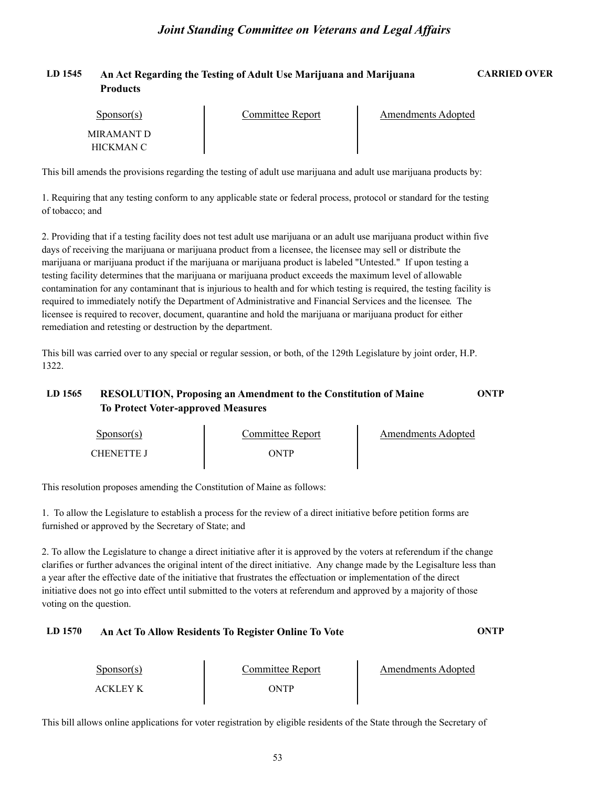#### **LD 1545 An Act Regarding the Testing of Adult Use Marijuana and Marijuana CARRIED OVER Products**

| Sponsor(s)              | Committee Report | <b>Amendments Adopted</b> |  |
|-------------------------|------------------|---------------------------|--|
| MIRAMANT D<br>HICKMAN C |                  |                           |  |

This bill amends the provisions regarding the testing of adult use marijuana and adult use marijuana products by:

1. Requiring that any testing conform to any applicable state or federal process, protocol or standard for the testing of tobacco; and

2. Providing that if a testing facility does not test adult use marijuana or an adult use marijuana product within five days of receiving the marijuana or marijuana product from a licensee, the licensee may sell or distribute the marijuana or marijuana product if the marijuana or marijuana product is labeled "Untested." If upon testing a testing facility determines that the marijuana or marijuana product exceeds the maximum level of allowable contamination for any contaminant that is injurious to health and for which testing is required, the testing facility is required to immediately notify the Department of Administrative and Financial Services and the licensee. The licensee is required to recover, document, quarantine and hold the marijuana or marijuana product for either remediation and retesting or destruction by the department.

This bill was carried over to any special or regular session, or both, of the 129th Legislature by joint order, H.P. 1322.

### **LD 1565 RESOLUTION, Proposing an Amendment to the Constitution of Maine ONTP To Protect Voter-approved Measures**

| Sponsor(s)        | Committee Report | <b>Amendments Adopted</b> |
|-------------------|------------------|---------------------------|
| <b>CHENETTE J</b> | ONTP             |                           |

This resolution proposes amending the Constitution of Maine as follows:

1. To allow the Legislature to establish a process for the review of a direct initiative before petition forms are furnished or approved by the Secretary of State; and

2. To allow the Legislature to change a direct initiative after it is approved by the voters at referendum if the change clarifies or further advances the original intent of the direct initiative. Any change made by the Legisalture less than a year after the effective date of the initiative that frustrates the effectuation or implementation of the direct initiative does not go into effect until submitted to the voters at referendum and approved by a majority of those voting on the question.

#### **LD 1570 An Act To Allow Residents To Register Online To Vote ONTP**

| $S_{\text{ponsor}}(s)$ | Committee Report | Amendments Adopted |
|------------------------|------------------|--------------------|
| ACKLEY K               | ONTP             |                    |

This bill allows online applications for voter registration by eligible residents of the State through the Secretary of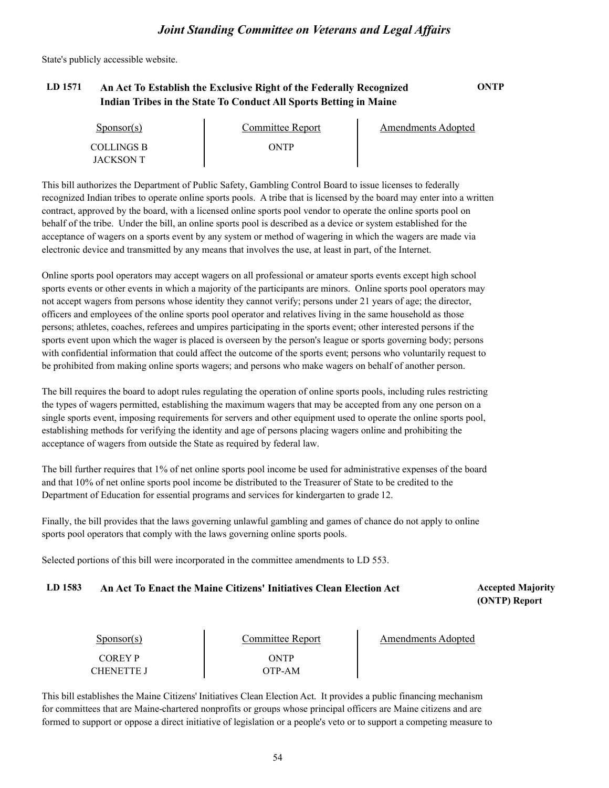State's publicly accessible website.

### **LD 1571 An Act To Establish the Exclusive Right of the Federally Recognized ONTP Indian Tribes in the State To Conduct All Sports Betting in Maine**

| Sponsor(s) | Committee Report | Amendments Adopted |
|------------|------------------|--------------------|
| COLLINGS B | ONTP             |                    |
| JACKSON T  |                  |                    |

This bill authorizes the Department of Public Safety, Gambling Control Board to issue licenses to federally recognized Indian tribes to operate online sports pools. A tribe that is licensed by the board may enter into a written contract, approved by the board, with a licensed online sports pool vendor to operate the online sports pool on behalf of the tribe. Under the bill, an online sports pool is described as a device or system established for the acceptance of wagers on a sports event by any system or method of wagering in which the wagers are made via electronic device and transmitted by any means that involves the use, at least in part, of the Internet.

Online sports pool operators may accept wagers on all professional or amateur sports events except high school sports events or other events in which a majority of the participants are minors. Online sports pool operators may not accept wagers from persons whose identity they cannot verify; persons under 21 years of age; the director, officers and employees of the online sports pool operator and relatives living in the same household as those persons; athletes, coaches, referees and umpires participating in the sports event; other interested persons if the sports event upon which the wager is placed is overseen by the person's league or sports governing body; persons with confidential information that could affect the outcome of the sports event; persons who voluntarily request to be prohibited from making online sports wagers; and persons who make wagers on behalf of another person.

The bill requires the board to adopt rules regulating the operation of online sports pools, including rules restricting the types of wagers permitted, establishing the maximum wagers that may be accepted from any one person on a single sports event, imposing requirements for servers and other equipment used to operate the online sports pool, establishing methods for verifying the identity and age of persons placing wagers online and prohibiting the acceptance of wagers from outside the State as required by federal law.

The bill further requires that 1% of net online sports pool income be used for administrative expenses of the board and that 10% of net online sports pool income be distributed to the Treasurer of State to be credited to the Department of Education for essential programs and services for kindergarten to grade 12.

Finally, the bill provides that the laws governing unlawful gambling and games of chance do not apply to online sports pool operators that comply with the laws governing online sports pools.

Selected portions of this bill were incorporated in the committee amendments to LD 553.

#### LD 1583 An Act To Enact the Maine Citizens' Initiatives Clean Election Act **Accepted Majority**

**(ONTP) Report**

| $S_{\text{ponsor}}(s)$ | Committee Report | Amendments Adopted |  |
|------------------------|------------------|--------------------|--|
| COREY P                | ONTP             |                    |  |
| <b>CHENETTE J</b>      | )TP-AM           |                    |  |

This bill establishes the Maine Citizens' Initiatives Clean Election Act. It provides a public financing mechanism for committees that are Maine-chartered nonprofits or groups whose principal officers are Maine citizens and are formed to support or oppose a direct initiative of legislation or a people's veto or to support a competing measure to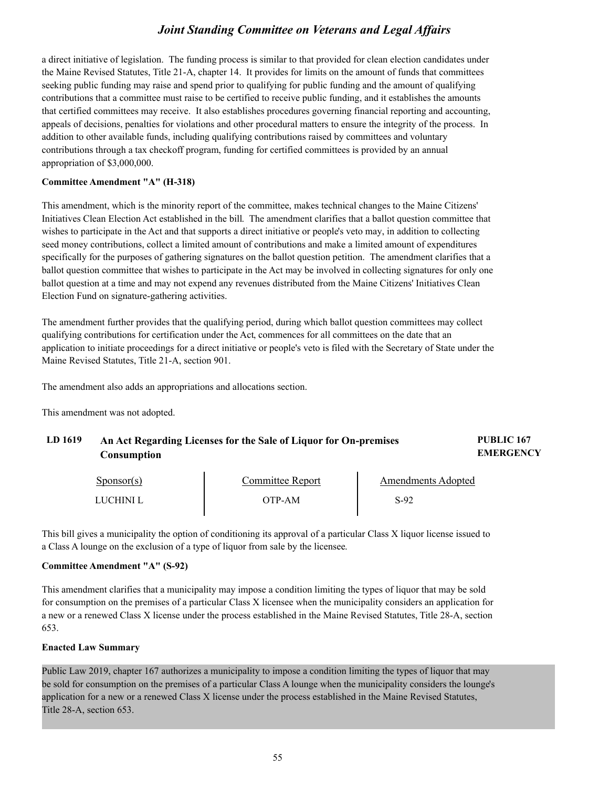a direct initiative of legislation. The funding process is similar to that provided for clean election candidates under the Maine Revised Statutes, Title 21-A, chapter 14. It provides for limits on the amount of funds that committees seeking public funding may raise and spend prior to qualifying for public funding and the amount of qualifying contributions that a committee must raise to be certified to receive public funding, and it establishes the amounts that certified committees may receive. It also establishes procedures governing financial reporting and accounting, appeals of decisions, penalties for violations and other procedural matters to ensure the integrity of the process. In addition to other available funds, including qualifying contributions raised by committees and voluntary contributions through a tax checkoff program, funding for certified committees is provided by an annual appropriation of \$3,000,000.

#### **Committee Amendment "A" (H-318)**

This amendment, which is the minority report of the committee, makes technical changes to the Maine Citizens' Initiatives Clean Election Act established in the bill. The amendment clarifies that a ballot question committee that wishes to participate in the Act and that supports a direct initiative or people's veto may, in addition to collecting seed money contributions, collect a limited amount of contributions and make a limited amount of expenditures specifically for the purposes of gathering signatures on the ballot question petition. The amendment clarifies that a ballot question committee that wishes to participate in the Act may be involved in collecting signatures for only one ballot question at a time and may not expend any revenues distributed from the Maine Citizens' Initiatives Clean Election Fund on signature-gathering activities.

The amendment further provides that the qualifying period, during which ballot question committees may collect qualifying contributions for certification under the Act, commences for all committees on the date that an application to initiate proceedings for a direct initiative or people's veto is filed with the Secretary of State under the Maine Revised Statutes, Title 21-A, section 901.

The amendment also adds an appropriations and allocations section.

LUCHINI L OTP-AM

This amendment was not adopted.

| LD 1619 | An Act Regarding Licenses for the Sale of Liquor for On-premises<br>Consumption |                  |                           | <b>PUBLIC 167</b><br><b>EMERGENCY</b> |  |
|---------|---------------------------------------------------------------------------------|------------------|---------------------------|---------------------------------------|--|
|         | $S_{\text{ponsor}(s)}$                                                          | Committee Report | <b>Amendments Adopted</b> |                                       |  |

S-92

| This bill gives a municipality the option of conditioning its approval of a particular Class X liquor license issued to |  |
|-------------------------------------------------------------------------------------------------------------------------|--|
| a Class A lounge on the exclusion of a type of liquor from sale by the licensee.                                        |  |

#### **Committee Amendment "A" (S-92)**

This amendment clarifies that a municipality may impose a condition limiting the types of liquor that may be sold for consumption on the premises of a particular Class X licensee when the municipality considers an application for a new or a renewed Class X license under the process established in the Maine Revised Statutes, Title 28-A, section 653.

#### **Enacted Law Summary**

Public Law 2019, chapter 167 authorizes a municipality to impose a condition limiting the types of liquor that may be sold for consumption on the premises of a particular Class A lounge when the municipality considers the lounge's application for a new or a renewed Class X license under the process established in the Maine Revised Statutes, Title 28-A, section 653.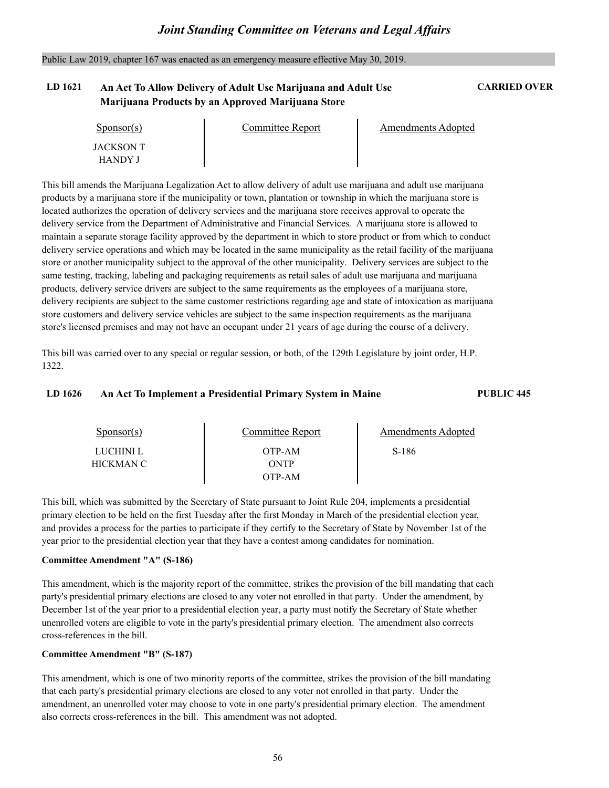Public Law 2019, chapter 167 was enacted as an emergency measure effective May 30, 2019.

### **LD 1621 An Act To Allow Delivery of Adult Use Marijuana and Adult Use CARRIED OVER Marijuana Products by an Approved Marijuana Store**

| Sponsor(s)                         | Committee Report | Amendments Adopted |  |
|------------------------------------|------------------|--------------------|--|
| <b>JACKSON T</b><br><b>HANDY J</b> |                  |                    |  |

This bill amends the Marijuana Legalization Act to allow delivery of adult use marijuana and adult use marijuana products by a marijuana store if the municipality or town, plantation or township in which the marijuana store is located authorizes the operation of delivery services and the marijuana store receives approval to operate the delivery service from the Department of Administrative and Financial Services. A marijuana store is allowed to maintain a separate storage facility approved by the department in which to store product or from which to conduct delivery service operations and which may be located in the same municipality as the retail facility of the marijuana store or another municipality subject to the approval of the other municipality. Delivery services are subject to the same testing, tracking, labeling and packaging requirements as retail sales of adult use marijuana and marijuana products, delivery service drivers are subject to the same requirements as the employees of a marijuana store, delivery recipients are subject to the same customer restrictions regarding age and state of intoxication as marijuana store customers and delivery service vehicles are subject to the same inspection requirements as the marijuana store's licensed premises and may not have an occupant under 21 years of age during the course of a delivery.

This bill was carried over to any special or regular session, or both, of the 129th Legislature by joint order, H.P. 1322.

#### **LD 1626 An Act To Implement a Presidential Primary System in Maine PUBLIC 445**

| $S_{\text{PON}(\text{S})}$ | Committee Report         | Amendments Adopted |  |
|----------------------------|--------------------------|--------------------|--|
| LUCHINI L<br>HICKMAN C-    | OTP-AM<br>ONTP<br>OTP-AM | S-186              |  |

This bill, which was submitted by the Secretary of State pursuant to Joint Rule 204, implements a presidential primary election to be held on the first Tuesday after the first Monday in March of the presidential election year, and provides a process for the parties to participate if they certify to the Secretary of State by Novembe year prior to the presidential election year that they have a contest among candidates for nomination.

#### **Committee Amendment "A" (S-186)**

This amendment, which is the majority report of the committee, strikes the provision of the bill mandating that each party's presidential primary elections are closed to any voter not enrolled in that party. Under the amendment, by December 1st of the year prior to a presidential election year, a party must notify the Secretary of State whether unenrolled voters are eligible to vote in the party's presidential primary election. The amendment also corrects cross-references in the bill.

#### **Committee Amendment "B" (S-187)**

This amendment, which is one of two minority reports of the committee, strikes the provision of the bill mandating that each party's presidential primary elections are closed to any voter not enrolled in that party. Under the amendment, an unenrolled voter may choose to vote in one party's presidential primary election. The amendment also corrects cross-references in the bill. This amendment was not adopted.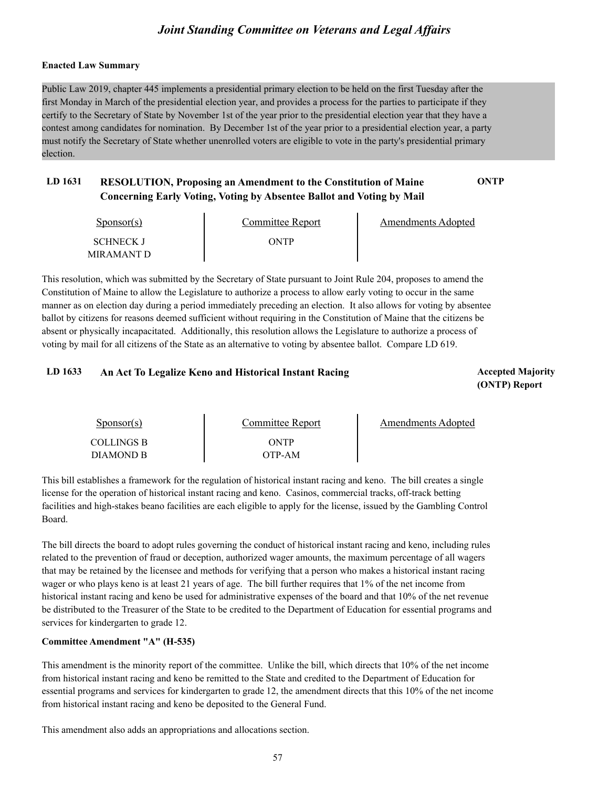#### **Enacted Law Summary**

Public Law 2019, chapter 445 implements a presidential primary election to be held on the first Tuesday after the first Monday in March of the presidential election year, and provides a process for the parties to participate if they certify to the Secretary of State by November 1st of the year prior to the presidential election year that they have a contest among candidates for nomination. By December 1st of the year prior to a presidential election year, a party must notify the Secretary of State whether unenrolled voters are eligible to vote in the party's presidential primary election.

### **LD 1631 RESOLUTION, Proposing an Amendment to the Constitution of Maine ONTP Concerning Early Voting, Voting by Absentee Ballot and Voting by Mail**

| Sponsor(s)       | Committee Report | Amendments Adopted |  |
|------------------|------------------|--------------------|--|
| <b>SCHNECK J</b> | ONTP             |                    |  |
| MIRAMANT D       |                  |                    |  |

This resolution, which was submitted by the Secretary of State pursuant to Joint Rule 204, proposes to amend the Constitution of Maine to allow the Legislature to authorize a process to allow early voting to occur in the same manner as on election day during a period immediately preceding an election. It also allows for voting by absentee ballot by citizens for reasons deemed sufficient without requiring in the Constitution of Maine that the citizens be absent or physically incapacitated. Additionally, this resolution allows the Legislature to authorize a process of voting by mail for all citizens of the State as an alternative to voting by absentee ballot. Compare LD 619.

#### LD 1633 An Act To Legalize Keno and Historical Instant Racing *Accepted Majority* Accepted Majority

**(ONTP) Report**

| $S_{\text{POD}S}$ (s) | Committee Report | Amendments Adopted |
|-----------------------|------------------|--------------------|
| <b>COLLINGS B</b>     | ONTP             |                    |
| DIAMOND B             | OTP-AM           |                    |

This bill establishes a framework for the regulation of historical instant racing and keno. The bill creates a single license for the operation of historical instant racing and keno. Casinos, commercial tracks, off-track betting facilities and high-stakes beano facilities are each eligible to apply for the license, issued by the Gambling Control Board.

The bill directs the board to adopt rules governing the conduct of historical instant racing and keno, including rules related to the prevention of fraud or deception, authorized wager amounts, the maximum percentage of all wagers that may be retained by the licensee and methods for verifying that a person who makes a historical instant racing wager or who plays keno is at least 21 years of age. The bill further requires that 1% of the net income from historical instant racing and keno be used for administrative expenses of the board and that 10% of the net revenue be distributed to the Treasurer of the State to be credited to the Department of Education for essential programs and services for kindergarten to grade 12.

#### **Committee Amendment "A" (H-535)**

This amendment is the minority report of the committee. Unlike the bill, which directs that 10% of the net income from historical instant racing and keno be remitted to the State and credited to the Department of Education for essential programs and services for kindergarten to grade 12, the amendment directs that this 10% of the net income from historical instant racing and keno be deposited to the General Fund.

This amendment also adds an appropriations and allocations section.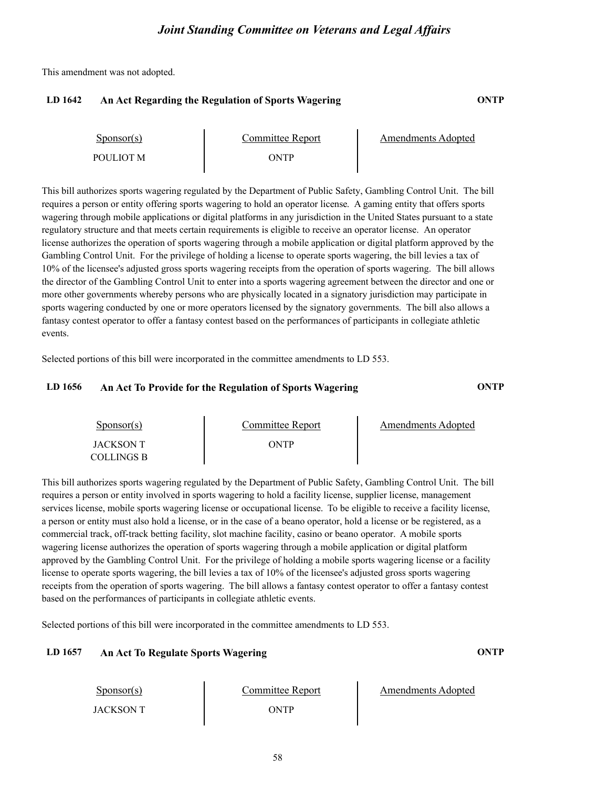This amendment was not adopted.

#### **LD 1642 An Act Regarding the Regulation of Sports Wagering ONTP**

| $S_{\text{ponsor}}(s)$ | Committee Report | Amendments Adopted |
|------------------------|------------------|--------------------|
| POULIOT M              | WTP              |                    |

This bill authorizes sports wagering regulated by the Department of Public Safety, Gambling Control Unit. The bill requires a person or entity offering sports wagering to hold an operator license. A gaming entity that offers sports wagering through mobile applications or digital platforms in any jurisdiction in the United States pursuant to a state regulatory structure and that meets certain requirements is eligible to receive an operator license. An operator license authorizes the operation of sports wagering through a mobile application or digital platform approved by the Gambling Control Unit. For the privilege of holding a license to operate sports wagering, the bill levies a tax of 10% of the licensee's adjusted gross sports wagering receipts from the operation of sports wagering. The bill allows the director of the Gambling Control Unit to enter into a sports wagering agreement between the director and one or more other governments whereby persons who are physically located in a signatory jurisdiction may participate in sports wagering conducted by one or more operators licensed by the signatory governments. The bill also allows a fantasy contest operator to offer a fantasy contest based on the performances of participants in collegiate athletic events.

Selected portions of this bill were incorporated in the committee amendments to LD 553.

#### **LD 1656 An Act To Provide for the Regulation of Sports Wagering ONTP**

| Sponsor(s) | Committee Report | Amendments Adopted |
|------------|------------------|--------------------|
| JACKSON T  | ONTP             |                    |
| COLLINGS B |                  |                    |

This bill authorizes sports wagering regulated by the Department of Public Safety, Gambling Control Unit. The bill requires a person or entity involved in sports wagering to hold a facility license, supplier license, management services license, mobile sports wagering license or occupational license. To be eligible to receive a facility license, a person or entity must also hold a license, or in the case of a beano operator, hold a license or be commercial track, off-track betting facility, slot machine facility, casino or beano operator. A mobile sports wagering license authorizes the operation of sports wagering through a mobile application or digital platform approved by the Gambling Control Unit. For the privilege of holding a mobile sports wagering license or a facility license to operate sports wagering, the bill levies a tax of 10% of the licensee's adjusted gross sports wagering receipts from the operation of sports wagering. The bill allows a fantasy contest operator to offer a fantasy contest based on the performances of participants in collegiate athletic events.

Selected portions of this bill were incorporated in the committee amendments to LD 553.

#### **LD 1657 An Act To Regulate Sports Wagering ONTP**

Sponsor(s)

JACKSON T ONTP

Committee Report Amendments Adopted

58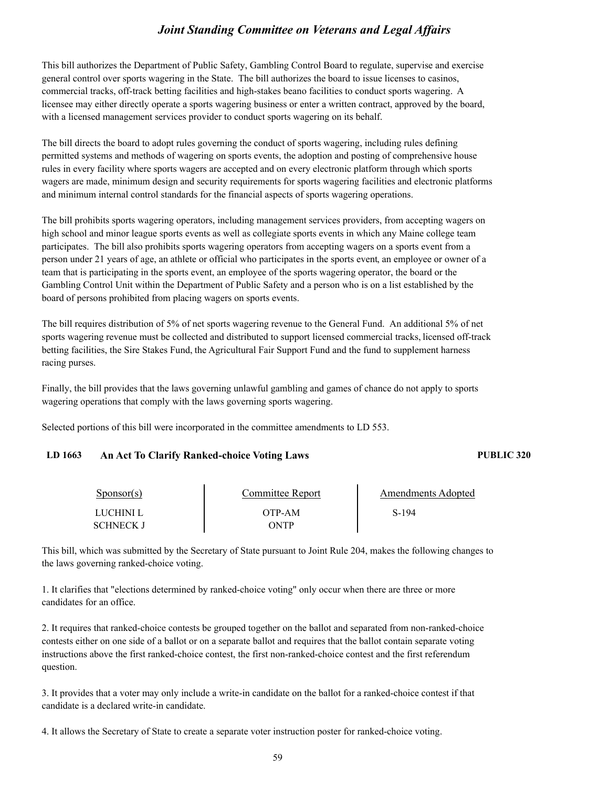This bill authorizes the Department of Public Safety, Gambling Control Board to regulate, supervise and exercise general control over sports wagering in the State. The bill authorizes the board to issue licenses to casinos, commercial tracks, off-track betting facilities and high-stakes beano facilities to conduct sports wagering. A licensee may either directly operate a sports wagering business or enter a written contract, approved by the board, with a licensed management services provider to conduct sports wagering on its behalf.

The bill directs the board to adopt rules governing the conduct of sports wagering, including rules defining permitted systems and methods of wagering on sports events, the adoption and posting of comprehensive house rules in every facility where sports wagers are accepted and on every electronic platform through which sports wagers are made, minimum design and security requirements for sports wagering facilities and electronic platforms and minimum internal control standards for the financial aspects of sports wagering operations.

The bill prohibits sports wagering operators, including management services providers, from accepting wagers on high school and minor league sports events as well as collegiate sports events in which any Maine college team participates. The bill also prohibits sports wagering operators from accepting wagers on a sports event from a person under 21 years of age, an athlete or official who participates in the sports event, an employee or owner of a team that is participating in the sports event, an employee of the sports wagering operator, the board or the Gambling Control Unit within the Department of Public Safety and a person who is on a list established by the board of persons prohibited from placing wagers on sports events.

The bill requires distribution of 5% of net sports wagering revenue to the General Fund. An additional 5% of net sports wagering revenue must be collected and distributed to support licensed commercial tracks, licensed off-track betting facilities, the Sire Stakes Fund, the Agricultural Fair Support Fund and the fund to supplement harness racing purses.

Finally, the bill provides that the laws governing unlawful gambling and games of chance do not apply to sports wagering operations that comply with the laws governing sports wagering.

Selected portions of this bill were incorporated in the committee amendments to LD 553.

#### **LD 1663 An Act To Clarify Ranked-choice Voting Laws PUBLIC 320**

| Sponsor(s) | Committee Report | Amendments Adopted |  |
|------------|------------------|--------------------|--|
| LUCHINI L  | OTP-AM           | S-194              |  |
| SCHNECK J  | ONTP             |                    |  |

This bill, which was submitted by the Secretary of State pursuant to Joint Rule 204, makes the following changes to the laws governing ranked-choice voting.

1. It clarifies that "elections determined by ranked-choice voting" only occur when there are three or more candidates for an office.<br>2. It requires that ranked-choice contests be grouped together on the ballot and separated from non-ranked-choice

contests either on one side of a ballot or on a separate ballot and requires that the ballot contain separate voting instructions above the first ranked-choice contest, the first non-ranked-choice contest and the first referendum question.

3. It provides that a voter may only include a write-in candidate on the ballot for a ranked-choice contest if that candidate is a declared write-in candidate.

4. It allows the Secretary of State to create a separate voter instruction poster for ranked-choice voting.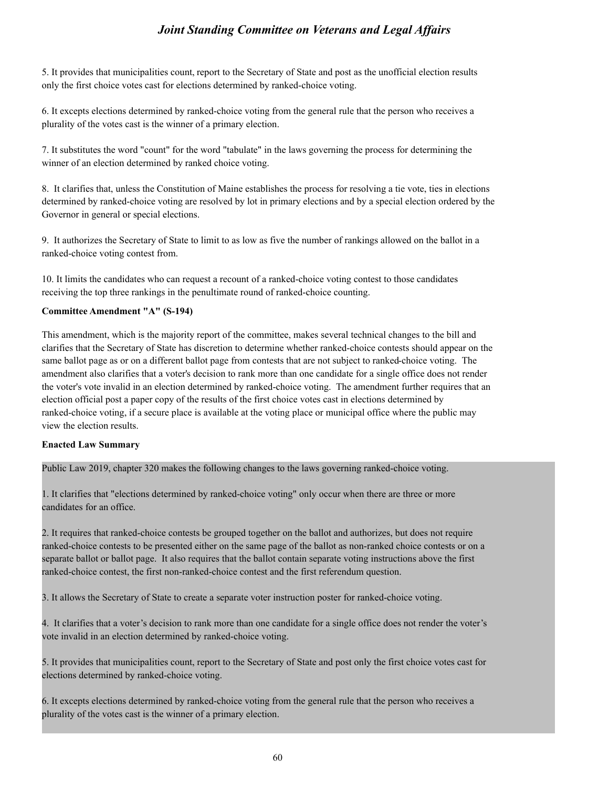5. It provides that municipalities count, report to the Secretary of State and post as the unofficial election results only the first choice votes cast for elections determined by ranked-choice voting.

6. It excepts elections determined by ranked-choice voting from the general rule that the person who receives a plurality of the votes cast is the winner of a primary election.

7. It substitutes the word "count" for the word "tabulate" in the laws governing the process for determining the winner of an election determined by ranked choice voting.

8. It clarifies that, unless the Constitution of Maine establishes the process for resolving a tie vote, ties in elections determined by ranked-choice voting are resolved by lot in primary elections and by a special election ordered by the Governor in general or special elections.

9. It authorizes the Secretary of State to limit to as low as five the number of rankings allowed on the ballot in a ranked-choice voting contest from.

10. It limits the candidates who can request a recount of a ranked-choice voting contest to those candidates receiving the top three rankings in the penultimate round of ranked-choice counting.

#### **Committee Amendment "A" (S-194)**

This amendment, which is the majority report of the committee, makes several technical changes to the bill and clarifies that the Secretary of State has discretion to determine whether ranked-choice contests should appear on the same ballot page as or on a different ballot page from contests that are not subject to ranked-choice voting. The amendment also clarifies that a voter's decision to rank more than one candidate for a single office does not render the voter's vote invalid in an election determined by ranked-choice voting. The amendment further requires that an election official post a paper copy of the results of the first choice votes cast in elections determined by ranked-choice voting, if a secure place is available at the voting place or municipal office where the public may view the election results.

#### **Enacted Law Summary**

Public Law 2019, chapter 320 makes the following changes to the laws governing ranked-choice voting.

1. It clarifies that "elections determined by ranked-choice voting" only occur when there are three or more

candidates for an office.<br>2. It requires that ranked-choice contests be grouped together on the ballot and authorizes, but does not require ranked-choice contests to be presented either on the same page of the ballot as non-ranked choice contests or on a separate ballot or ballot page. It also requires that the ballot contain separate voting instructions above the first ranked-choice contest, the first non-ranked-choice contest and the first referendum question.

3. It allows the Secretary of State to create a separate voter instruction poster for ranked-choice voting.

4. It clarifies that a voter's decision to rank more than one candidate for a single office does not render the voter's vote invalid in an election determined by ranked-choice voting.

5. It provides that municipalities count, report to the Secretary of State and post only the first choice votes cast for elections determined by ranked-choice voting.

6. It excepts elections determined by ranked-choice voting from the general rule that the person who receives a plurality of the votes cast is the winner of a primary election.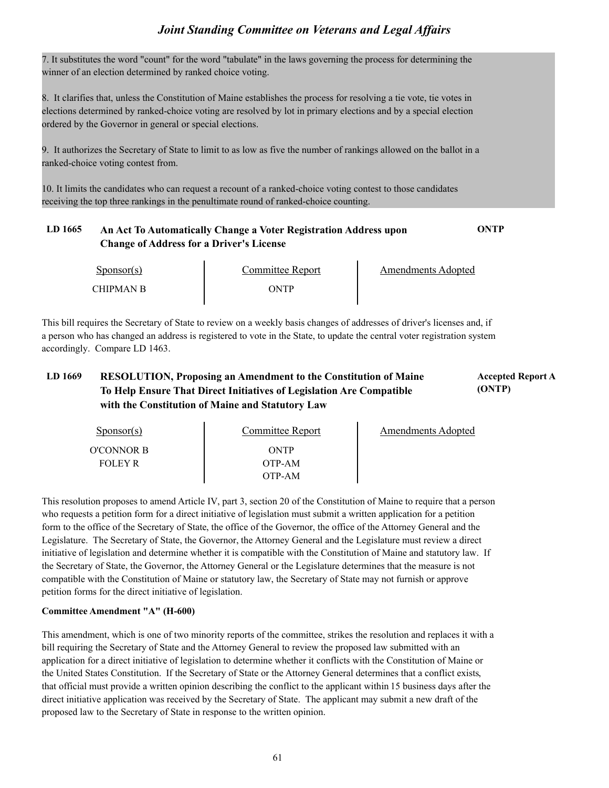7. It substitutes the word "count" for the word "tabulate" in the laws governing the process for determining the winner of an election determined by ranked choice voting.

8. It clarifies that, unless the Constitution of Maine establishes the process for resolving a tie vote, tie votes in elections determined by ranked-choice voting are resolved by lot in primary elections and by a special election ordered by the Governor in general or special elections.

9. It authorizes the Secretary of State to limit to as low as five the number of rankings allowed on the ballot in a ranked-choice voting contest from.

10. It limits the candidates who can request a recount of a ranked-choice voting contest to those candidates receiving the top three rankings in the penultimate round of ranked-choice counting.

### **LD 1665 An Act To Automatically Change a Voter Registration Address upon ONTP Change of Address for a Driver's License**

Sponsor(s) CHIPMAN B ONTP

Committee Report The Amendments Adopted

This bill requires the Secretary of State to review on a weekly basis changes of addresses of driver's licenses and, if a person who has changed an address is registered to vote in the State, to update the central voter registration system accordingly. Compare LD 1463.

### **LD 1669 Accepted Report A RESOLUTION, Proposing an Amendment to the Constitution of Maine To Help Ensure That Direct Initiatives of Legislation Are Compatible with the Constitution of Maine and Statutory Law**

**(ONTP)**

| $S_{\text{ponsor}}(s)$ | Committee Report | Amendments Adopted |
|------------------------|------------------|--------------------|
| O'CONNOR B             | ONTP             |                    |
| <b>FOLEY R</b>         | OTP-AM           |                    |
|                        | OTP-AM           |                    |

This resolution proposes to amend Article IV, part 3, section 20 of the Constitution of Maine to require that a person who requests a petition form for a direct initiative of legislation must submit a written application for a petition form to the office of the Secretary of State, the office of the Governor, the office of the Attorney General and the Legislature. The Secretary of State, the Governor, the Attorney General and the Legislature must review a direct initiative of legislation and determine whether it is compatible with the Constitution of Maine and statutory law. If the Secretary of State, the Governor, the Attorney General or the Legislature determines that the measure is not compatible with the Constitution of Maine or statutory law, the Secretary of State may not furnish or approve petition forms for the direct initiative of legislation.

#### **Committee Amendment "A" (H-600)**

This amendment, which is one of two minority reports of the committee, strikes the resolution and replaces it with a bill requiring the Secretary of State and the Attorney General to review the proposed law submitted with an application for a direct initiative of legislation to determine whether it conflicts with the Constitution of Maine or the United States Constitution. If the Secretary of State or the Attorney General determines that a conflict exists, that official must provide a written opinion describing the conflict to the applicant within 15 business direct initiative application was received by the Secretary of State. The applicant may submit a new draft of the proposed law to the Secretary of State in response to the written opinion.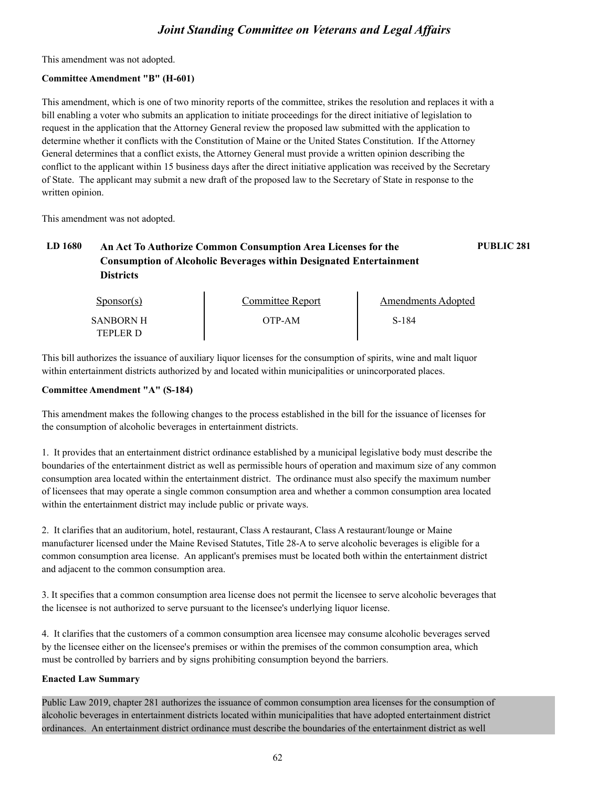This amendment was not adopted.

#### **Committee Amendment "B" (H-601)**

This amendment, which is one of two minority reports of the committee, strikes the resolution and replaces it with a bill enabling a voter who submits an application to initiate proceedings for the direct initiative of legislation to request in the application that the Attorney General review the proposed law submitted with the application to determine whether it conflicts with the Constitution of Maine or the United States Constitution. If the Attorney General determines that a conflict exists, the Attorney General must provide a written opinion describing the conflict to the applicant within 15 business days after the direct initiative application was received by the Secretary of State. The applicant may submit a new draft of the proposed law to the Secretary of State in response to the written opinion.

This amendment was not adopted.

### **LD 1680 An Act To Authorize Common Consumption Area Licenses for the PUBLIC 281 Consumption of Alcoholic Beverages within Designated Entertainment Districts**

Sponsor(s) SANBORN H OTP TEPLER D OTP-AM Committee Report Fig. 2. Amendments Adopted S-184

This bill authorizes the issuance of auxiliary liquor licenses for the consumption of spirits, wine and malt liquor within entertainment districts authorized by and located within municipalities or unincorporated places.

#### **Committee Amendment "A" (S-184)**

This amendment makes the following changes to the process established in the bill for the issuance of licenses for the consumption of alcoholic beverages in entertainment districts.

1. It provides that an entertainment district ordinance established by a municipal legislative body must describe the boundaries of the entertainment district as well as permissible hours of operation and maximum size of any common consumption area located within the entertainment district. The ordinance must also specify the maximum number of licensees that may operate a single common consumption area and whether a common consumption area located within the entertainment district may include public or private ways.

2. It clarifies that an auditorium, hotel, restaurant, Class A restaurant, Class A restaurant/lounge or Maine manufacturer licensed under the Maine Revised Statutes, Title 28-A to serve alcoholic beverages is eligible for a common consumption area license. An applicant's premises must be located both within the entertainment district and adjacent to the common consumption area.

3. It specifies that a common consumption area license does not permit the licensee to serve alcoholic beverages that the licensee is not authorized to serve pursuant to the licensee's underlying liquor license.

4. It clarifies that the customers of a common consumption area licensee may consume alcoholic beverages served by the licensee either on the licensee's premises or within the premises of the common consumption area, which must be controlled by barriers and by signs prohibiting consumption beyond the barriers.

#### **Enacted Law Summary**

Public Law 2019, chapter 281 authorizes the issuance of common consumption area licenses for the consumption of alcoholic beverages in entertainment districts located within municipalities that have adopted entertainment district ordinances. An entertainment district ordinance must describe the boundaries of the entertainment district as well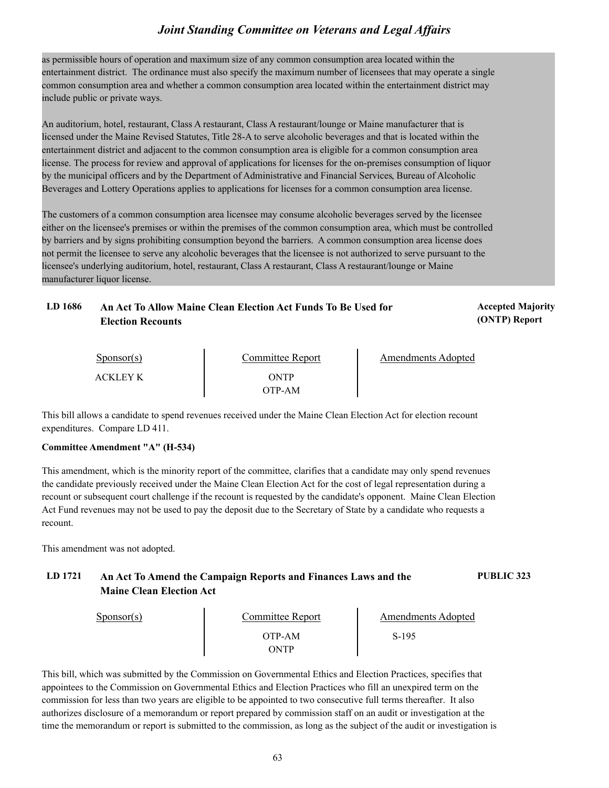as permissible hours of operation and maximum size of any common consumption area located within the entertainment district. The ordinance must also specify the maximum number of licensees that may operate a single common consumption area and whether a common consumption area located within the entertainment district may include public or private ways.

An auditorium, hotel, restaurant, Class A restaurant, Class A restaurant/lounge or Maine manufacturer that is licensed under the Maine Revised Statutes, Title 28-A to serve alcoholic beverages and that is located within the entertainment district and adjacent to the common consumption area is eligible for a common consumption area license. The process for review and approval of applications for licenses for the on-premises consumption of liquor by the municipal officers and by the Department of Administrative and Financial Services, Bureau of Alcoholic Beverages and Lottery Operations applies to applications for licenses for a common consumption area license.

The customers of a common consumption area licensee may consume alcoholic beverages served by the licensee either on the licensee's premises or within the premises of the common consumption area, which must be controlled by barriers and by signs prohibiting consumption beyond the barriers. A common consumption area license does not permit the licensee to serve any alcoholic beverages that the licensee is not authorized to serve pursuant to the licensee's underlying auditorium, hotel, restaurant, Class A restaurant, Class A restaurant/lounge or Maine manufacturer liquor license.

| LD 1686 | An Act To Allow Maine Clean Election Act Funds To Be Used for | <b>Accepted Majority</b> |
|---------|---------------------------------------------------------------|--------------------------|
|         | Election Recounts                                             | (ONTP) Report            |

| $S_{\text{PON}(\text{S})}$ | Committee Report | Amendments Adopted |  |
|----------------------------|------------------|--------------------|--|
| ACKLEY K                   | ONTP             |                    |  |
|                            | OTP-AM           |                    |  |

This bill allows a candidate to spend revenues received under the Maine Clean Election Act for election recount expenditures. Compare LD 411.

#### **Committee Amendment "A" (H-534)**

This amendment, which is the minority report of the committee, clarifies that a candidate may only spend revenues the candidate previously received under the Maine Clean Election Act for the cost of legal representation during a recount or subsequent court challenge if the recount is requested by the candidate's opponent. Maine Clean Election Act Fund revenues may not be used to pay the deposit due to the Secretary of State by a candidate who requests a recount.

This amendment was not adopted.

### **LD 1721 An Act To Amend the Campaign Reports and Finances Laws and the PUBLIC 323 Maine Clean Election Act**

| $S_{\text{PON}(\text{S})}$ | Committee Report      | <b>Amendments Adopted</b> |  |
|----------------------------|-----------------------|---------------------------|--|
|                            | OTP-AM<br><b>)NTP</b> | $S-195$                   |  |

This bill, which was submitted by the Commission on Governmental Ethics and Election Practices, specifies that appointees to the Commission on Governmental Ethics and Election Practices who fill an unexpired term on the commission for less than two years are eligible to be appointed to two consecutive full terms thereafter. It also authorizes disclosure of a memorandum or report prepared by commission staff on an audit or investigation at the time the memorandum or report is submitted to the commission, as long as the subject of the audit or investigation is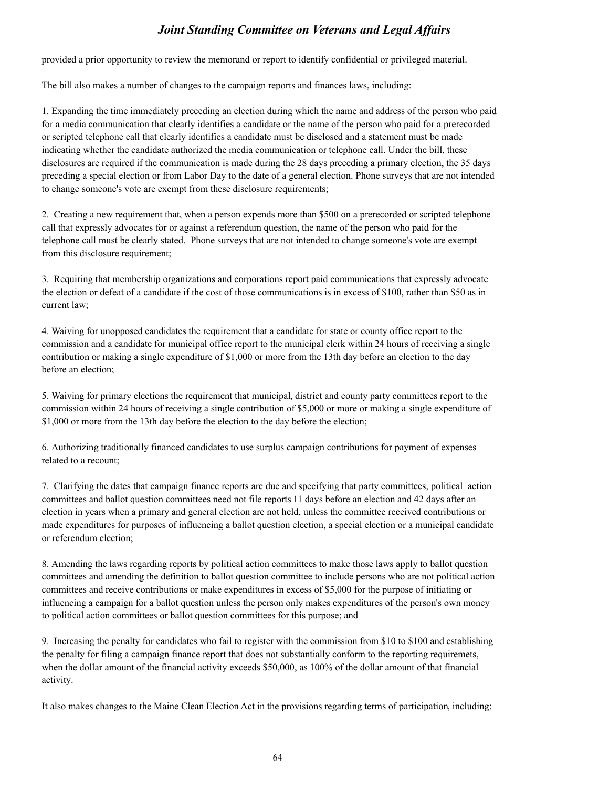provided a prior opportunity to review the memorand or report to identify confidential or privileged material.

The bill also makes a number of changes to the campaign reports and finances laws, including:

1. Expanding the time immediately preceding an election during which the name and address of the person who paid for a media communication that clearly identifies a candidate or the name of the person who paid for a prerecorded or scripted telephone call that clearly identifies a candidate must be disclosed and a statement must be made indicating whether the candidate authorized the media communication or telephone call. Under the bill, these disclosures are required if the communication is made during the 28 days preceding a primary election, the 35 days preceding a special election or from Labor Day to the date of a general election. Phone surveys that are not intended to change someone's vote are exempt from these disclosure requirements;

2. Creating a new requirement that, when a person expends more than \$500 on a prerecorded or scripted telephone call that expressly advocates for or against a referendum question, the name of the person who paid for the telephone call must be clearly stated. Phone surveys that are not intended to change someone's vote are exempt from this disclosure requirement;

3. Requiring that membership organizations and corporations report paid communications that expressly advocate the election or defeat of a candidate if the cost of those communications is in excess of \$100, rather than \$50 as in current law;

4. Waiving for unopposed candidates the requirement that a candidate for state or county office report to the commission and a candidate for municipal office report to the municipal clerk within 24 hours of receiving a single contribution or making a single expenditure of \$1,000 or more from the 13th day before an election to the day before an election;

5. Waiving for primary elections the requirement that municipal, district and county party committees report to the commission within 24 hours of receiving a single contribution of \$5,000 or more or making a single expenditure of \$1,000 or more from the 13th day before the election to the day before the election;

6. Authorizing traditionally financed candidates to use surplus campaign contributions for payment of expenses related to a recount;

7. Clarifying the dates that campaign finance reports are due and specifying that party committees, political action committees and ballot question committees need not file reports 11 days before an election and 42 days after an election in years when a primary and general election are not held, unless the committee received contributions or made expenditures for purposes of influencing a ballot question election, a special election or a municipal candidate or referendum election;

8. Amending the laws regarding reports by political action committees to make those laws apply to ballot question committees and amending the definition to ballot question committee to include persons who are not political action committees and receive contributions or make expenditures in excess of \$5,000 for the purpose of initiating or influencing a campaign for a ballot question unless the person only makes expenditures of the person's own money to political action committees or ballot question committees for this purpose; and

9. Increasing the penalty for candidates who fail to register with the commission from \$10 to \$100 and establishing the penalty for filing a campaign finance report that does not substantially conform to the reporting requiremets, when the dollar amount of the financial activity exceeds \$50,000, as 100% of the dollar amount of that financial activity.

It also makes changes to the Maine Clean Election Act in the provisions regarding terms of participation, including: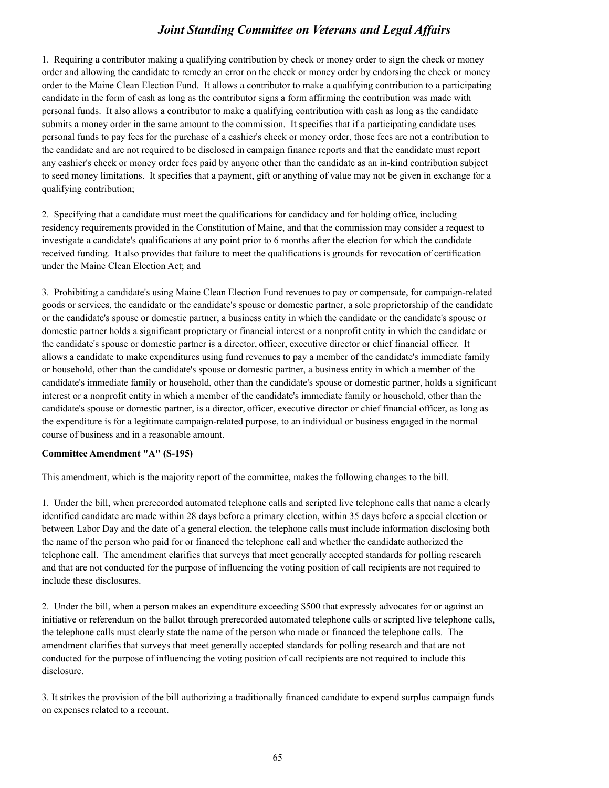1. Requiring a contributor making a qualifying contribution by check or money order to sign the check or money order and allowing the candidate to remedy an error on the check or money order by endorsing the check or money order to the Maine Clean Election Fund. It allows a contributor to make a qualifying contribution to a participating candidate in the form of cash as long as the contributor signs a form affirming the contribution was made with personal funds. It also allows a contributor to make a qualifying contribution with cash as long as the candidate submits a money order in the same amount to the commission. It specifies that if a participating candidate uses personal funds to pay fees for the purchase of a cashier's check or money order, those fees are not a contribution to the candidate and are not required to be disclosed in campaign finance reports and that the candidate must report any cashier's check or money order fees paid by anyone other than the candidate as an in-kind contribution subject to seed money limitations. It specifies that a payment, gift or anything of value may not be given in exchange for a qualifying contribution;

2. Specifying that a candidate must meet the qualifications for candidacy and for holding office, including residency requirements provided in the Constitution of Maine, and that the commission may consider a request to investigate a candidate's qualifications at any point prior to 6 months after the election for which the candidate received funding. It also provides that failure to meet the qualifications is grounds for revocation of certification under the Maine Clean Election Act; and

3. Prohibiting a candidate's using Maine Clean Election Fund revenues to pay or compensate, for campaign-related goods or services, the candidate or the candidate's spouse or domestic partner, a sole proprietorship of the candidate or the candidate's spouse or domestic partner, a business entity in which the candidate or the candidate's spouse or domestic partner holds a significant proprietary or financial interest or a nonprofit entity in which the candidate or the candidate's spouse or domestic partner is a director, officer, executive director or chief financial officer. It allows a candidate to make expenditures using fund revenues to pay a member of the candidate's immediate family or household, other than the candidate's spouse or domestic partner, a business entity in which a member of the candidate's immediate family or household, other than the candidate's spouse or domestic partner, holds a significant interest or a nonprofit entity in which a member of the candidate's immediate family or household, other than the candidate's spouse or domestic partner, is a director, officer, executive director or chief financial officer, as long as the expenditure is for a legitimate campaign-related purpose, to an individual or business engaged in the normal course of business and in a reasonable amount.

#### **Committee Amendment "A" (S-195)**

This amendment, which is the majority report of the committee, makes the following changes to the bill.

1. Under the bill, when prerecorded automated telephone calls and scripted live telephone calls that name a clearly identified candidate are made within 28 days before a primary election, within 35 days before a special election or between Labor Day and the date of a general election, the telephone calls must include information disclosing both the name of the person who paid for or financed the telephone call and whether the candidate authorized the telephone call. The amendment clarifies that surveys that meet generally accepted standards for polling research and that are not conducted for the purpose of influencing the voting position of call recipients are not required to include these disclosures.

2. Under the bill, when a person makes an expenditure exceeding \$500 that expressly advocates for or against an initiative or referendum on the ballot through prerecorded automated telephone calls or scripted live telephone calls, the telephone calls must clearly state the name of the person who made or financed the telephone calls. The amendment clarifies that surveys that meet generally accepted standards for polling research and that are not conducted for the purpose of influencing the voting position of call recipients are not required to include this disclosure.

3. It strikes the provision of the bill authorizing a traditionally financed candidate to expend surplus campaign funds on expenses related to a recount.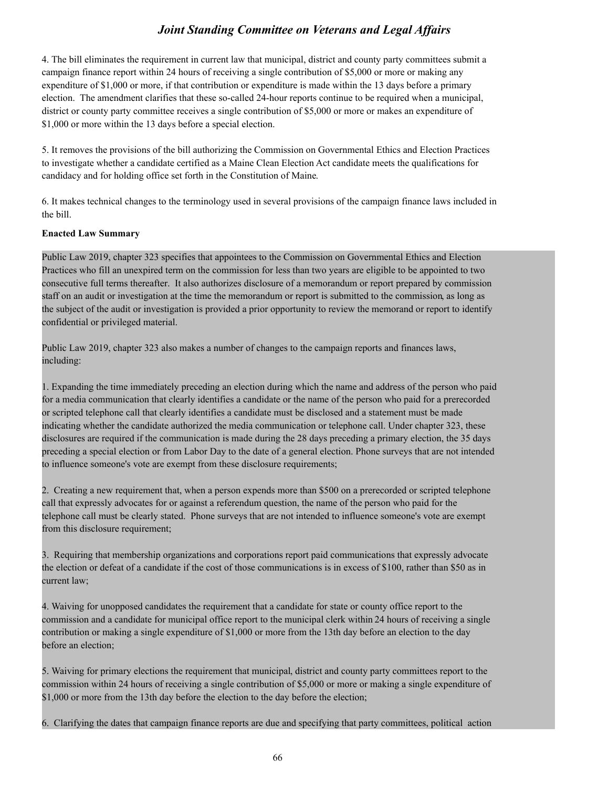4. The bill eliminates the requirement in current law that municipal, district and county party committees submit a campaign finance report within 24 hours of receiving a single contribution of \$5,000 or more or making any expenditure of \$1,000 or more, if that contribution or expenditure is made within the 13 days before a primary election. The amendment clarifies that these so-called 24-hour reports continue to be required when a municipal, district or county party committee receives a single contribution of \$5,000 or more or makes an expenditure of \$1,000 or more within the 13 days before a special election.

5. It removes the provisions of the bill authorizing the Commission on Governmental Ethics and Election Practices to investigate whether a candidate certified as a Maine Clean Election Act candidate meets the qualifications for candidacy and for holding office set forth in the Constitution of Maine.

6. It makes technical changes to the terminology used in several provisions of the campaign finance laws included in the bill.

#### **Enacted Law Summary**

Public Law 2019, chapter 323 specifies that appointees to the Commission on Governmental Ethics and Election Practices who fill an unexpired term on the commission for less than two years are eligible to be appointed to two consecutive full terms thereafter. It also authorizes disclosure of a memorandum or report prepared by commission staff on an audit or investigation at the time the memorandum or report is submitted to the commission, as long as the subject of the audit or investigation is provided a prior opportunity to review the memorand or report to identify confidential or privileged material.

Public Law 2019, chapter 323 also makes a number of changes to the campaign reports and finances laws, including:

1. Expanding the time immediately preceding an election during which the name and address of the person who paid for a media communication that clearly identifies a candidate or the name of the person who paid for a prerecorded or scripted telephone call that clearly identifies a candidate must be disclosed and a statement must be made indicating whether the candidate authorized the media communication or telephone call. Under chapter 323, these disclosures are required if the communication is made during the 28 days preceding a primary election, the 35 days preceding a special election or from Labor Day to the date of a general election. Phone surveys that are not intended to influence someone's vote are exempt from these disclosure requirements;

2. Creating a new requirement that, when a person expends more than \$500 on a prerecorded or scripted telephone call that expressly advocates for or against a referendum question, the name of the person who paid for the telephone call must be clearly stated. Phone surveys that are not intended to influence someone's vote are exempt from this disclosure requirement;

3. Requiring that membership organizations and corporations report paid communications that expressly advocate the election or defeat of a candidate if the cost of those communications is in excess of \$100, rather than \$50 as in current law;

4. Waiving for unopposed candidates the requirement that a candidate for state or county office report to the commission and a candidate for municipal office report to the municipal clerk within 24 hours of receiving a single contribution or making a single expenditure of \$1,000 or more from the 13th day before an election to the day before an election;

5. Waiving for primary elections the requirement that municipal, district and county party committees report to the commission within 24 hours of receiving a single contribution of \$5,000 or more or making a single expenditure of \$1,000 or more from the 13th day before the election to the day before the election;

6. Clarifying the dates that campaign finance reports are due and specifying that party committees, political action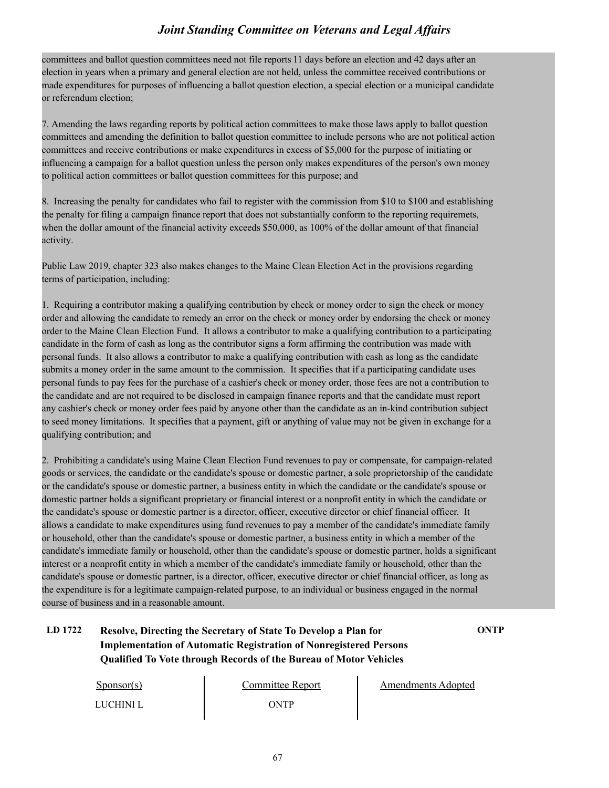committees and ballot question committees need not file reports 11 days before an election and 42 days after an election in years when a primary and general election are not held, unless the committee received contributions or made expenditures for purposes of influencing a ballot question election, a special election or a municipal candidate or referendum election;

7. Amending the laws regarding reports by political action committees to make those laws apply to ballot question committees and amending the definition to ballot question committee to include persons who are not political action committees and receive contributions or make expenditures in excess of \$5,000 for the purpose of initiating or influencing a campaign for a ballot question unless the person only makes expenditures of the person's own money to political action committees or ballot question committees for this purpose; and

8. Increasing the penalty for candidates who fail to register with the commission from \$10 to \$100 and establishing the penalty for filing a campaign finance report that does not substantially conform to the reporting requiremets, when the dollar amount of the financial activity exceeds \$50,000, as 100% of the dollar amount of that financial activity.

Public Law 2019, chapter 323 also makes changes to the Maine Clean Election Act in the provisions regarding terms of participation, including:

1. Requiring a contributor making a qualifying contribution by check or money order to sign the check or money order and allowing the candidate to remedy an error on the check or money order by endorsing the check or money order to the Maine Clean Election Fund. It allows a contributor to make a qualifying contribution to a participating candidate in the form of cash as long as the contributor signs a form affirming the contribution was made with personal funds. It also allows a contributor to make a qualifying contribution with cash as long as the candidate submits a money order in the same amount to the commission. It specifies that if a participating candidate uses personal funds to pay fees for the purchase of a cashier's check or money order, those fees are not a contribution to the candidate and are not required to be disclosed in campaign finance reports and that the candidate must report any cashier's check or money order fees paid by anyone other than the candidate as an in-kind contribution subject to seed money limitations. It specifies that a payment, gift or anything of value may not be given in exchange for a qualifying contribution; and

2. Prohibiting a candidate's using Maine Clean Election Fund revenues to pay or compensate, for campaign-related goods or services, the candidate or the candidate's spouse or domestic partner, a sole proprietorship of the candidate or the candidate's spouse or domestic partner, a business entity in which the candidate or the candidate's spouse or domestic partner holds a significant proprietary or financial interest or a nonprofit entity in which the candidate or the candidate's spouse or domestic partner is a director, officer, executive director or chief financial officer. It allows a candidate to make expenditures using fund revenues to pay a member of the candidate's immediate family or household, other than the candidate's spouse or domestic partner, a business entity in which a member of the candidate's immediate family or household, other than the candidate's spouse or domestic partner, holds a significant interest or a nonprofit entity in which a member of the candidate's immediate family or household, other than the candidate's spouse or domestic partner, is a director, officer, executive director or chief financial officer, as long as the expenditure is for a legitimate campaign-related purpose, to an individual or business engaged in the normal course of business and in a reasonable amount.

### **LD 1722 Resolve, Directing the Secretary of State To Develop a Plan for ONTP Implementation of Automatic Registration of Nonregistered Persons Qualified To Vote through Records of the Bureau of Motor Vehicles**

| Sponsor(s) | Committee Report | <b>Amendments Adopted</b> |  |
|------------|------------------|---------------------------|--|
| LUCHINI L  | ONTP             |                           |  |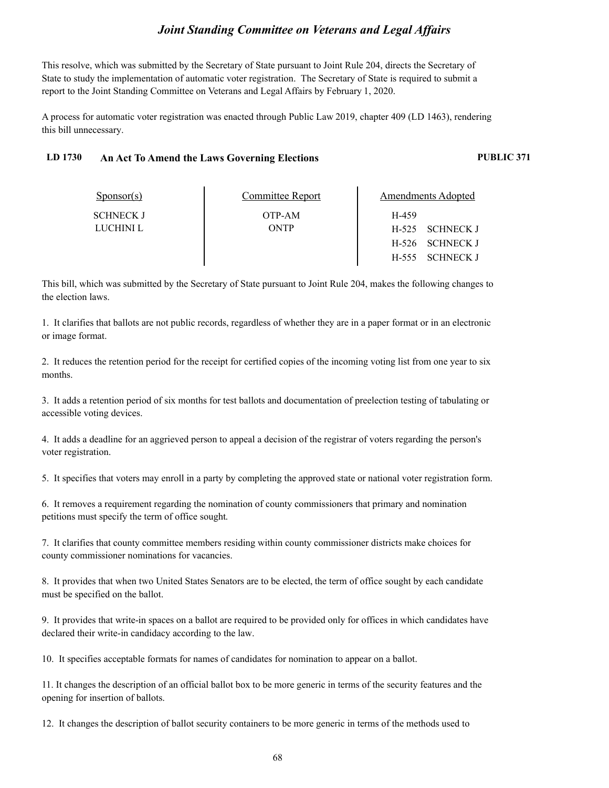This resolve, which was submitted by the Secretary of State pursuant to Joint Rule 204, directs the Secretary of State to study the implementation of automatic voter registration. The Secretary of State is required to submit a report to the Joint Standing Committee on Veterans and Legal Affairs by February 1, 2020.

A process for automatic voter registration was enacted through Public Law 2019, chapter 409 (LD 1463), rendering this bill unnecessary.

#### **LD 1730 An Act To Amend the Laws Governing Elections PUBLIC 371**

| $S_{\text{PON}(\text{S})}$ | Committee Report | Amendments Adopted |
|----------------------------|------------------|--------------------|
| <b>SCHNECK J</b>           | OTP-AM           | H-459              |
| LUCHINI L                  | ONTP             | H-525 SCHNECK J    |
|                            |                  | H-526 SCHNECK J    |
|                            |                  | H-555 SCHNECK J    |

This bill, which was submitted by the Secretary of State pursuant to Joint Rule 204, makes the following changes to the election laws.

1. It clarifies that ballots are not public records, regardless of whether they are in a paper format or in an electronic or image format.

2. It reduces the retention period for the receipt for certified copies of the incoming voting list from one year to six months.

3. It adds a retention period of six months for test ballots and documentation of preelection testing of tabulating or accessible voting devices.

4. It adds a deadline for an aggrieved person to appeal a decision of the registrar of voters regarding the person's voter registration.

5. It specifies that voters may enroll in a party by completing the approved state or national voter registration form.

6. It removes a requirement regarding the nomination of county commissioners that primary and nomination petitions must specify the term of office sought.

7. It clarifies that county committee members residing within county commissioner districts make choices for county commissioner nominations for vacancies.

8. It provides that when two United States Senators are to be elected, the term of office sought by each candidate must be specified on the ballot.

9. It provides that write-in spaces on a ballot are required to be provided only for offices in which candidates have declared their write-in candidacy according to the law.

10. It specifies acceptable formats for names of candidates for nomination to appear on a ballot.

11. It changes the description of an official ballot box to be more generic in terms of the security features and the opening for insertion of ballots.

12. It changes the description of ballot security containers to be more generic in terms of the methods used to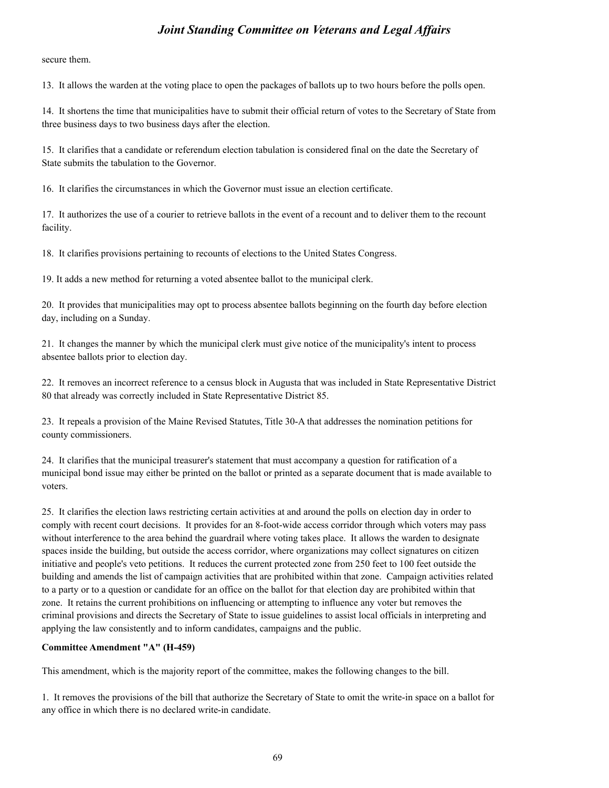secure them.

13. It allows the warden at the voting place to open the packages of ballots up to two hours before the polls open.

14. It shortens the time that municipalities have to submit their official return of votes to the Secretary of State from three business days to two business days after the election.

15. It clarifies that a candidate or referendum election tabulation is considered final on the date the Secretary of State submits the tabulation to the Governor.

16. It clarifies the circumstances in which the Governor must issue an election certificate.

17. It authorizes the use of a courier to retrieve ballots in the event of a recount and to deliver them to the recount facility.

18. It clarifies provisions pertaining to recounts of elections to the United States Congress.

19. It adds a new method for returning a voted absentee ballot to the municipal clerk.

20. It provides that municipalities may opt to process absentee ballots beginning on the fourth day before election day, including on a Sunday.

21. It changes the manner by which the municipal clerk must give notice of the municipality's intent to process absentee ballots prior to election day.

22. It removes an incorrect reference to a census block in Augusta that was included in State Representative District 80 that already was correctly included in State Representative District 85.

23. It repeals a provision of the Maine Revised Statutes, Title 30-A that addresses the nomination petitions for county commissioners.

24. It clarifies that the municipal treasurer's statement that must accompany a question for ratification of a municipal bond issue may either be printed on the ballot or printed as a separate document that is made available to voters.

25. It clarifies the election laws restricting certain activities at and around the polls on election day in order to comply with recent court decisions. It provides for an 8-foot-wide access corridor through which voters may pass without interference to the area behind the guardrail where voting takes place. It allows the warden to designate spaces inside the building, but outside the access corridor, where organizations may collect signatures on citizen initiative and people's veto petitions. It reduces the current protected zone from 250 feet to 100 feet outside the building and amends the list of campaign activities that are prohibited within that zone. Campaign activities related to a party or to a question or candidate for an office on the ballot for that election day are prohibited within that zone. It retains the current prohibitions on influencing or attempting to influence any voter but removes the criminal provisions and directs the Secretary of State to issue guidelines to assist local officials in interpreting and applying the law consistently and to inform candidates, campaigns and the public.

#### **Committee Amendment "A" (H-459)**

This amendment, which is the majority report of the committee, makes the following changes to the bill.

1. It removes the provisions of the bill that authorize the Secretary of State to omit the write-in space on a ballot for any office in which there is no declared write-in candidate.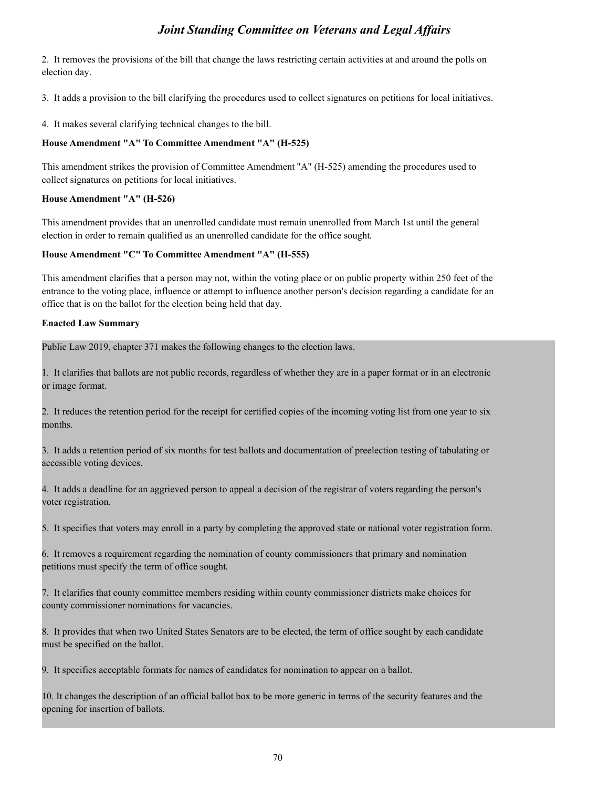2. It removes the provisions of the bill that change the laws restricting certain activities at and around the polls on election day.

3. It adds a provision to the bill clarifying the procedures used to collect signatures on petitions for local initiatives.

4. It makes several clarifying technical changes to the bill.

#### **House Amendment "A" To Committee Amendment "A" (H-525)**

This amendment strikes the provision of Committee Amendment "A" (H-525) amending the procedures used to collect signatures on petitions for local initiatives.

#### **House Amendment "A" (H-526)**

This amendment provides that an unenrolled candidate must remain unenrolled from March 1st until the general election in order to remain qualified as an unenrolled candidate for the office sought.

#### **House Amendment "C" To Committee Amendment "A" (H-555)**

This amendment clarifies that a person may not, within the voting place or on public property within 250 feet of the entrance to the voting place, influence or attempt to influence another person's decision regarding a candidate for an office that is on the ballot for the election being held that day.

#### **Enacted Law Summary**

Public Law 2019, chapter 371 makes the following changes to the election laws.

1. It clarifies that ballots are not public records, regardless of whether they are in a paper format or in an electronic or image format.

2. It reduces the retention period for the receipt for certified copies of the incoming voting list from one year to six months.

3. It adds a retention period of six months for test ballots and documentation of preelection testing of tabulating or accessible voting devices.

4. It adds a deadline for an aggrieved person to appeal a decision of the registrar of voters regarding the person's voter registration.

5. It specifies that voters may enroll in a party by completing the approved state or national voter registration form.

6. It removes a requirement regarding the nomination of county commissioners that primary and nomination petitions must specify the term of office sought.

7. It clarifies that county committee members residing within county commissioner districts make choices for county commissioner nominations for vacancies.

8. It provides that when two United States Senators are to be elected, the term of office sought by each candidate must be specified on the ballot.

9. It specifies acceptable formats for names of candidates for nomination to appear on a ballot.

10. It changes the description of an official ballot box to be more generic in terms of the security features and the opening for insertion of ballots.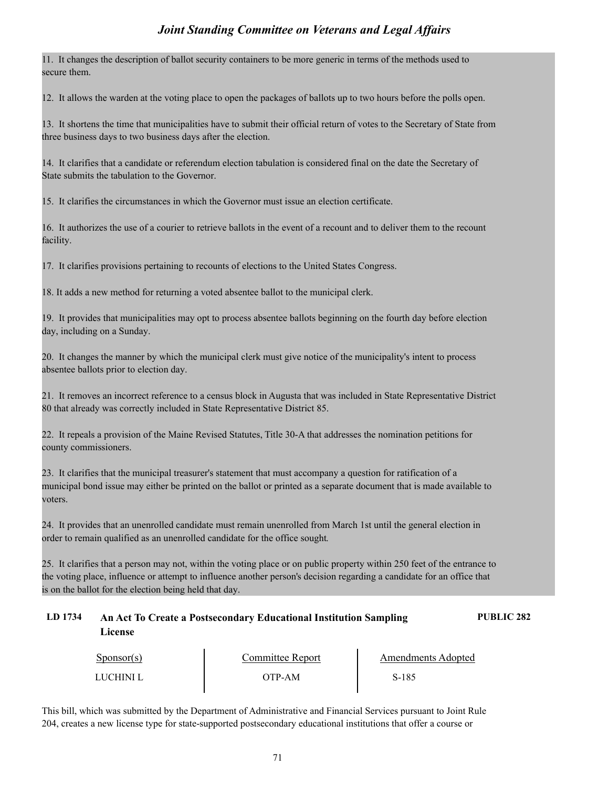11. It changes the description of ballot security containers to be more generic in terms of the methods used to secure them.

12. It allows the warden at the voting place to open the packages of ballots up to two hours before the polls open.

13. It shortens the time that municipalities have to submit their official return of votes to the Secretary of State from three business days to two business days after the election.

14. It clarifies that a candidate or referendum election tabulation is considered final on the date the Secretary of State submits the tabulation to the Governor.

15. It clarifies the circumstances in which the Governor must issue an election certificate.

16. It authorizes the use of a courier to retrieve ballots in the event of a recount and to deliver them to the recount facility.

17. It clarifies provisions pertaining to recounts of elections to the United States Congress.

18. It adds a new method for returning a voted absentee ballot to the municipal clerk.

19. It provides that municipalities may opt to process absentee ballots beginning on the fourth day before election day, including on a Sunday.

20. It changes the manner by which the municipal clerk must give notice of the municipality's intent to process absentee ballots prior to election day.

21. It removes an incorrect reference to a census block in Augusta that was included in State Representative District 80 that already was correctly included in State Representative District 85.

22. It repeals a provision of the Maine Revised Statutes, Title 30-A that addresses the nomination petitions for county commissioners.

23. It clarifies that the municipal treasurer's statement that must accompany a question for ratification of a municipal bond issue may either be printed on the ballot or printed as a separate document that is made available to voters.

24. It provides that an unenrolled candidate must remain unenrolled from March 1st until the general election in order to remain qualified as an unenrolled candidate for the office sought.

25. It clarifies that a person may not, within the voting place or on public property within 250 feet of the entrance to the voting place, influence or attempt to influence another person's decision regarding a candidate for an office that is on the ballot for the election being held that day.

### **LD 1734 An Act To Create a Postsecondary Educational Institution Sampling PUBLIC 282 License**

| $S_{\text{PON}(\text{S})}$ | Committee Report | Amendments Adopted |  |
|----------------------------|------------------|--------------------|--|
| LUCHINI L                  | OTP-AM           | S-185              |  |

This bill, which was submitted by the Department of Administrative and Financial Services pursuant to Joint Rule 204, creates a new license type for state-supported postsecondary educational institutions that offer a course or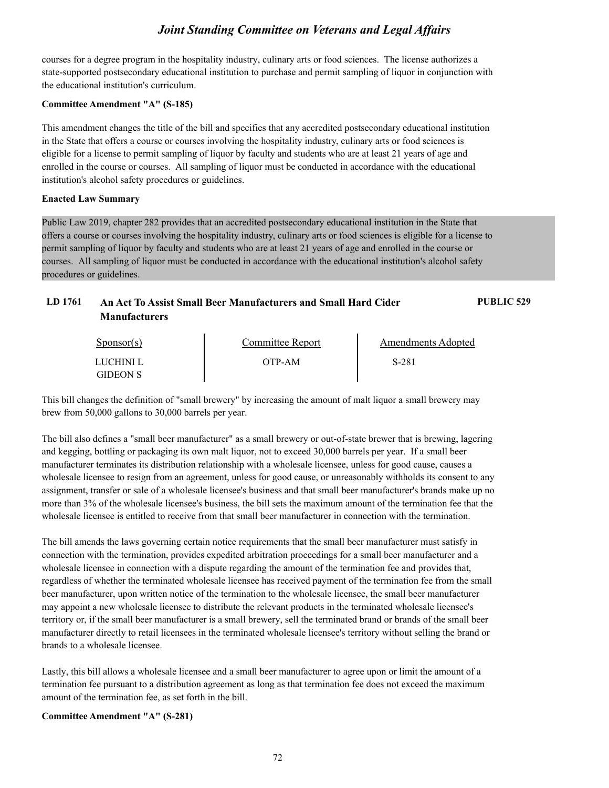courses for a degree program in the hospitality industry, culinary arts or food sciences. The license authorizes a state-supported postsecondary educational institution to purchase and permit sampling of liquor in conjunction with the educational institution's curriculum.

#### **Committee Amendment "A" (S-185)**

GIDEON S

This amendment changes the title of the bill and specifies that any accredited postsecondary educational institution in the State that offers a course or courses involving the hospitality industry, culinary arts or food sciences is eligible for a license to permit sampling of liquor by faculty and students who are at least 21 years of age and enrolled in the course or courses. All sampling of liquor must be conducted in accordance with the educational institution's alcohol safety procedures or guidelines.

#### **Enacted Law Summary**

Public Law 2019, chapter 282 provides that an accredited postsecondary educational institution in the State that offers a course or courses involving the hospitality industry, culinary arts or food sciences is eligible for a license to permit sampling of liquor by faculty and students who are at least 21 years of age and enrolled in the course or courses. All sampling of liquor must be conducted in accordance with the educational institution's alcohol safety procedures or guidelines.

| LD 1761 | <b>Manufacturers</b>   | An Act To Assist Small Beer Manufacturers and Small Hard Cider |                           | PUBLIC 529 |
|---------|------------------------|----------------------------------------------------------------|---------------------------|------------|
|         | $S_{\text{ponsor}}(s)$ | Committee Report                                               | <b>Amendments Adopted</b> |            |
|         | LUCHINI L              | OTP-AM                                                         | S-281                     |            |

This bill changes the definition of "small brewery" by increasing the amount of malt liquor a small brewery may brew from 50,000 gallons to 30,000 barrels per year.

The bill also defines a "small beer manufacturer" as a small brewery or out-of-state brewer that is brewing, lagering and kegging, bottling or packaging its own malt liquor, not to exceed 30,000 barrels per year. If a small beer manufacturer terminates its distribution relationship with a wholesale licensee, unless for good cause, causes a wholesale licensee to resign from an agreement, unless for good cause, or unreasonably withholds its consent to any assignment, transfer or sale of a wholesale licensee's business and that small beer manufacturer's brands make up no more than 3% of the wholesale licensee's business, the bill sets the maximum amount of the termination fee that the wholesale licensee is entitled to receive from that small beer manufacturer in connection with the termination.

The bill amends the laws governing certain notice requirements that the small beer manufacturer must satisfy in connection with the termination, provides expedited arbitration proceedings for a small beer manufacturer and a wholesale licensee in connection with a dispute regarding the amount of the termination fee and provides that, regardless of whether the terminated wholesale licensee has received payment of the termination fee from the small beer manufacturer, upon written notice of the termination to the wholesale licensee, the small beer manufacturer may appoint a new wholesale licensee to distribute the relevant products in the terminated wholesale licensee's territory or, if the small beer manufacturer is a small brewery, sell the terminated brand or brands of the small beer manufacturer directly to retail licensees in the terminated wholesale licensee's territory without selling the brand or brands to a wholesale licensee.

Lastly, this bill allows a wholesale licensee and a small beer manufacturer to agree upon or limit the amount of a termination fee pursuant to a distribution agreement as long as that termination fee does not exceed the maximum amount of the termination fee, as set forth in the bill.

#### **Committee Amendment "A" (S-281)**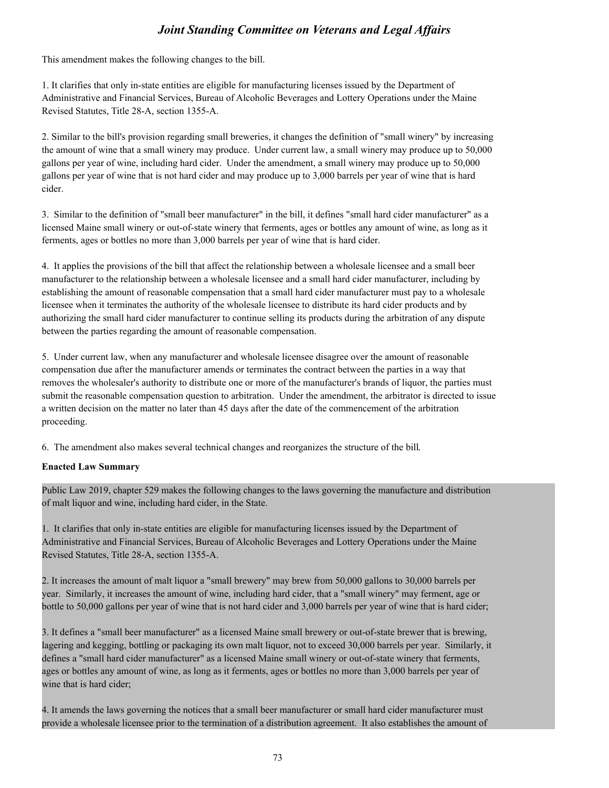This amendment makes the following changes to the bill.

1. It clarifies that only in-state entities are eligible for manufacturing licenses issued by the Department of Administrative and Financial Services, Bureau of Alcoholic Beverages and Lottery Operations under the Maine Revised Statutes, Title 28-A, section 1355-A.

2. Similar to the bill's provision regarding small breweries, it changes the definition of "small winery" by increasing the amount of wine that a small winery may produce. Under current law, a small winery may produce up to 50,000 gallons per year of wine, including hard cider. Under the amendment, a small winery may produce up to 50,000 gallons per year of wine that is not hard cider and may produce up to 3,000 barrels per year of wine that is hard cider.

3. Similar to the definition of "small beer manufacturer" in the bill, it defines "small hard cider manufacturer" as a licensed Maine small winery or out-of-state winery that ferments, ages or bottles any amount of wine, as long as it ferments, ages or bottles no more than 3,000 barrels per year of wine that is hard cider.

4. It applies the provisions of the bill that affect the relationship between a wholesale licensee and a small beer manufacturer to the relationship between a wholesale licensee and a small hard cider manufacturer, including by establishing the amount of reasonable compensation that a small hard cider manufacturer must pay to a wholesale licensee when it terminates the authority of the wholesale licensee to distribute its hard cider products and by authorizing the small hard cider manufacturer to continue selling its products during the arbitration of any dispute between the parties regarding the amount of reasonable compensation.

5. Under current law, when any manufacturer and wholesale licensee disagree over the amount of reasonable compensation due after the manufacturer amends or terminates the contract between the parties in a way that removes the wholesaler's authority to distribute one or more of the manufacturer's brands of liquor, the parties must submit the reasonable compensation question to arbitration. Under the amendment, the arbitrator is directed to issue a written decision on the matter no later than 45 days after the date of the commencement of the arbitration proceeding.

6. The amendment also makes several technical changes and reorganizes the structure of the bill.

#### **Enacted Law Summary**

Public Law 2019, chapter 529 makes the following changes to the laws governing the manufacture and distribution of malt liquor and wine, including hard cider, in the State.

1. It clarifies that only in-state entities are eligible for manufacturing licenses issued by the Department of Administrative and Financial Services, Bureau of Alcoholic Beverages and Lottery Operations under the Maine Revised Statutes, Title 28-A, section 1355-A.

2. It increases the amount of malt liquor a "small brewery" may brew from 50,000 gallons to 30,000 barrels per year. Similarly, it increases the amount of wine, including hard cider, that a "small winery" may ferment, age or bottle to 50,000 gallons per year of wine that is not hard cider and 3,000 barrels per year of wine that is hard cider;

3. It defines a "small beer manufacturer" as a licensed Maine small brewery or out-of-state brewer that is brewing, lagering and kegging, bottling or packaging its own malt liquor, not to exceed 30,000 barrels per year. Similarly, it defines a "small hard cider manufacturer" as a licensed Maine small winery or out-of-state winery that ferments, ages or bottles any amount of wine, as long as it ferments, ages or bottles no more than 3,000 barrels per year of wine that is hard cider;

4. It amends the laws governing the notices that a small beer manufacturer or small hard cider manufacturer must provide a wholesale licensee prior to the termination of a distribution agreement. It also establishes the amount of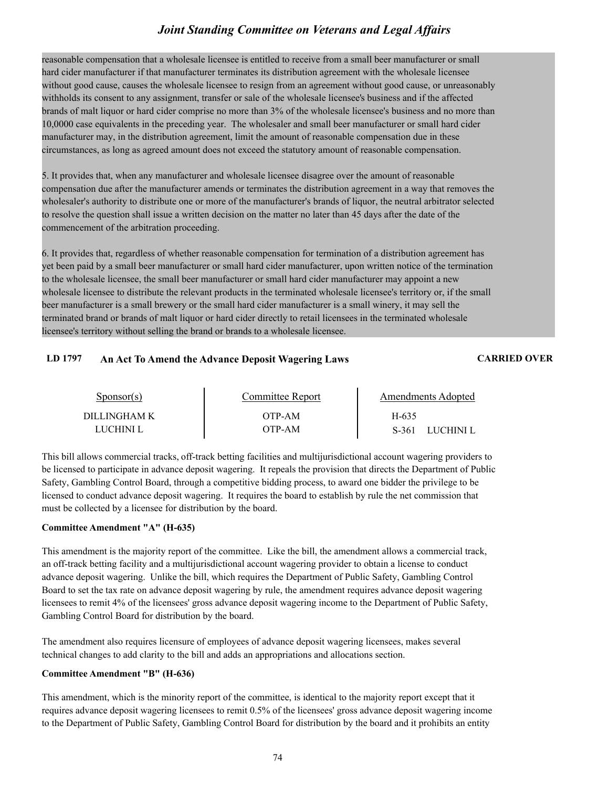reasonable compensation that a wholesale licensee is entitled to receive from a small beer manufacturer or small hard cider manufacturer if that manufacturer terminates its distribution agreement with the wholesale licensee without good cause, causes the wholesale licensee to resign from an agreement without good cause, or unreasonably withholds its consent to any assignment, transfer or sale of the wholesale licensee's business and if the affected brands of malt liquor or hard cider comprise no more than 3% of the wholesale licensee's business and no more than 10,0000 case equivalents in the preceding year. The wholesaler and small beer manufacturer or small hard cider manufacturer may, in the distribution agreement, limit the amount of reasonable compensation due in these circumstances, as long as agreed amount does not exceed the statutory amount of reasonable compensation.

5. It provides that, when any manufacturer and wholesale licensee disagree over the amount of reasonable compensation due after the manufacturer amends or terminates the distribution agreement in a way that removes the wholesaler's authority to distribute one or more of the manufacturer's brands of liquor, the neutral arbitrator selected to resolve the question shall issue a written decision on the matter no later than 45 days after the date of the commencement of the arbitration proceeding.

6. It provides that, regardless of whether reasonable compensation for termination of a distribution agreement has yet been paid by a small beer manufacturer or small hard cider manufacturer, upon written notice of the termination to the wholesale licensee, the small beer manufacturer or small hard cider manufacturer may appoint a new wholesale licensee to distribute the relevant products in the terminated wholesale licensee's territory or, if the small beer manufacturer is a small brewery or the small hard cider manufacturer is a small winery, it may sell the terminated brand or brands of malt liquor or hard cider directly to retail licensees in the terminated wholesale licensee's territory without selling the brand or brands to a wholesale licensee.

#### **LD 1797 An Act To Amend the Advance Deposit Wagering Laws CARRIED OVER**

| Sponsor(s)                | Committee Report   | Amendments Adopted            |  |
|---------------------------|--------------------|-------------------------------|--|
| DILLINGHAM K<br>LUCHINI L | OTP-AM-<br>OTP-AM- | H-635<br>S-361<br>– LUCHINI L |  |

This bill allows commercial tracks, off-track betting facilities and multijurisdictional account wagering providers to be licensed to participate in advance deposit wagering. It repeals the provision that directs the Department of Public Safety, Gambling Control Board, through a competitive bidding process, to award one bidder the privilege to be licensed to conduct advance deposit wagering. It requires the board to establish by rule the net commission that must be collected by a licensee for distribution by the board.

#### **Committee Amendment "A" (H-635)**

This amendment is the majority report of the committee. Like the bill, the amendment allows a commercial track, an off-track betting facility and a multijurisdictional account wagering provider to obtain a license to conduct advance deposit wagering. Unlike the bill, which requires the Department of Public Safety, Gambling Control Board to set the tax rate on advance deposit wagering by rule, the amendment requires advance deposit wagering licensees to remit 4% of the licensees' gross advance deposit wagering income to the Department of Public Safety, Gambling Control Board for distribution by the board.

The amendment also requires licensure of employees of advance deposit wagering licensees, makes several technical changes to add clarity to the bill and adds an appropriations and allocations section.

#### **Committee Amendment "B" (H-636)**

This amendment, which is the minority report of the committee, is identical to the majority report except that it requires advance deposit wagering licensees to remit 0.5% of the licensees' gross advance deposit wagering income to the Department of Public Safety, Gambling Control Board for distribution by the board and it prohibits an entity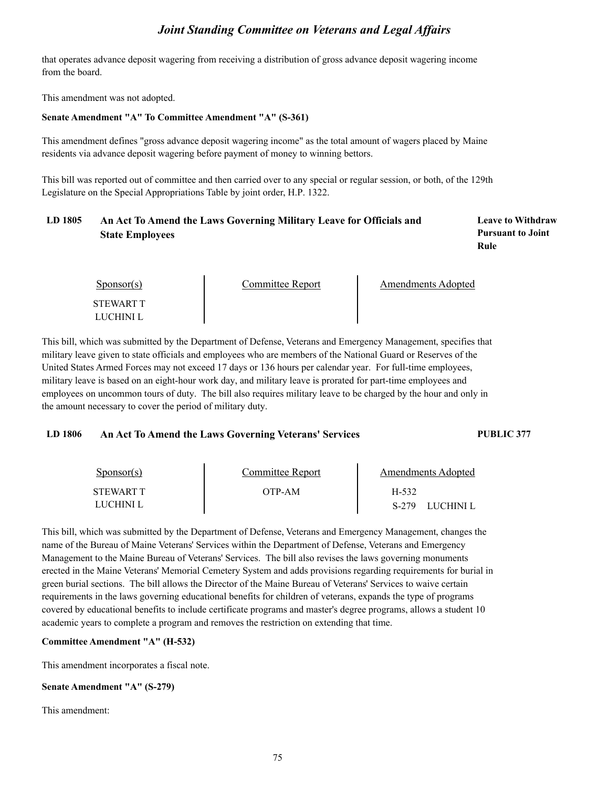that operates advance deposit wagering from receiving a distribution of gross advance deposit wagering income from the board.

This amendment was not adopted.

#### **Senate Amendment "A" To Committee Amendment "A" (S-361)**

This amendment defines "gross advance deposit wagering income" as the total amount of wagers placed by Maine residents via advance deposit wagering before payment of money to winning bettors.

This bill was reported out of committee and then carried over to any special or regular session, or both, of the 129th Legislature on the Special Appropriations Table by joint order, H.P. 1322.

## **LD 1805 Leave to Withdraw An Act To Amend the Laws Governing Military Leave for Officials and State Employees**

**Pursuant to Joint Rule**

| $S_{\text{PON}(\text{S})}$ | Committee Report | Amendments Adopted |  |
|----------------------------|------------------|--------------------|--|
| STEWART T<br>LUCHINI L     |                  |                    |  |

This bill, which was submitted by the Department of Defense, Veterans and Emergency Management, specifies that military leave given to state officials and employees who are members of the National Guard or Reserves of the United States Armed Forces may not exceed 17 days or 136 hours per calendar year. For full-time employees, military leave is based on an eight-hour work day, and military leave is prorated for part-time employees and employees on uncommon tours of duty. The bill also requires military leave to be charged by the hour and only in the amount necessary to cover the period of military duty.

#### **LD 1806 An Act To Amend the Laws Governing Veterans' Services PUBLIC 377**

| $S_{\text{DONSOT}}(s)$ | Committee Report | Amendments Adopted   |  |
|------------------------|------------------|----------------------|--|
| STEWART T              | OTP-AM-          | H-532                |  |
| LUCHINI L              |                  | S-279<br>- LUCHINI L |  |

This bill, which was submitted by the Department of Defense, Veterans and Emergency Management, changes the name of the Bureau of Maine Veterans' Services within the Department of Defense, Veterans and Emergency Management to the Maine Bureau of Veterans' Services. The bill also revises the laws governing monuments erected in the Maine Veterans' Memorial Cemetery System and adds provisions regarding requirements for burial in green burial sections. The bill allows the Director of the Maine Bureau of Veterans' Services to waive certain requirements in the laws governing educational benefits for children of veterans, expands the type of programs covered by educational benefits to include certificate programs and master's degree programs, allows a student 10 academic years to complete a program and removes the restriction on extending that time.

#### **Committee Amendment "A" (H-532)**

This amendment incorporates a fiscal note.

#### **Senate Amendment "A" (S-279)**

This amendment: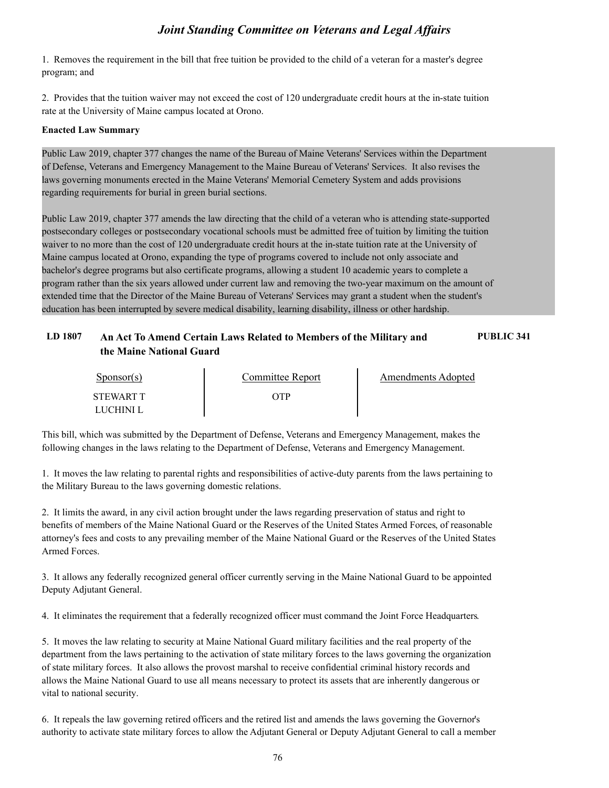1. Removes the requirement in the bill that free tuition be provided to the child of a veteran for a master's degree program; and

2. Provides that the tuition waiver may not exceed the cost of 120 undergraduate credit hours at the in-state tuition rate at the University of Maine campus located at Orono.

#### **Enacted Law Summary**

Public Law 2019, chapter 377 changes the name of the Bureau of Maine Veterans' Services within the Department of Defense, Veterans and Emergency Management to the Maine Bureau of Veterans' Services. It also revises the laws governing monuments erected in the Maine Veterans' Memorial Cemetery System and adds provisions regarding requirements for burial in green burial sections.

Public Law 2019, chapter 377 amends the law directing that the child of a veteran who is attending state-supported postsecondary colleges or postsecondary vocational schools must be admitted free of tuition by limiting the tuition waiver to no more than the cost of 120 undergraduate credit hours at the in-state tuition rate at the University of Maine campus located at Orono, expanding the type of programs covered to include not only associate and bachelor's degree programs but also certificate programs, allowing a student 10 academic years to complete a program rather than the six years allowed under current law and removing the two-year maximum on the amount of extended time that the Director of the Maine Bureau of Veterans' Services may grant a student when the student's education has been interrupted by severe medical disability, learning disability, illness or other hardship.

#### **LD 1807 An Act To Amend Certain Laws Related to Members of the Military and PUBLIC 341 the Maine National Guard**

| Sponsor(s)       | Committee Report | Amendments Adopted |
|------------------|------------------|--------------------|
| <b>STEWART T</b> | ЭTР              |                    |
| LUCHINI L        |                  |                    |

This bill, which was submitted by the Department of Defense, Veterans and Emergency Management, makes the following changes in the laws relating to the Department of Defense, Veterans and Emergency Management.

1. It moves the law relating to parental rights and responsibilities of active-duty parents from the laws pertaining to the Military Bureau to the laws governing domestic relations.

2. It limits the award, in any civil action brought under the laws regarding preservation of status and right to benefits of members of the Maine National Guard or the Reserves of the United States Armed Forces, of reasonable attorney's fees and costs to any prevailing member of the Maine National Guard or the Reserves of the United States Armed Forces.

3. It allows any federally recognized general officer currently serving in the Maine National Guard to be appointed Deputy Adjutant General.

4. It eliminates the requirement that a federally recognized officer must command the Joint Force Headquarters.

5. It moves the law relating to security at Maine National Guard military facilities and the real property of the department from the laws pertaining to the activation of state military forces to the laws governing the organization of state military forces. It also allows the provost marshal to receive confidential criminal history records and allows the Maine National Guard to use all means necessary to protect its assets that are inherently dangerous or vital to national security.

6. It repeals the law governing retired officers and the retired list and amends the laws governing the Governor's authority to activate state military forces to allow the Adjutant General or Deputy Adjutant General to call a member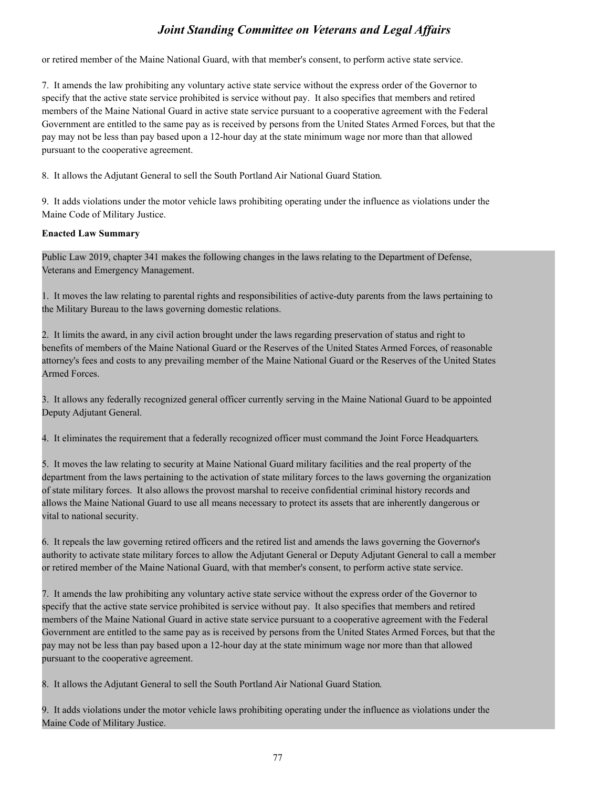or retired member of the Maine National Guard, with that member's consent, to perform active state service.

**3.** *Joint Standing Committee on Veterans and Legal Affairs* or retired member of the Maine National Guard, with that member's consent, to perform active state service.<br>T. It amends the law prohibiting any voluntary act specify that the active state service prohibited is service without pay. It also specifies that members and retired members of the Maine National Guard in active state service pursuant to a cooperative agreement with the Federal Government are entitled to the same pay as is received by persons from the United States Armed Forces, but that the pay may not be less than pay based upon a 12-hour day at the state minimum wage nor more than that allowed pursuant to the cooperative agreement. or retired member of the Maine National Guard, with that member's consent, to perform active state service.<br>
7. It amends the law prohibiting any voluntary active state service without the express order of the Governor to<br>

8. It allows the Adjutant General to sell the South Portland Air National Guard Station.

Maine Code of Military Justice.

#### **Enacted Law Summary**

Public Law 2019, chapter 341 makes the following changes in the laws relating to the Department of Defense,

For a 1. It allows the Adjutant General to sell the South Portland Air National Guard Station.<br>
1. It adds violations under the motor vehicle laws prohibiting operating under the influence as violations under the<br>
Maine Co the Military Bureau to the laws governing domestic relations.

9. It adds violations under the motor vehicle laws prohibiting operating under the influence as violations under the<br>Maine Code of Military Justice.<br> **Enacted Law Summary**<br>
Public Law 2019, chapter 341 makes the following benefits of members of the Maine National Guard or the Reserves of the United States Armed Forces, of reasonable attorney's fees and costs to any prevailing member of the Maine National Guard or the Reserves of the United States Armed Forces. Public Law 2019, chapter 341 makes the following changes in the laws relating to the Department of Defense,<br>Veterans and Emergency Management.<br>1. It moves the law relating to parental rights and responsibilities of active-1. It moves the law relating to parental rights and responsibilities of active-duty parents from the laws pertaining to<br>the Military Bureau to the laws governing domestic relations.<br>2. It limits the award, in any civil act 1. It limits the award, in any civil action brought under the laws regarding preservation of status and right to<br>benefits of members of the Maine National Guard or the Reserves of the United States Armed Forces, of reasona

Deputy Adjutant General.

department from the laws pertaining to the activation of state military forces to the laws governing the organization of state military forces. It also allows the provost marshal to receive confidential criminal history records and allows the Maine National Guard to use all means necessary to protect its assets that are inherently dangerous or vital to national security. 3. It allows any federally recognized general officer currently serving in the Maine National Guard to be appointed Deputy Adjutant General.<br>
4. It eliminates the requirement that a federally recognized officer must comman 7. It momantes the law prohibiting any voluntary active state methanic mast command the solid to the law property of the department from the laws pertaining to the activation of state military forces to the laws governing

authority to activate state military forces to allow the Adjutant General or Deputy Adjutant General to call a member or retired member of the Maine National Guard, with that member's consent, to perform active state service.

specify that the active state service prohibited is service without pay. It also specifies that members and retired members of the Maine National Guard in active state service pursuant to a cooperative agreement with the Federal Government are entitled to the same pay as is received by persons from the United States Armed Forces, but that the pay may not be less than pay based upon a 12-hour day at the state minimum wage nor more than that allowed pursuant to the cooperative agreement. 8. It repeals the law governing retired officers and the retired list and amends the laws governing the authority to activate state military forces to allow the Adjutant General or Deputy Adjutant General or retired member about the law of the Maine Sole and Evaluational Guard, with that member's consent, to perform active state service.<br>
7. It amends the law prohibiting any voluntary active state service without the express order of the Gov

Maine Code of Military Justice.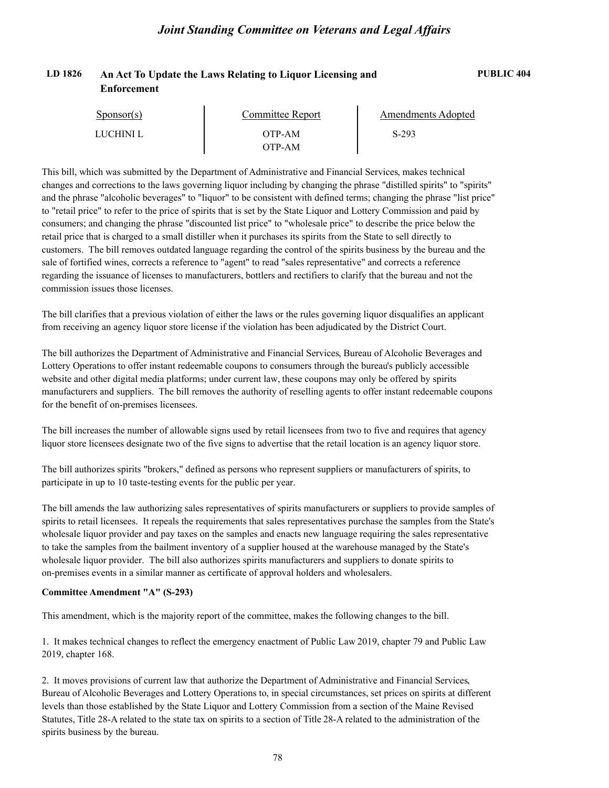#### **LD 1826 An Act To Update the Laws Relating to Liquor Licensing and PUBLIC 404 Enforcement**

| $S_{\text{ponsor}}(s)$ | Committee Report | Amendments Adopted |  |
|------------------------|------------------|--------------------|--|
| LUCHINI L              | OTP-AM           | $S-293$            |  |
|                        | ЭТР-АМ           |                    |  |

This bill, which was submitted by the Department of Administrative and Financial Services, makes technical changes and corrections to the laws governing liquor including by changing the phrase "distilled spirits" to "spirits" and the phrase "alcoholic beverages" to "liquor" to be consistent with defined terms; changing the phrase "list price" to "retail price" to refer to the price of spirits that is set by the State Liquor and Lottery Commission and paid by consumers; and changing the phrase "discounted list price" to "wholesale price" to describe the price below the retail price that is charged to a small distiller when it purchases its spirits from the State to sell directly to customers. The bill removes outdated language regarding the control of the spirits business by the bureau and the sale of fortified wines, corrects a reference to "agent" to read "sales representative" and corrects a reference regarding the issuance of licenses to manufacturers, bottlers and rectifiers to clarify that the bureau and not the commission issues those licenses.

The bill clarifies that a previous violation of either the laws or the rules governing liquor disqualifies an applicant from receiving an agency liquor store license if the violation has been adjudicated by the District Court.

The bill authorizes the Department of Administrative and Financial Services, Bureau of Alcoholic Beverages and Lottery Operations to offer instant redeemable coupons to consumers through the bureau's publicly accessible website and other digital media platforms; under current law, these coupons may only be offered by spirits manufacturers and suppliers. The bill removes the authority of reselling agents to offer instant redeemable coupons for the benefit of on-premises licensees.

The bill increases the number of allowable signs used by retail licensees from two to five and requires that agency liquor store licensees designate two of the five signs to advertise that the retail location is an agency liquor store.

The bill authorizes spirits "brokers," defined as persons who represent suppliers or manufacturers of spirits, to participate in up to 10 taste-testing events for the public per year.

The bill amends the law authorizing sales representatives of spirits manufacturers or suppliers to provide samples of spirits to retail licensees. It repeals the requirements that sales representatives purchase the samples from the State's wholesale liquor provider and pay taxes on the samples and enacts new language requiring the sales representative to take the samples from the bailment inventory of a supplier housed at the warehouse managed by the State's wholesale liquor provider. The bill also authorizes spirits manufacturers and suppliers to donate spirits to on-premises events in a similar manner as certificate of approval holders and wholesalers.

#### **Committee Amendment "A" (S-293)**

This amendment, which is the majority report of the committee, makes the following changes to the bill.

1. It makes technical changes to reflect the emergency enactment of Public Law 2019, chapter 79 and Public Law 2019, chapter 168.

2. It moves provisions of current law that authorize the Department of Administrative and Financial Services, Bureau of Alcoholic Beverages and Lottery Operations to, in special circumstances, set prices on spirits at different levels than those established by the State Liquor and Lottery Commission from a section of the Maine Revised Statutes, Title 28-A related to the state tax on spirits to a section of Title 28-A related to the administration of the spirits business by the bureau.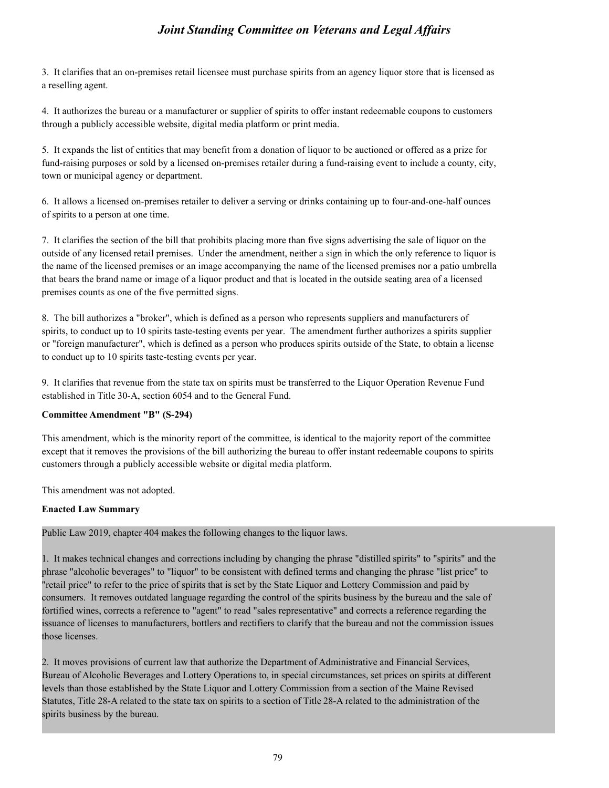**3.** It clarifies that an on-premises retail licensee must purchase spirits from an agency liquor store that is licensed as a reselling agent.<br>4. It authorizes the bureau or a manufacturer or sumplier of spirits to offer i a reselling agent.

4. It authorizes the bureau or a manufacturer or supplier of spirits to offer instant redeemable coupons to customers through a publicly accessible website, digital media platform or print media.

5. It expands the list of entities that may benefit from a donation of liquor to be auctioned or offered as a prize for fund-raising purposes or sold by a licensed on-premises retailer during a fund-raising event to include a county, city, town or municipal agency or department. Fraction and approaches a reselling agent.<br>
4. It authorizes the bureau or a manufacturer or supplier of spirits to offer instant redeemable coupons to customers<br>
4. It authorizes the bureau or a manufacturer or supplier o

of spirits to a person at one time.

1. It altion and the section of the bill that prohibits placing more than the section of Prendice compons to customers through a publicly accessible website, digital media platform or print media.<br>
1. It expands the list o outside of any licensed retail premises. Under the amendment, neither a sign in which the only reference to liquor is the name of the licensed premises or an image accompanying the name of the licensed premises nor a patio umbrella that bears the brand name or image of a liquor product and that is located in the outside seating area of a licensed premises counts as one of the five permitted signs. Fraction and the bill authorizes a "broker", which is defined as a person who ropresents suppliers and manufacturers of spirits to a person at one time.<br>
T. It clarifies the section of the bill that prohibits placing more 7. It clarifies the section of the bill that prohibits placing more than five signs advertising the sale of liquor on the outside of any licensed retail premises. Under the amendment, neither a sign in which the only refer

spirits, to conduct up to 10 spirits taste-testing events per year. The amendment further authorizes a spirits supplier or "foreign manufacturer", which is defined as a person who produces spirits outside of the State, to obtain a license to conduct up to 10 spirits taste-testing events per year.

established in Title 30-A, section 6054 and to the General Fund.

#### **Committee Amendment "B" (S-294)**

This amendment, which is the minority report of the committee, is identical to the majority report of the committee except that it removes the provisions of the bill authorizing the bureau to offer instant redeemable coupons to spirits customers through a publicly accessible website or digital media platform.

This amendment was not adopted.

#### **Enacted Law Summary**

Public Law 2019, chapter 404 makes the following changes to the liquor laws.

**Committee Amendment "B" (S-294)**<br>
This amendment, which is the minority report of the committee, is identical to the majority report of the committee<br>
except that it removes the provisions of the bill authorizing the bur phrase "alcoholic beverages" to "liquor" to be consistent with defined terms and changing the phrase "list price" to "retail price" to refer to the price of spirits that is set by the State Liquor and Lottery Commission and paid by consumers. It removes outdated language regarding the control of the spirits business by the bureau and the sale of fortified wines, corrects a reference to "agent" to read "sales representative" and corrects a reference regarding the issuance of licenses to manufacturers, bottlers and rectifiers to clarify that the bureau and not the commission issues those licenses.

2. It moves provisions of current law that authorize the Department of Administrative and Financial Services, Bureau of Alcoholic Beverages and Lottery Operations to, in special circumstances, set prices on spirits at different levels than those established by the State Liquor and Lottery Commission from a section of the Maine Revised Statutes, Title 28-A related to the state tax on spirits to a section of Title 28-A related to the administration of the spirits business by the bureau.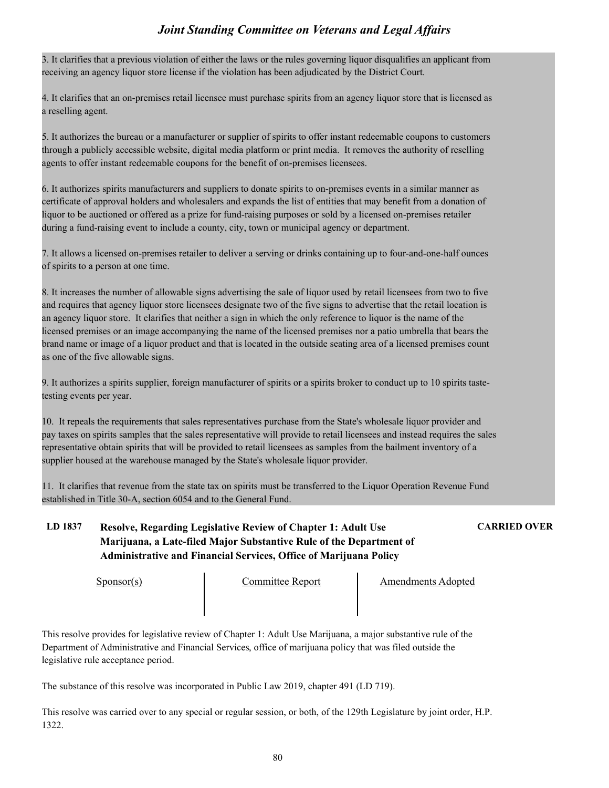3. It clarifies that a previous violation of either the laws or the rules governing liquor disqualifies an applicant from receiving an agency liquor store license if the violation has been adjudicated by the District Court.

4. It clarifies that an on-premises retail licensee must purchase spirits from an agency liquor store that is licensed as a reselling agent.

5. It authorizes the bureau or a manufacturer or supplier of spirits to offer instant redeemable coupons to customers through a publicly accessible website, digital media platform or print media. It removes the authority of reselling agents to offer instant redeemable coupons for the benefit of on-premises licensees.

6. It authorizes spirits manufacturers and suppliers to donate spirits to on-premises events in a similar manner as certificate of approval holders and wholesalers and expands the list of entities that may benefit from a donation of liquor to be auctioned or offered as a prize for fund-raising purposes or sold by a licensed on-premises retailer during a fund-raising event to include a county, city, town or municipal agency or department.

7. It allows a licensed on-premises retailer to deliver a serving or drinks containing up to four-and-one-half ounces of spirits to a person at one time.

8. It increases the number of allowable signs advertising the sale of liquor used by retail licensees from two to five and requires that agency liquor store licensees designate two of the five signs to advertise that the retail location is an agency liquor store. It clarifies that neither a sign in which the only reference to liquor is the name of the licensed premises or an image accompanying the name of the licensed premises nor a patio umbrella that bears the brand name or image of a liquor product and that is located in the outside seating area of a licensed premises count as one of the five allowable signs.

9. It authorizes a spirits supplier, foreign manufacturer of spirits or a spirits broker to conduct up to 10 spirits tastetesting events per year.

10. It repeals the requirements that sales representatives purchase from the State's wholesale liquor provider and pay taxes on spirits samples that the sales representative will provide to retail licensees and instead requires the sales representative obtain spirits that will be provided to retail licensees as samples from the bailment inventory of a supplier housed at the warehouse managed by the State's wholesale liquor provider.

11. It clarifies that revenue from the state tax on spirits must be transferred to the Liquor Operation Revenue Fund established in Title 30-A, section 6054 and to the General Fund.

# **LD 1837 Resolve, Regarding Legislative Review of Chapter 1: Adult Use CARRIED OVER Marijuana, a Late-filed Major Substantive Rule of the Department of Administrative and Financial Services, Office of Marijuana Policy**

Sponsor(s) Committee Report Amendments Adopted

This resolve provides for legislative review of Chapter 1: Adult Use Marijuana, a major substantive rule of the Department of Administrative and Financial Services, office of marijuana policy that was filed outside the legislative rule acceptance period.

The substance of this resolve was incorporated in Public Law 2019, chapter 491 (LD 719).

This resolve was carried over to any special or regular session, or both, of the 129th Legislature by joint order, H.P. 1322.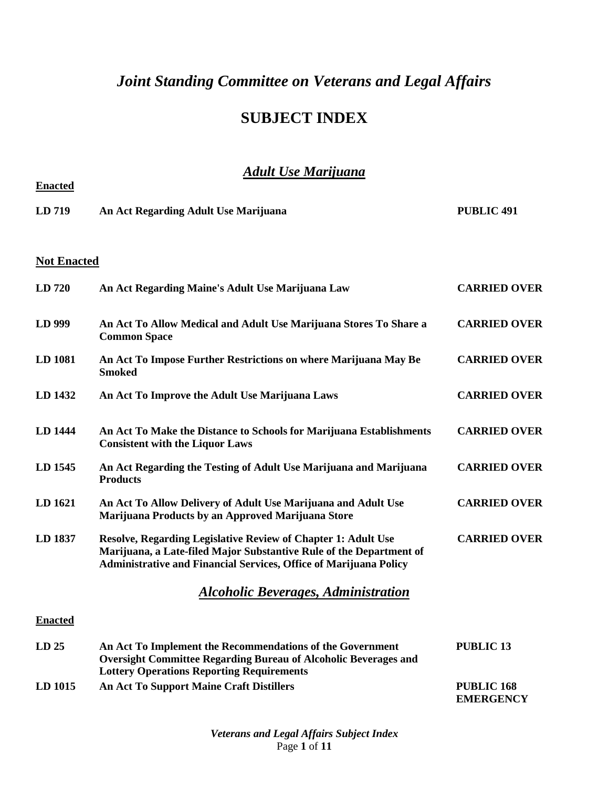# **SUBJECT INDEX**

# *Adult Use Marijuana*

| <b>Enacted</b>     |                                                                                                                                                                                                                         |                                       |
|--------------------|-------------------------------------------------------------------------------------------------------------------------------------------------------------------------------------------------------------------------|---------------------------------------|
| LD 719             | An Act Regarding Adult Use Marijuana                                                                                                                                                                                    | <b>PUBLIC 491</b>                     |
| <b>Not Enacted</b> |                                                                                                                                                                                                                         |                                       |
| LD 720             | An Act Regarding Maine's Adult Use Marijuana Law                                                                                                                                                                        | <b>CARRIED OVER</b>                   |
| LD 999             | An Act To Allow Medical and Adult Use Marijuana Stores To Share a<br><b>Common Space</b>                                                                                                                                | <b>CARRIED OVER</b>                   |
| LD 1081            | An Act To Impose Further Restrictions on where Marijuana May Be<br><b>Smoked</b>                                                                                                                                        | <b>CARRIED OVER</b>                   |
| LD 1432            | An Act To Improve the Adult Use Marijuana Laws                                                                                                                                                                          | <b>CARRIED OVER</b>                   |
| LD 1444            | An Act To Make the Distance to Schools for Marijuana Establishments<br><b>Consistent with the Liquor Laws</b>                                                                                                           | <b>CARRIED OVER</b>                   |
| LD 1545            | An Act Regarding the Testing of Adult Use Marijuana and Marijuana<br><b>Products</b>                                                                                                                                    | <b>CARRIED OVER</b>                   |
| LD 1621            | An Act To Allow Delivery of Adult Use Marijuana and Adult Use<br>Marijuana Products by an Approved Marijuana Store                                                                                                      | <b>CARRIED OVER</b>                   |
| LD 1837            | <b>Resolve, Regarding Legislative Review of Chapter 1: Adult Use</b><br>Marijuana, a Late-filed Major Substantive Rule of the Department of<br><b>Administrative and Financial Services, Office of Marijuana Policy</b> | <b>CARRIED OVER</b>                   |
|                    | <b>Alcoholic Beverages, Administration</b>                                                                                                                                                                              |                                       |
| <b>Enacted</b>     |                                                                                                                                                                                                                         |                                       |
| LD <sub>25</sub>   | An Act To Implement the Recommendations of the Government<br><b>Oversight Committee Regarding Bureau of Alcoholic Beverages and</b><br><b>Lottery Operations Reporting Requirements</b>                                 | <b>PUBLIC 13</b>                      |
| LD 1015            | <b>An Act To Support Maine Craft Distillers</b>                                                                                                                                                                         | <b>PUBLIC 168</b><br><b>EMERGENCY</b> |

*Veterans and Legal Affairs Subject Index* Page **1** of **11**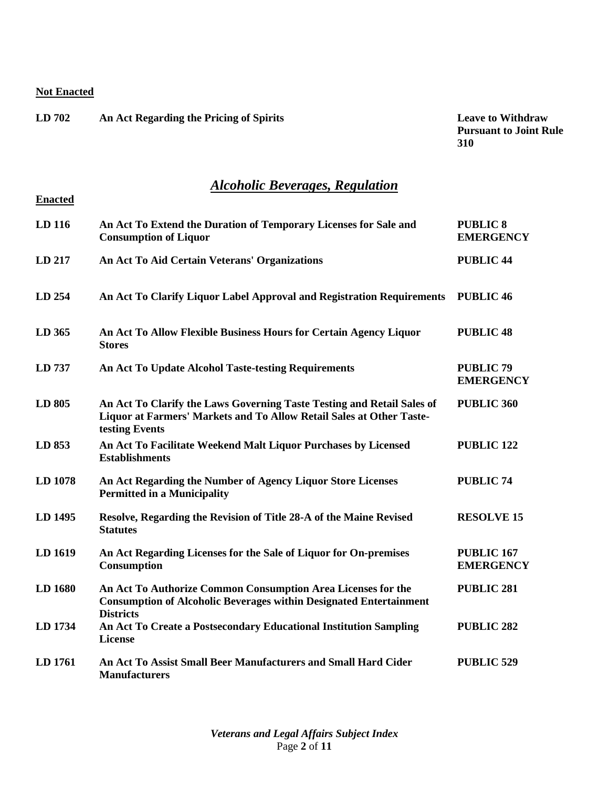**Enacted**

| LD702 | An Act Regarding the Pricing of Spirits | <b>Leave to Withdraw</b>   |
|-------|-----------------------------------------|----------------------------|
|       |                                         | <b>Pursuant to Joint R</b> |

**Pursuant to Joint Rule 310**

# *Alcoholic Beverages, Regulation*

| LD 116  | An Act To Extend the Duration of Temporary Licenses for Sale and<br><b>Consumption of Liquor</b>                                                                 | <b>PUBLIC 8</b><br><b>EMERGENCY</b>   |
|---------|------------------------------------------------------------------------------------------------------------------------------------------------------------------|---------------------------------------|
| LD 217  | An Act To Aid Certain Veterans' Organizations                                                                                                                    | <b>PUBLIC 44</b>                      |
| LD 254  | An Act To Clarify Liquor Label Approval and Registration Requirements                                                                                            | <b>PUBLIC 46</b>                      |
| LD 365  | An Act To Allow Flexible Business Hours for Certain Agency Liquor<br><b>Stores</b>                                                                               | <b>PUBLIC 48</b>                      |
| LD 737  | <b>An Act To Update Alcohol Taste-testing Requirements</b>                                                                                                       | <b>PUBLIC 79</b><br><b>EMERGENCY</b>  |
| LD 805  | An Act To Clarify the Laws Governing Taste Testing and Retail Sales of<br>Liquor at Farmers' Markets and To Allow Retail Sales at Other Taste-<br>testing Events | PUBLIC 360                            |
| LD 853  | An Act To Facilitate Weekend Malt Liquor Purchases by Licensed<br><b>Establishments</b>                                                                          | <b>PUBLIC 122</b>                     |
| LD 1078 | An Act Regarding the Number of Agency Liquor Store Licenses<br><b>Permitted in a Municipality</b>                                                                | <b>PUBLIC 74</b>                      |
| LD 1495 | Resolve, Regarding the Revision of Title 28-A of the Maine Revised<br><b>Statutes</b>                                                                            | <b>RESOLVE 15</b>                     |
| LD 1619 | An Act Regarding Licenses for the Sale of Liquor for On-premises<br>Consumption                                                                                  | <b>PUBLIC 167</b><br><b>EMERGENCY</b> |
| LD 1680 | An Act To Authorize Common Consumption Area Licenses for the<br><b>Consumption of Alcoholic Beverages within Designated Entertainment</b><br><b>Districts</b>    | <b>PUBLIC 281</b>                     |
| LD 1734 | An Act To Create a Postsecondary Educational Institution Sampling<br><b>License</b>                                                                              | <b>PUBLIC 282</b>                     |
| LD 1761 | An Act To Assist Small Beer Manufacturers and Small Hard Cider<br><b>Manufacturers</b>                                                                           | <b>PUBLIC 529</b>                     |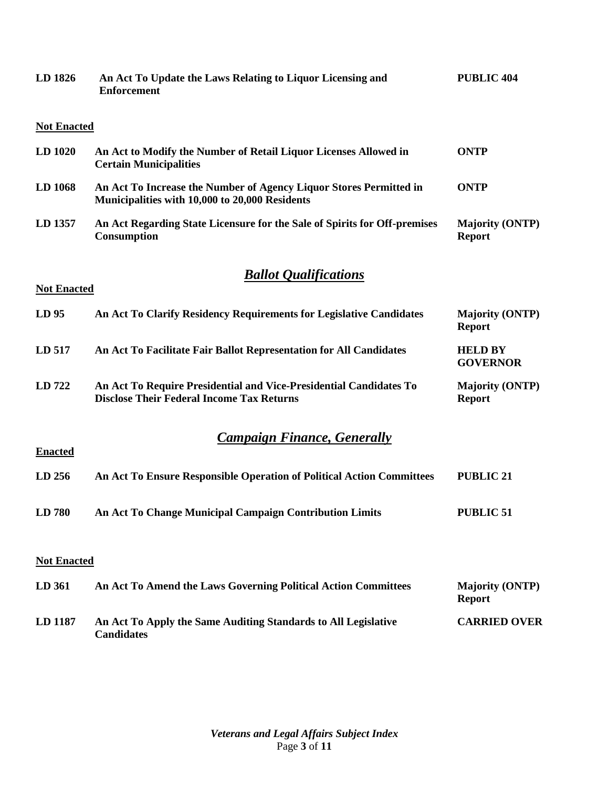| LD 1826            | An Act To Update the Laws Relating to Liquor Licensing and<br><b>Enforcement</b>                                       | <b>PUBLIC 404</b>                       |
|--------------------|------------------------------------------------------------------------------------------------------------------------|-----------------------------------------|
| <b>Not Enacted</b> |                                                                                                                        |                                         |
| LD 1020            | An Act to Modify the Number of Retail Liquor Licenses Allowed in<br><b>Certain Municipalities</b>                      | <b>ONTP</b>                             |
| LD 1068            | An Act To Increase the Number of Agency Liquor Stores Permitted in<br>Municipalities with 10,000 to 20,000 Residents   | <b>ONTP</b>                             |
| LD 1357            | An Act Regarding State Licensure for the Sale of Spirits for Off-premises<br>Consumption                               | <b>Majority (ONTP)</b><br><b>Report</b> |
| <b>Not Enacted</b> | <b>Ballot Qualifications</b>                                                                                           |                                         |
| LD <sub>95</sub>   | An Act To Clarify Residency Requirements for Legislative Candidates                                                    | <b>Majority (ONTP)</b><br><b>Report</b> |
| LD 517             | An Act To Facilitate Fair Ballot Representation for All Candidates                                                     | <b>HELD BY</b><br><b>GOVERNOR</b>       |
| LD 722             | An Act To Require Presidential and Vice-Presidential Candidates To<br><b>Disclose Their Federal Income Tax Returns</b> | <b>Majority (ONTP)</b><br><b>Report</b> |
| <b>Enacted</b>     | <b>Campaign Finance, Generally</b>                                                                                     |                                         |
| LD 256             | An Act To Ensure Responsible Operation of Political Action Committees                                                  | <b>PUBLIC 21</b>                        |
| LD 780             | An Act To Change Municipal Campaign Contribution Limits                                                                | <b>PUBLIC 51</b>                        |
| <b>Not Enacted</b> |                                                                                                                        |                                         |
| LD 361             | An Act To Amend the Laws Governing Political Action Committees                                                         | <b>Majority (ONTP)</b><br><b>Report</b> |
| LD 1187            | An Act To Apply the Same Auditing Standards to All Legislative<br><b>Candidates</b>                                    | <b>CARRIED OVER</b>                     |

*Veterans and Legal Affairs Subject Index* Page **3** of **11**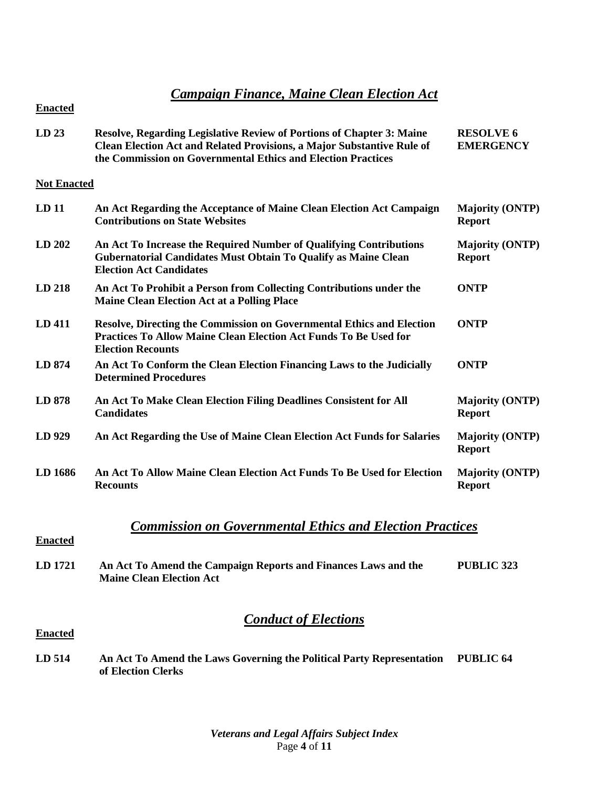# *Campaign Finance, Maine Clean Election Act*

| LD <sub>23</sub>   | Resolve, Regarding Legislative Review of Portions of Chapter 3: Maine<br>Clean Election Act and Related Provisions, a Major Substantive Rule of<br>the Commission on Governmental Ethics and Election Practices | <b>RESOLVE 6</b><br><b>EMERGENCY</b>    |
|--------------------|-----------------------------------------------------------------------------------------------------------------------------------------------------------------------------------------------------------------|-----------------------------------------|
| <b>Not Enacted</b> |                                                                                                                                                                                                                 |                                         |
| LD <sub>11</sub>   | An Act Regarding the Acceptance of Maine Clean Election Act Campaign<br><b>Contributions on State Websites</b>                                                                                                  | <b>Majority (ONTP)</b><br><b>Report</b> |
| LD 202             | An Act To Increase the Required Number of Qualifying Contributions<br>Gubernatorial Candidates Must Obtain To Qualify as Maine Clean<br><b>Election Act Candidates</b>                                          | <b>Majority (ONTP)</b><br><b>Report</b> |
| LD 218             | An Act To Prohibit a Person from Collecting Contributions under the<br><b>Maine Clean Election Act at a Polling Place</b>                                                                                       | <b>ONTP</b>                             |
| LD 411             | <b>Resolve, Directing the Commission on Governmental Ethics and Election</b><br><b>Practices To Allow Maine Clean Election Act Funds To Be Used for</b><br><b>Election Recounts</b>                             | <b>ONTP</b>                             |
| LD 874             | An Act To Conform the Clean Election Financing Laws to the Judicially<br><b>Determined Procedures</b>                                                                                                           | <b>ONTP</b>                             |
| LD 878             | An Act To Make Clean Election Filing Deadlines Consistent for All<br><b>Candidates</b>                                                                                                                          | <b>Majority (ONTP)</b><br><b>Report</b> |
| LD 929             | An Act Regarding the Use of Maine Clean Election Act Funds for Salaries                                                                                                                                         | <b>Majority (ONTP)</b><br><b>Report</b> |
| LD 1686            | An Act To Allow Maine Clean Election Act Funds To Be Used for Election<br><b>Recounts</b>                                                                                                                       | <b>Majority (ONTP)</b><br><b>Report</b> |
| <b>Enacted</b>     | <b>Commission on Governmental Ethics and Election Practices</b>                                                                                                                                                 |                                         |
| LD 1721            | An Act To Amend the Campaign Reports and Finances Laws and the<br><b>Maine Clean Election Act</b>                                                                                                               | <b>PUBLIC 323</b>                       |

# *Conduct of Elections*

**Enacted**

**LD 514 An Act To Amend the Laws Governing the Political Party Representation PUBLIC 64of Election Clerks**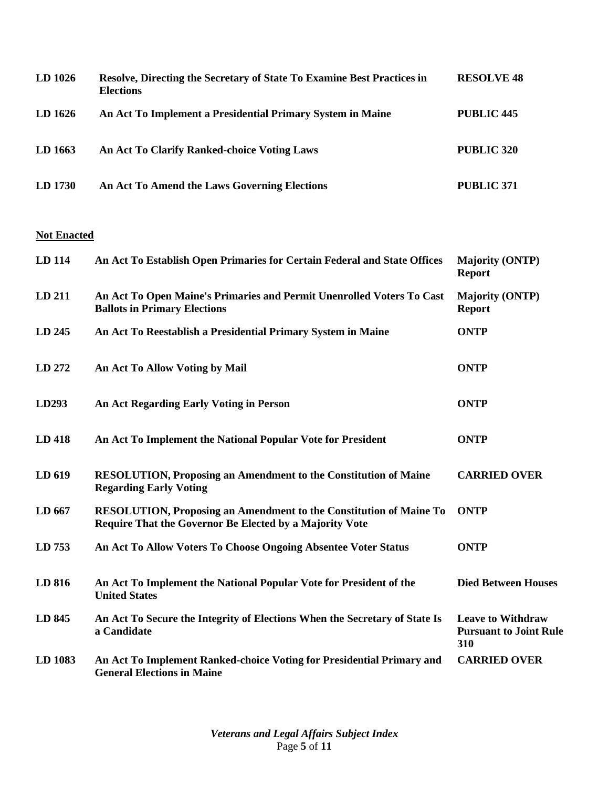| $LD$ 1026 | Resolve, Directing the Secretary of State To Examine Best Practices in<br><b>Elections</b> | <b>RESOLVE 48</b> |
|-----------|--------------------------------------------------------------------------------------------|-------------------|
| LD 1626   | An Act To Implement a Presidential Primary System in Maine                                 | PUBLIC 445        |
| LD 1663   | An Act To Clarify Ranked-choice Voting Laws                                                | PUBLIC 320        |
| LD 1730   | An Act To Amend the Laws Governing Elections                                               | PUBLIC 371        |

| LD 114  | An Act To Establish Open Primaries for Certain Federal and State Offices                                                             | <b>Majority (ONTP)</b><br><b>Report</b>                          |
|---------|--------------------------------------------------------------------------------------------------------------------------------------|------------------------------------------------------------------|
| LD 211  | An Act To Open Maine's Primaries and Permit Unenrolled Voters To Cast<br><b>Ballots in Primary Elections</b>                         | <b>Majority (ONTP)</b><br><b>Report</b>                          |
| LD 245  | An Act To Reestablish a Presidential Primary System in Maine                                                                         | <b>ONTP</b>                                                      |
| LD 272  | An Act To Allow Voting by Mail                                                                                                       | <b>ONTP</b>                                                      |
| LD293   | <b>An Act Regarding Early Voting in Person</b>                                                                                       | <b>ONTP</b>                                                      |
| LD 418  | An Act To Implement the National Popular Vote for President                                                                          | <b>ONTP</b>                                                      |
| LD 619  | <b>RESOLUTION, Proposing an Amendment to the Constitution of Maine</b><br><b>Regarding Early Voting</b>                              | <b>CARRIED OVER</b>                                              |
| LD 667  | <b>RESOLUTION, Proposing an Amendment to the Constitution of Maine To</b><br>Require That the Governor Be Elected by a Majority Vote | <b>ONTP</b>                                                      |
| LD 753  | An Act To Allow Voters To Choose Ongoing Absentee Voter Status                                                                       | <b>ONTP</b>                                                      |
| LD 816  | An Act To Implement the National Popular Vote for President of the<br><b>United States</b>                                           | <b>Died Between Houses</b>                                       |
| LD 845  | An Act To Secure the Integrity of Elections When the Secretary of State Is<br>a Candidate                                            | <b>Leave to Withdraw</b><br><b>Pursuant to Joint Rule</b><br>310 |
| LD 1083 | An Act To Implement Ranked-choice Voting for Presidential Primary and<br><b>General Elections in Maine</b>                           | <b>CARRIED OVER</b>                                              |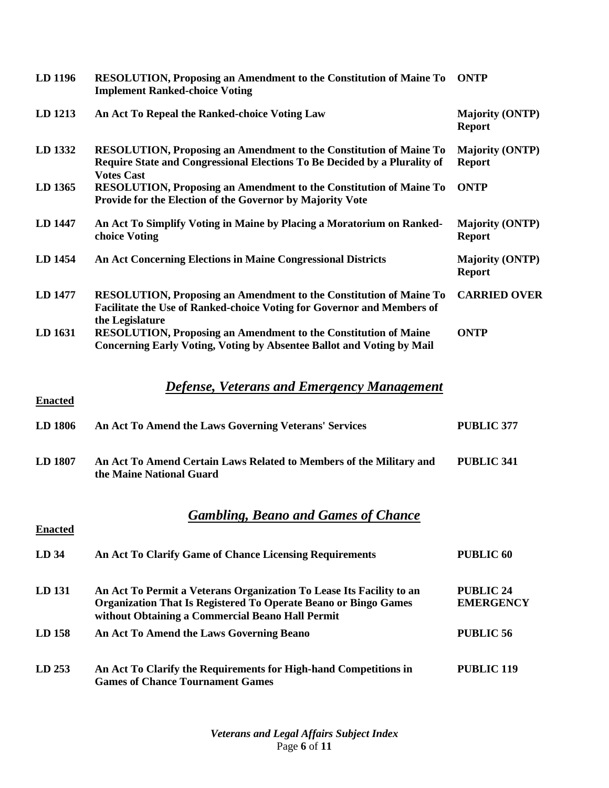| LD 1196          | RESOLUTION, Proposing an Amendment to the Constitution of Maine To<br><b>Implement Ranked-choice Voting</b>                                                                                        | <b>ONTP</b>                             |
|------------------|----------------------------------------------------------------------------------------------------------------------------------------------------------------------------------------------------|-----------------------------------------|
| LD 1213          | An Act To Repeal the Ranked-choice Voting Law                                                                                                                                                      | <b>Majority (ONTP)</b><br><b>Report</b> |
| LD 1332          | <b>RESOLUTION, Proposing an Amendment to the Constitution of Maine To</b><br>Require State and Congressional Elections To Be Decided by a Plurality of<br><b>Votes Cast</b>                        | <b>Majority (ONTP)</b><br><b>Report</b> |
| LD 1365          | <b>RESOLUTION, Proposing an Amendment to the Constitution of Maine To</b><br>Provide for the Election of the Governor by Majority Vote                                                             | <b>ONTP</b>                             |
| LD 1447          | An Act To Simplify Voting in Maine by Placing a Moratorium on Ranked-<br>choice Voting                                                                                                             | <b>Majority (ONTP)</b><br><b>Report</b> |
| LD 1454          | <b>An Act Concerning Elections in Maine Congressional Districts</b>                                                                                                                                | <b>Majority (ONTP)</b><br><b>Report</b> |
| LD 1477          | <b>RESOLUTION, Proposing an Amendment to the Constitution of Maine To</b><br>Facilitate the Use of Ranked-choice Voting for Governor and Members of<br>the Legislature                             | <b>CARRIED OVER</b>                     |
| LD 1631          | <b>RESOLUTION, Proposing an Amendment to the Constitution of Maine</b><br>Concerning Early Voting, Voting by Absentee Ballot and Voting by Mail                                                    | <b>ONTP</b>                             |
| <b>Enacted</b>   | <b>Defense, Veterans and Emergency Management</b>                                                                                                                                                  |                                         |
| LD 1806          | An Act To Amend the Laws Governing Veterans' Services                                                                                                                                              | <b>PUBLIC 377</b>                       |
| LD 1807          | An Act To Amend Certain Laws Related to Members of the Military and<br>the Maine National Guard                                                                                                    | <b>PUBLIC 341</b>                       |
| <b>Enacted</b>   | <b>Gambling, Beano and Games of Chance</b>                                                                                                                                                         |                                         |
| LD <sub>34</sub> | An Act To Clarify Game of Chance Licensing Requirements                                                                                                                                            | <b>PUBLIC 60</b>                        |
| LD 131           | An Act To Permit a Veterans Organization To Lease Its Facility to an<br><b>Organization That Is Registered To Operate Beano or Bingo Games</b><br>without Obtaining a Commercial Beano Hall Permit | <b>PUBLIC 24</b><br><b>EMERGENCY</b>    |
| LD 158           | An Act To Amend the Laws Governing Beano                                                                                                                                                           | <b>PUBLIC 56</b>                        |
| LD 253           | An Act To Clarify the Requirements for High-hand Competitions in<br><b>Games of Chance Tournament Games</b>                                                                                        | <b>PUBLIC 119</b>                       |

*Veterans and Legal Affairs Subject Index* Page **6** of **11**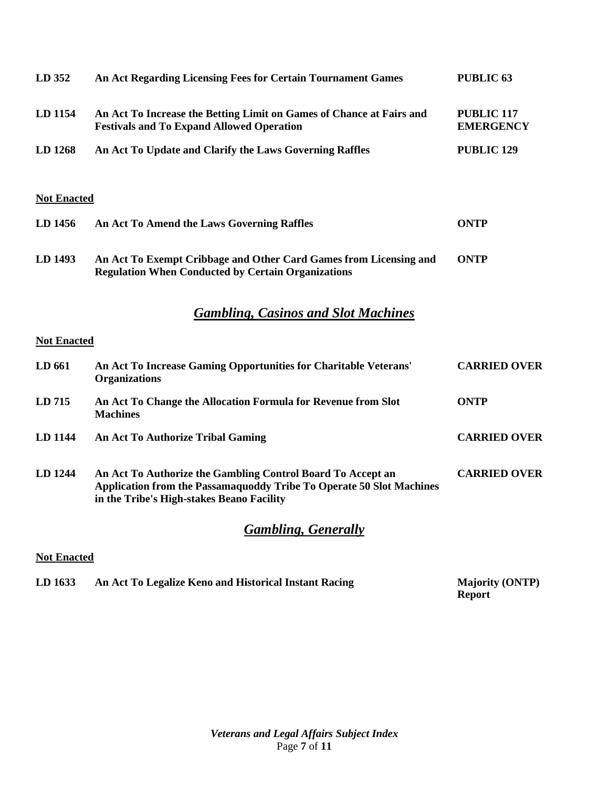| LD 352             | An Act Regarding Licensing Fees for Certain Tournament Games                                                                                                                     | <b>PUBLIC 63</b>                      |
|--------------------|----------------------------------------------------------------------------------------------------------------------------------------------------------------------------------|---------------------------------------|
| LD 1154            | An Act To Increase the Betting Limit on Games of Chance at Fairs and<br><b>Festivals and To Expand Allowed Operation</b>                                                         | <b>PUBLIC 117</b><br><b>EMERGENCY</b> |
| LD 1268            | An Act To Update and Clarify the Laws Governing Raffles                                                                                                                          | <b>PUBLIC 129</b>                     |
| <b>Not Enacted</b> |                                                                                                                                                                                  |                                       |
| LD 1456            | An Act To Amend the Laws Governing Raffles                                                                                                                                       | <b>ONTP</b>                           |
| LD 1493            | An Act To Exempt Cribbage and Other Card Games from Licensing and<br><b>Regulation When Conducted by Certain Organizations</b>                                                   | <b>ONTP</b>                           |
|                    | <b>Gambling, Casinos and Slot Machines</b>                                                                                                                                       |                                       |
| <b>Not Enacted</b> |                                                                                                                                                                                  |                                       |
| LD 661             | An Act To Increase Gaming Opportunities for Charitable Veterans'<br><b>Organizations</b>                                                                                         | <b>CARRIED OVER</b>                   |
| LD 715             | An Act To Change the Allocation Formula for Revenue from Slot<br><b>Machines</b>                                                                                                 | <b>ONTP</b>                           |
| LD 1144            | <b>An Act To Authorize Tribal Gaming</b>                                                                                                                                         | <b>CARRIED OVER</b>                   |
| LD 1244            | An Act To Authorize the Gambling Control Board To Accept an<br>Application from the Passamaquoddy Tribe To Operate 50 Slot Machines<br>in the Tribe's High-stakes Beano Facility | <b>CARRIED OVER</b>                   |
|                    | <b>Gambling, Generally</b>                                                                                                                                                       |                                       |

| LD 1633 | An Act To Legalize Keno and Historical Instant Racing | <b>Majority (ONTP)</b> |
|---------|-------------------------------------------------------|------------------------|
|         |                                                       | <b>Report</b>          |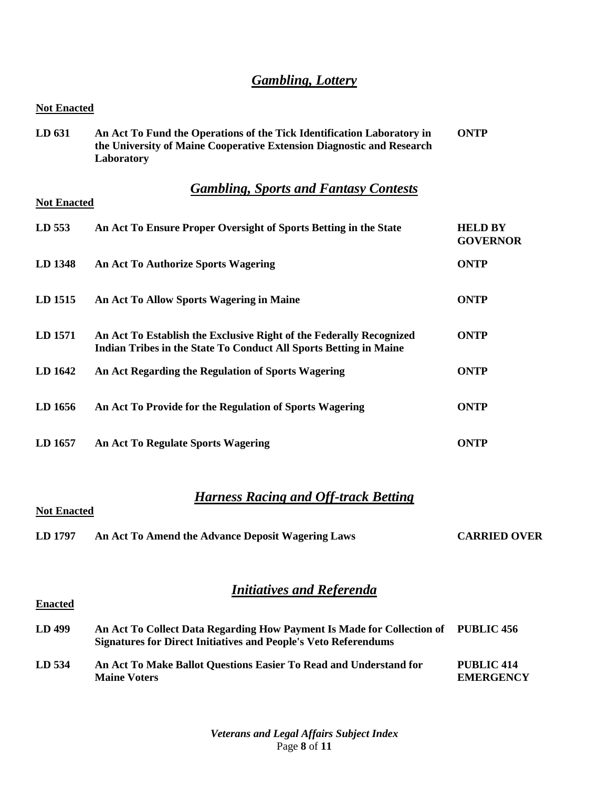# *Gambling, Lottery*

**Not Enacted**

**Enacted**

| <b>TWE LINGUOU</b> |                                                                                                                                                               |                                   |
|--------------------|---------------------------------------------------------------------------------------------------------------------------------------------------------------|-----------------------------------|
| LD 631             | An Act To Fund the Operations of the Tick Identification Laboratory in<br>the University of Maine Cooperative Extension Diagnostic and Research<br>Laboratory | <b>ONTP</b>                       |
| <b>Not Enacted</b> | <b>Gambling, Sports and Fantasy Contests</b>                                                                                                                  |                                   |
| LD 553             | An Act To Ensure Proper Oversight of Sports Betting in the State                                                                                              | <b>HELD BY</b><br><b>GOVERNOR</b> |
| LD 1348            | <b>An Act To Authorize Sports Wagering</b>                                                                                                                    | <b>ONTP</b>                       |
| LD 1515            | An Act To Allow Sports Wagering in Maine                                                                                                                      | <b>ONTP</b>                       |
| LD 1571            | An Act To Establish the Exclusive Right of the Federally Recognized<br>Indian Tribes in the State To Conduct All Sports Betting in Maine                      | <b>ONTP</b>                       |
| LD 1642            | An Act Regarding the Regulation of Sports Wagering                                                                                                            | <b>ONTP</b>                       |
| LD 1656            | An Act To Provide for the Regulation of Sports Wagering                                                                                                       | <b>ONTP</b>                       |
| LD 1657            | <b>An Act To Regulate Sports Wagering</b>                                                                                                                     | <b>ONTP</b>                       |

# *Harness Racing and Off-track Betting*

| <b>Not Enacted</b> |                                                   |                     |
|--------------------|---------------------------------------------------|---------------------|
| LD 1797            | An Act To Amend the Advance Deposit Wagering Laws | <b>CARRIED OVER</b> |

# *Initiatives and Referenda*

| LD 499 | An Act To Collect Data Regarding How Payment Is Made for Collection of PUBLIC 456<br><b>Signatures for Direct Initiatives and People's Veto Referendums</b> |                                |
|--------|-------------------------------------------------------------------------------------------------------------------------------------------------------------|--------------------------------|
| LD 534 | An Act To Make Ballot Questions Easier To Read and Understand for<br><b>Maine Voters</b>                                                                    | PUBLIC 414<br><b>EMERGENCY</b> |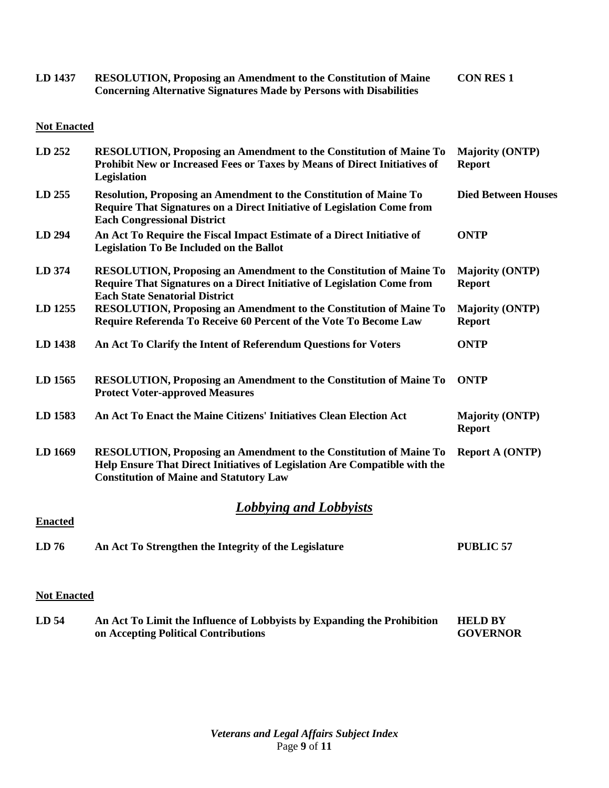| LD 1437 | <b>RESOLUTION, Proposing an Amendment to the Constitution of Maine</b>     | <b>CON RES 1</b> |
|---------|----------------------------------------------------------------------------|------------------|
|         | <b>Concerning Alternative Signatures Made by Persons with Disabilities</b> |                  |

| LD 252         | <b>RESOLUTION, Proposing an Amendment to the Constitution of Maine To</b><br>Prohibit New or Increased Fees or Taxes by Means of Direct Initiatives of<br>Legislation                                     | <b>Majority (ONTP)</b><br><b>Report</b> |
|----------------|-----------------------------------------------------------------------------------------------------------------------------------------------------------------------------------------------------------|-----------------------------------------|
| LD 255         | Resolution, Proposing an Amendment to the Constitution of Maine To<br>Require That Signatures on a Direct Initiative of Legislation Come from<br><b>Each Congressional District</b>                       | <b>Died Between Houses</b>              |
| LD 294         | An Act To Require the Fiscal Impact Estimate of a Direct Initiative of<br><b>Legislation To Be Included on the Ballot</b>                                                                                 | <b>ONTP</b>                             |
| LD 374         | <b>RESOLUTION, Proposing an Amendment to the Constitution of Maine To</b><br>Require That Signatures on a Direct Initiative of Legislation Come from<br><b>Each State Senatorial District</b>             | <b>Majority (ONTP)</b><br><b>Report</b> |
| LD 1255        | <b>RESOLUTION, Proposing an Amendment to the Constitution of Maine To</b><br>Require Referenda To Receive 60 Percent of the Vote To Become Law                                                            | <b>Majority (ONTP)</b><br><b>Report</b> |
| LD 1438        | An Act To Clarify the Intent of Referendum Questions for Voters                                                                                                                                           | <b>ONTP</b>                             |
| LD 1565        | <b>RESOLUTION, Proposing an Amendment to the Constitution of Maine To</b><br><b>Protect Voter-approved Measures</b>                                                                                       | <b>ONTP</b>                             |
| LD 1583        | An Act To Enact the Maine Citizens' Initiatives Clean Election Act                                                                                                                                        | <b>Majority (ONTP)</b><br><b>Report</b> |
| LD 1669        | <b>RESOLUTION, Proposing an Amendment to the Constitution of Maine To</b><br>Help Ensure That Direct Initiatives of Legislation Are Compatible with the<br><b>Constitution of Maine and Statutory Law</b> | <b>Report A (ONTP)</b>                  |
| <b>Enacted</b> | <b>Lobbying and Lobbyists</b>                                                                                                                                                                             |                                         |
| LD76           | An Act To Strengthen the Integrity of the Legislature                                                                                                                                                     | <b>PUBLIC 57</b>                        |
|                |                                                                                                                                                                                                           |                                         |

### **Not Enacted**

**LD 54 An Act To Limit the Influence of Lobbyists by Expanding the Prohibition on Accepting Political Contributions HELD BY GOVERNOR**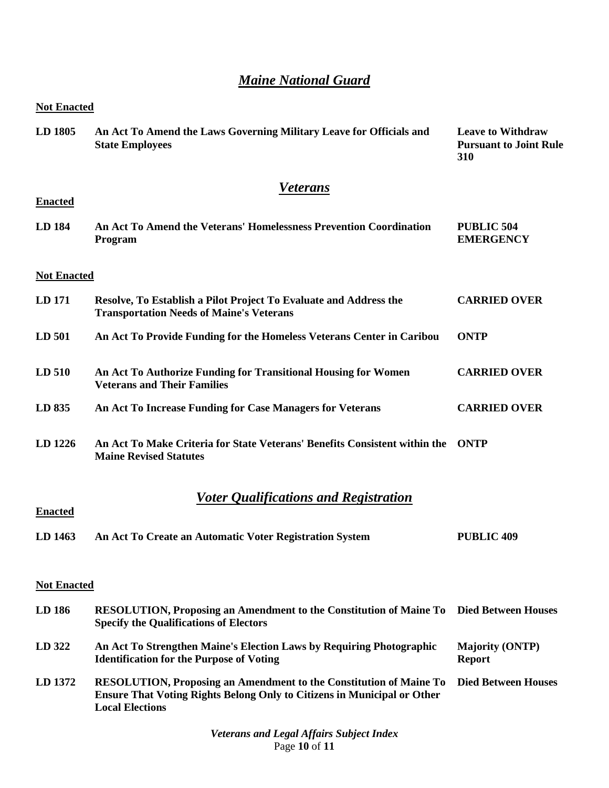# *Maine National Guard*

| <b>Not Enacted</b> |                                                                                                                                                                                       |                                                                  |  |
|--------------------|---------------------------------------------------------------------------------------------------------------------------------------------------------------------------------------|------------------------------------------------------------------|--|
| LD 1805            | An Act To Amend the Laws Governing Military Leave for Officials and<br><b>State Employees</b>                                                                                         | <b>Leave to Withdraw</b><br><b>Pursuant to Joint Rule</b><br>310 |  |
|                    | <b>Veterans</b>                                                                                                                                                                       |                                                                  |  |
| <b>Enacted</b>     |                                                                                                                                                                                       |                                                                  |  |
| LD 184             | An Act To Amend the Veterans' Homelessness Prevention Coordination<br>Program                                                                                                         | <b>PUBLIC 504</b><br><b>EMERGENCY</b>                            |  |
| <b>Not Enacted</b> |                                                                                                                                                                                       |                                                                  |  |
| LD 171             | Resolve, To Establish a Pilot Project To Evaluate and Address the<br><b>Transportation Needs of Maine's Veterans</b>                                                                  | <b>CARRIED OVER</b>                                              |  |
| LD 501             | An Act To Provide Funding for the Homeless Veterans Center in Caribou                                                                                                                 | <b>ONTP</b>                                                      |  |
| LD 510             | An Act To Authorize Funding for Transitional Housing for Women<br><b>Veterans and Their Families</b>                                                                                  | <b>CARRIED OVER</b>                                              |  |
| LD 835             | An Act To Increase Funding for Case Managers for Veterans                                                                                                                             | <b>CARRIED OVER</b>                                              |  |
| LD 1226            | An Act To Make Criteria for State Veterans' Benefits Consistent within the<br><b>Maine Revised Statutes</b>                                                                           | ONTP                                                             |  |
|                    | <u><b>Voter Qualifications and Registration</b></u>                                                                                                                                   |                                                                  |  |
| <b>Enacted</b>     |                                                                                                                                                                                       |                                                                  |  |
| LD 1463            | An Act To Create an Automatic Voter Registration System                                                                                                                               | <b>PUBLIC 409</b>                                                |  |
| <b>Not Enacted</b> |                                                                                                                                                                                       |                                                                  |  |
| LD 186             | RESOLUTION, Proposing an Amendment to the Constitution of Maine To Died Between Houses<br><b>Specify the Qualifications of Electors</b>                                               |                                                                  |  |
| LD 322             | An Act To Strengthen Maine's Election Laws by Requiring Photographic<br><b>Identification for the Purpose of Voting</b>                                                               | <b>Majority (ONTP)</b><br><b>Report</b>                          |  |
| LD 1372            | <b>RESOLUTION, Proposing an Amendment to the Constitution of Maine To</b><br><b>Ensure That Voting Rights Belong Only to Citizens in Municipal or Other</b><br><b>Local Elections</b> | <b>Died Between Houses</b>                                       |  |

*Veterans and Legal Affairs Subject Index* Page **10** of **11**